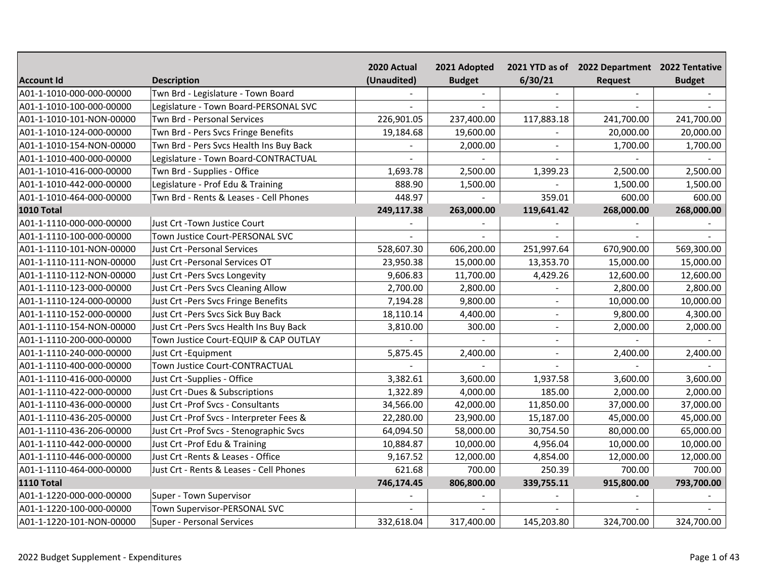|                          |                                          | 2020 Actual | 2021 Adopted  |                | 2021 YTD as of 2022 Department 2022 Tentative |               |
|--------------------------|------------------------------------------|-------------|---------------|----------------|-----------------------------------------------|---------------|
| <b>Account Id</b>        | <b>Description</b>                       | (Unaudited) | <b>Budget</b> | 6/30/21        | Request                                       | <b>Budget</b> |
| A01-1-1010-000-000-00000 | Twn Brd - Legislature - Town Board       |             |               |                |                                               |               |
| A01-1-1010-100-000-00000 | Legislature - Town Board-PERSONAL SVC    |             |               |                |                                               |               |
| A01-1-1010-101-NON-00000 | Twn Brd - Personal Services              | 226,901.05  | 237,400.00    | 117,883.18     | 241,700.00                                    | 241,700.00    |
| A01-1-1010-124-000-00000 | Twn Brd - Pers Svcs Fringe Benefits      | 19,184.68   | 19,600.00     |                | 20,000.00                                     | 20,000.00     |
| A01-1-1010-154-NON-00000 | Twn Brd - Pers Svcs Health Ins Buy Back  |             | 2,000.00      |                | 1,700.00                                      | 1,700.00      |
| A01-1-1010-400-000-00000 | Legislature - Town Board-CONTRACTUAL     |             |               |                |                                               |               |
| A01-1-1010-416-000-00000 | Twn Brd - Supplies - Office              | 1,693.78    | 2,500.00      | 1,399.23       | 2,500.00                                      | 2,500.00      |
| A01-1-1010-442-000-00000 | Legislature - Prof Edu & Training        | 888.90      | 1,500.00      |                | 1,500.00                                      | 1,500.00      |
| A01-1-1010-464-000-00000 | Twn Brd - Rents & Leases - Cell Phones   | 448.97      |               | 359.01         | 600.00                                        | 600.00        |
| 1010 Total               |                                          | 249,117.38  | 263,000.00    | 119,641.42     | 268,000.00                                    | 268,000.00    |
| A01-1-1110-000-000-00000 | Just Crt - Town Justice Court            |             |               |                |                                               |               |
| A01-1-1110-100-000-00000 | Town Justice Court-PERSONAL SVC          |             | $\sim$        |                |                                               |               |
| A01-1-1110-101-NON-00000 | Just Crt - Personal Services             | 528,607.30  | 606,200.00    | 251,997.64     | 670,900.00                                    | 569,300.00    |
| A01-1-1110-111-NON-00000 | Just Crt -Personal Services OT           | 23,950.38   | 15,000.00     | 13,353.70      | 15,000.00                                     | 15,000.00     |
| A01-1-1110-112-NON-00000 | Just Crt -Pers Svcs Longevity            | 9,606.83    | 11,700.00     | 4,429.26       | 12,600.00                                     | 12,600.00     |
| A01-1-1110-123-000-00000 | Just Crt -Pers Svcs Cleaning Allow       | 2,700.00    | 2,800.00      |                | 2,800.00                                      | 2,800.00      |
| A01-1-1110-124-000-00000 | Just Crt -Pers Svcs Fringe Benefits      | 7,194.28    | 9,800.00      |                | 10,000.00                                     | 10,000.00     |
| A01-1-1110-152-000-00000 | Just Crt - Pers Svcs Sick Buy Back       | 18,110.14   | 4,400.00      | $\sim$         | 9,800.00                                      | 4,300.00      |
| A01-1-1110-154-NON-00000 | Just Crt -Pers Svcs Health Ins Buy Back  | 3,810.00    | 300.00        |                | 2,000.00                                      | 2,000.00      |
| A01-1-1110-200-000-00000 | Town Justice Court-EQUIP & CAP OUTLAY    |             |               | $\sim$         |                                               |               |
| A01-1-1110-240-000-00000 | Just Crt - Equipment                     | 5,875.45    | 2,400.00      | $\overline{a}$ | 2,400.00                                      | 2,400.00      |
| A01-1-1110-400-000-00000 | Town Justice Court-CONTRACTUAL           |             |               |                |                                               |               |
| A01-1-1110-416-000-00000 | Just Crt -Supplies - Office              | 3,382.61    | 3,600.00      | 1,937.58       | 3,600.00                                      | 3,600.00      |
| A01-1-1110-422-000-00000 | Just Crt -Dues & Subscriptions           | 1,322.89    | 4,000.00      | 185.00         | 2,000.00                                      | 2,000.00      |
| A01-1-1110-436-000-00000 | Just Crt -Prof Svcs - Consultants        | 34,566.00   | 42,000.00     | 11,850.00      | 37,000.00                                     | 37,000.00     |
| A01-1-1110-436-205-00000 | Just Crt -Prof Svcs - Interpreter Fees & | 22,280.00   | 23,900.00     | 15,187.00      | 45,000.00                                     | 45,000.00     |
| A01-1-1110-436-206-00000 | Just Crt - Prof Svcs - Stenographic Svcs | 64,094.50   | 58,000.00     | 30,754.50      | 80,000.00                                     | 65,000.00     |
| A01-1-1110-442-000-00000 | Just Crt - Prof Edu & Training           | 10,884.87   | 10,000.00     | 4,956.04       | 10,000.00                                     | 10,000.00     |
| A01-1-1110-446-000-00000 | Just Crt - Rents & Leases - Office       | 9,167.52    | 12,000.00     | 4,854.00       | 12,000.00                                     | 12,000.00     |
| A01-1-1110-464-000-00000 | Just Crt - Rents & Leases - Cell Phones  | 621.68      | 700.00        | 250.39         | 700.00                                        | 700.00        |
| <b>1110 Total</b>        |                                          | 746,174.45  | 806,800.00    | 339,755.11     | 915,800.00                                    | 793,700.00    |
| A01-1-1220-000-000-00000 | Super - Town Supervisor                  |             |               |                |                                               |               |
| A01-1-1220-100-000-00000 | Town Supervisor-PERSONAL SVC             |             |               |                |                                               |               |
| A01-1-1220-101-NON-00000 | <b>Super - Personal Services</b>         | 332,618.04  | 317,400.00    | 145,203.80     | 324,700.00                                    | 324,700.00    |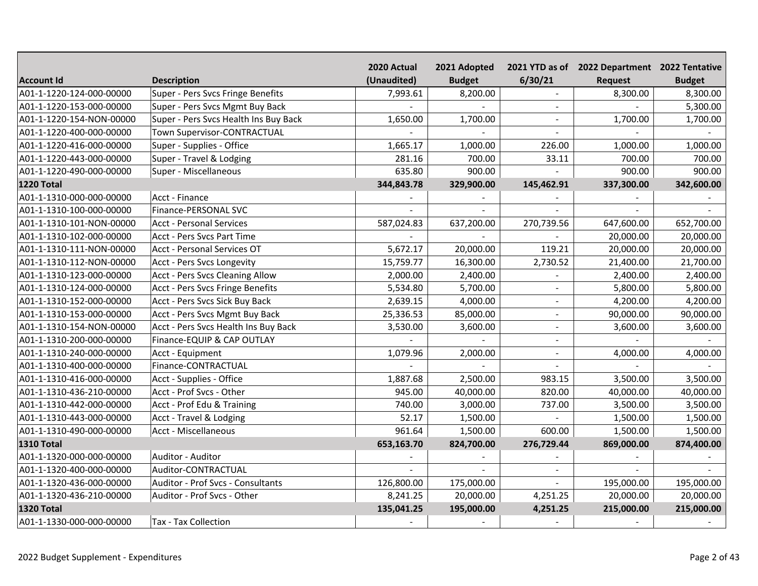|                          |                                        | 2020 Actual | 2021 Adopted  |                | 2021 YTD as of 2022 Department 2022 Tentative |               |
|--------------------------|----------------------------------------|-------------|---------------|----------------|-----------------------------------------------|---------------|
| <b>Account Id</b>        | <b>Description</b>                     | (Unaudited) | <b>Budget</b> | 6/30/21        | <b>Request</b>                                | <b>Budget</b> |
| A01-1-1220-124-000-00000 | Super - Pers Svcs Fringe Benefits      | 7,993.61    | 8,200.00      |                | 8,300.00                                      | 8,300.00      |
| A01-1-1220-153-000-00000 | Super - Pers Svcs Mgmt Buy Back        |             |               |                |                                               | 5,300.00      |
| A01-1-1220-154-NON-00000 | Super - Pers Svcs Health Ins Buy Back  | 1,650.00    | 1,700.00      |                | 1,700.00                                      | 1,700.00      |
| A01-1-1220-400-000-00000 | Town Supervisor-CONTRACTUAL            |             |               |                |                                               |               |
| A01-1-1220-416-000-00000 | Super - Supplies - Office              | 1,665.17    | 1,000.00      | 226.00         | 1,000.00                                      | 1,000.00      |
| A01-1-1220-443-000-00000 | Super - Travel & Lodging               | 281.16      | 700.00        | 33.11          | 700.00                                        | 700.00        |
| A01-1-1220-490-000-00000 | Super - Miscellaneous                  | 635.80      | 900.00        |                | 900.00                                        | 900.00        |
| 1220 Total               |                                        | 344,843.78  | 329,900.00    | 145,462.91     | 337,300.00                                    | 342,600.00    |
| A01-1-1310-000-000-00000 | Acct - Finance                         |             |               |                |                                               |               |
| A01-1-1310-100-000-00000 | Finance-PERSONAL SVC                   |             | $\sim$        |                |                                               |               |
| A01-1-1310-101-NON-00000 | <b>Acct - Personal Services</b>        | 587,024.83  | 637,200.00    | 270,739.56     | 647,600.00                                    | 652,700.00    |
| A01-1-1310-102-000-00000 | Acct - Pers Svcs Part Time             |             |               |                | 20,000.00                                     | 20,000.00     |
| A01-1-1310-111-NON-00000 | Acct - Personal Services OT            | 5,672.17    | 20,000.00     | 119.21         | 20,000.00                                     | 20,000.00     |
| A01-1-1310-112-NON-00000 | Acct - Pers Svcs Longevity             | 15,759.77   | 16,300.00     | 2,730.52       | 21,400.00                                     | 21,700.00     |
| A01-1-1310-123-000-00000 | <b>Acct - Pers Svcs Cleaning Allow</b> | 2,000.00    | 2,400.00      |                | 2,400.00                                      | 2,400.00      |
| A01-1-1310-124-000-00000 | Acct - Pers Svcs Fringe Benefits       | 5,534.80    | 5,700.00      |                | 5,800.00                                      | 5,800.00      |
| A01-1-1310-152-000-00000 | Acct - Pers Svcs Sick Buy Back         | 2,639.15    | 4,000.00      |                | 4,200.00                                      | 4,200.00      |
| A01-1-1310-153-000-00000 | Acct - Pers Svcs Mgmt Buy Back         | 25,336.53   | 85,000.00     |                | 90,000.00                                     | 90,000.00     |
| A01-1-1310-154-NON-00000 | Acct - Pers Svcs Health Ins Buy Back   | 3,530.00    | 3,600.00      | $\sim$         | 3,600.00                                      | 3,600.00      |
| A01-1-1310-200-000-00000 | Finance-EQUIP & CAP OUTLAY             |             |               |                |                                               |               |
| A01-1-1310-240-000-00000 | Acct - Equipment                       | 1,079.96    | 2,000.00      | $\overline{a}$ | 4,000.00                                      | 4,000.00      |
| A01-1-1310-400-000-00000 | Finance-CONTRACTUAL                    |             |               |                |                                               |               |
| A01-1-1310-416-000-00000 | Acct - Supplies - Office               | 1,887.68    | 2,500.00      | 983.15         | 3,500.00                                      | 3,500.00      |
| A01-1-1310-436-210-00000 | Acct - Prof Svcs - Other               | 945.00      | 40,000.00     | 820.00         | 40,000.00                                     | 40,000.00     |
| A01-1-1310-442-000-00000 | Acct - Prof Edu & Training             | 740.00      | 3,000.00      | 737.00         | 3,500.00                                      | 3,500.00      |
| A01-1-1310-443-000-00000 | Acct - Travel & Lodging                | 52.17       | 1,500.00      |                | 1,500.00                                      | 1,500.00      |
| A01-1-1310-490-000-00000 | Acct - Miscellaneous                   | 961.64      | 1,500.00      | 600.00         | 1,500.00                                      | 1,500.00      |
| <b>1310 Total</b>        |                                        | 653,163.70  | 824,700.00    | 276,729.44     | 869,000.00                                    | 874,400.00    |
| A01-1-1320-000-000-00000 | Auditor - Auditor                      |             |               |                |                                               |               |
| A01-1-1320-400-000-00000 | Auditor-CONTRACTUAL                    |             |               | $\sim$         |                                               |               |
| A01-1-1320-436-000-00000 | Auditor - Prof Svcs - Consultants      | 126,800.00  | 175,000.00    | $\sim$         | 195,000.00                                    | 195,000.00    |
| A01-1-1320-436-210-00000 | Auditor - Prof Svcs - Other            | 8,241.25    | 20,000.00     | 4,251.25       | 20,000.00                                     | 20,000.00     |
| <b>1320 Total</b>        |                                        | 135,041.25  | 195,000.00    | 4,251.25       | 215,000.00                                    | 215,000.00    |
| A01-1-1330-000-000-00000 | Tax - Tax Collection                   |             |               |                |                                               |               |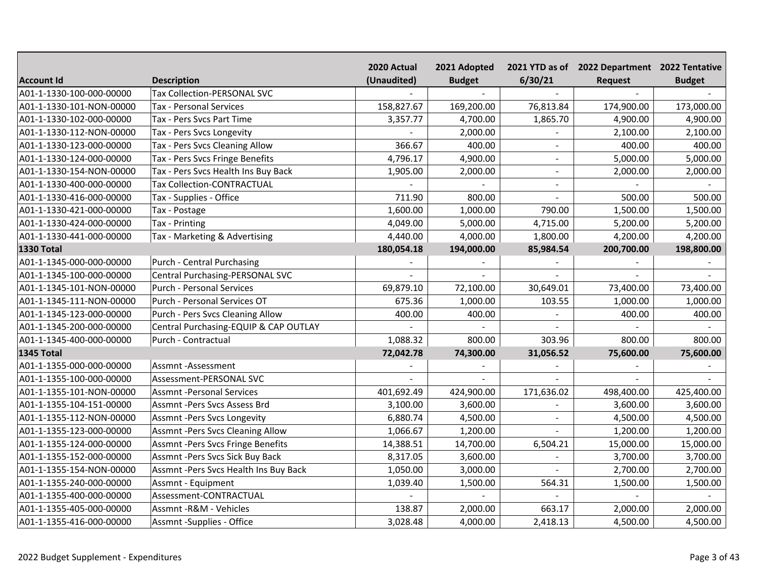|                          |                                          | 2020 Actual | 2021 Adopted  |                          | 2021 YTD as of 2022 Department 2022 Tentative |               |
|--------------------------|------------------------------------------|-------------|---------------|--------------------------|-----------------------------------------------|---------------|
| <b>Account Id</b>        | <b>Description</b>                       | (Unaudited) | <b>Budget</b> | 6/30/21                  | <b>Request</b>                                | <b>Budget</b> |
| A01-1-1330-100-000-00000 | Tax Collection-PERSONAL SVC              |             |               |                          |                                               |               |
| A01-1-1330-101-NON-00000 | Tax - Personal Services                  | 158,827.67  | 169,200.00    | 76,813.84                | 174,900.00                                    | 173,000.00    |
| A01-1-1330-102-000-00000 | Tax - Pers Svcs Part Time                | 3,357.77    | 4,700.00      | 1,865.70                 | 4,900.00                                      | 4,900.00      |
| A01-1-1330-112-NON-00000 | Tax - Pers Svcs Longevity                |             | 2,000.00      |                          | 2,100.00                                      | 2,100.00      |
| A01-1-1330-123-000-00000 | Tax - Pers Svcs Cleaning Allow           | 366.67      | 400.00        | $\overline{\phantom{a}}$ | 400.00                                        | 400.00        |
| A01-1-1330-124-000-00000 | Tax - Pers Svcs Fringe Benefits          | 4,796.17    | 4,900.00      | $\sim$                   | 5,000.00                                      | 5,000.00      |
| A01-1-1330-154-NON-00000 | Tax - Pers Svcs Health Ins Buy Back      | 1,905.00    | 2,000.00      | $\sim$                   | 2,000.00                                      | 2,000.00      |
| A01-1-1330-400-000-00000 | Tax Collection-CONTRACTUAL               |             |               | $\sim$                   |                                               |               |
| A01-1-1330-416-000-00000 | Tax - Supplies - Office                  | 711.90      | 800.00        | $\sim$                   | 500.00                                        | 500.00        |
| A01-1-1330-421-000-00000 | Tax - Postage                            | 1,600.00    | 1,000.00      | 790.00                   | 1,500.00                                      | 1,500.00      |
| A01-1-1330-424-000-00000 | Tax - Printing                           | 4,049.00    | 5,000.00      | 4,715.00                 | 5,200.00                                      | 5,200.00      |
| A01-1-1330-441-000-00000 | Tax - Marketing & Advertising            | 4,440.00    | 4,000.00      | 1,800.00                 | 4,200.00                                      | 4,200.00      |
| <b>1330 Total</b>        |                                          | 180,054.18  | 194,000.00    | 85,984.54                | 200,700.00                                    | 198,800.00    |
| A01-1-1345-000-000-00000 | <b>Purch - Central Purchasing</b>        |             |               |                          |                                               |               |
| A01-1-1345-100-000-00000 | Central Purchasing-PERSONAL SVC          |             |               |                          |                                               |               |
| A01-1-1345-101-NON-00000 | <b>Purch - Personal Services</b>         | 69,879.10   | 72,100.00     | 30,649.01                | 73,400.00                                     | 73,400.00     |
| A01-1-1345-111-NON-00000 | Purch - Personal Services OT             | 675.36      | 1,000.00      | 103.55                   | 1,000.00                                      | 1,000.00      |
| A01-1-1345-123-000-00000 | <b>Purch - Pers Svcs Cleaning Allow</b>  | 400.00      | 400.00        |                          | 400.00                                        | 400.00        |
| A01-1-1345-200-000-00000 | Central Purchasing-EQUIP & CAP OUTLAY    |             |               |                          |                                               |               |
| A01-1-1345-400-000-00000 | Purch - Contractual                      | 1,088.32    | 800.00        | 303.96                   | 800.00                                        | 800.00        |
| 1345 Total               |                                          | 72,042.78   | 74,300.00     | 31,056.52                | 75,600.00                                     | 75,600.00     |
| A01-1-1355-000-000-00000 | Assmnt-Assessment                        |             |               |                          |                                               |               |
| A01-1-1355-100-000-00000 | Assessment-PERSONAL SVC                  |             |               |                          |                                               |               |
| A01-1-1355-101-NON-00000 | <b>Assmnt-Personal Services</b>          | 401,692.49  | 424,900.00    | 171,636.02               | 498,400.00                                    | 425,400.00    |
| A01-1-1355-104-151-00000 | Assmnt -Pers Svcs Assess Brd             | 3,100.00    | 3,600.00      |                          | 3,600.00                                      | 3,600.00      |
| A01-1-1355-112-NON-00000 | <b>Assmnt -Pers Svcs Longevity</b>       | 6,880.74    | 4,500.00      | $\sim$                   | 4,500.00                                      | 4,500.00      |
| A01-1-1355-123-000-00000 | <b>Assmnt-Pers Svcs Cleaning Allow</b>   | 1,066.67    | 1,200.00      |                          | 1,200.00                                      | 1,200.00      |
| A01-1-1355-124-000-00000 | <b>Assmnt -Pers Svcs Fringe Benefits</b> | 14,388.51   | 14,700.00     | 6,504.21                 | 15,000.00                                     | 15,000.00     |
| A01-1-1355-152-000-00000 | Assmnt-Pers Svcs Sick Buy Back           | 8,317.05    | 3,600.00      |                          | 3,700.00                                      | 3,700.00      |
| A01-1-1355-154-NON-00000 | Assmnt-Pers Svcs Health Ins Buy Back     | 1,050.00    | 3,000.00      |                          | 2,700.00                                      | 2,700.00      |
| A01-1-1355-240-000-00000 | Assmnt - Equipment                       | 1,039.40    | 1,500.00      | 564.31                   | 1,500.00                                      | 1,500.00      |
| A01-1-1355-400-000-00000 | Assessment-CONTRACTUAL                   |             |               |                          |                                               |               |
| A01-1-1355-405-000-00000 | Assmnt - R&M - Vehicles                  | 138.87      | 2,000.00      | 663.17                   | 2,000.00                                      | 2,000.00      |
| A01-1-1355-416-000-00000 | Assmnt -Supplies - Office                | 3,028.48    | 4,000.00      | 2,418.13                 | 4,500.00                                      | 4,500.00      |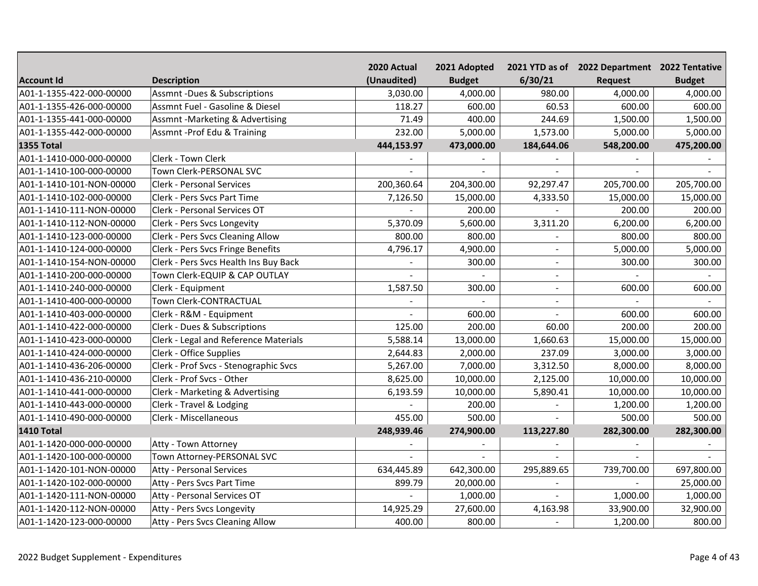|                          |                                         | 2020 Actual | 2021 Adopted  |                | 2021 YTD as of 2022 Department 2022 Tentative |               |
|--------------------------|-----------------------------------------|-------------|---------------|----------------|-----------------------------------------------|---------------|
| <b>Account Id</b>        | <b>Description</b>                      | (Unaudited) | <b>Budget</b> | 6/30/21        | <b>Request</b>                                | <b>Budget</b> |
| A01-1-1355-422-000-00000 | <b>Assmnt-Dues &amp; Subscriptions</b>  | 3,030.00    | 4,000.00      | 980.00         | 4,000.00                                      | 4,000.00      |
| A01-1-1355-426-000-00000 | Assmnt Fuel - Gasoline & Diesel         | 118.27      | 600.00        | 60.53          | 600.00                                        | 600.00        |
| A01-1-1355-441-000-00000 | Assmnt -Marketing & Advertising         | 71.49       | 400.00        | 244.69         | 1,500.00                                      | 1,500.00      |
| A01-1-1355-442-000-00000 | Assmnt-Prof Edu & Training              | 232.00      | 5,000.00      | 1,573.00       | 5,000.00                                      | 5,000.00      |
| <b>1355 Total</b>        |                                         | 444,153.97  | 473,000.00    | 184,644.06     | 548,200.00                                    | 475,200.00    |
| A01-1-1410-000-000-00000 | <b>Clerk - Town Clerk</b>               |             |               |                |                                               |               |
| A01-1-1410-100-000-00000 | Town Clerk-PERSONAL SVC                 |             |               |                |                                               |               |
| A01-1-1410-101-NON-00000 | <b>Clerk - Personal Services</b>        | 200,360.64  | 204,300.00    | 92,297.47      | 205,700.00                                    | 205,700.00    |
| A01-1-1410-102-000-00000 | Clerk - Pers Svcs Part Time             | 7,126.50    | 15,000.00     | 4,333.50       | 15,000.00                                     | 15,000.00     |
| A01-1-1410-111-NON-00000 | Clerk - Personal Services OT            |             | 200.00        |                | 200.00                                        | 200.00        |
| A01-1-1410-112-NON-00000 | Clerk - Pers Svcs Longevity             | 5,370.09    | 5,600.00      | 3,311.20       | 6,200.00                                      | 6,200.00      |
| A01-1-1410-123-000-00000 | <b>Clerk - Pers Svcs Cleaning Allow</b> | 800.00      | 800.00        |                | 800.00                                        | 800.00        |
| A01-1-1410-124-000-00000 | Clerk - Pers Svcs Fringe Benefits       | 4,796.17    | 4,900.00      |                | 5,000.00                                      | 5,000.00      |
| A01-1-1410-154-NON-00000 | Clerk - Pers Svcs Health Ins Buy Back   |             | 300.00        | $\blacksquare$ | 300.00                                        | 300.00        |
| A01-1-1410-200-000-00000 | Town Clerk-EQUIP & CAP OUTLAY           |             |               |                |                                               |               |
| A01-1-1410-240-000-00000 | Clerk - Equipment                       | 1,587.50    | 300.00        | $\blacksquare$ | 600.00                                        | 600.00        |
| A01-1-1410-400-000-00000 | Town Clerk-CONTRACTUAL                  |             |               |                |                                               |               |
| A01-1-1410-403-000-00000 | Clerk - R&M - Equipment                 |             | 600.00        |                | 600.00                                        | 600.00        |
| A01-1-1410-422-000-00000 | Clerk - Dues & Subscriptions            | 125.00      | 200.00        | 60.00          | 200.00                                        | 200.00        |
| A01-1-1410-423-000-00000 | Clerk - Legal and Reference Materials   | 5,588.14    | 13,000.00     | 1,660.63       | 15,000.00                                     | 15,000.00     |
| A01-1-1410-424-000-00000 | Clerk - Office Supplies                 | 2,644.83    | 2,000.00      | 237.09         | 3,000.00                                      | 3,000.00      |
| A01-1-1410-436-206-00000 | Clerk - Prof Svcs - Stenographic Svcs   | 5,267.00    | 7,000.00      | 3,312.50       | 8,000.00                                      | 8,000.00      |
| A01-1-1410-436-210-00000 | Clerk - Prof Svcs - Other               | 8,625.00    | 10,000.00     | 2,125.00       | 10,000.00                                     | 10,000.00     |
| A01-1-1410-441-000-00000 | Clerk - Marketing & Advertising         | 6,193.59    | 10,000.00     | 5,890.41       | 10,000.00                                     | 10,000.00     |
| A01-1-1410-443-000-00000 | Clerk - Travel & Lodging                |             | 200.00        |                | 1,200.00                                      | 1,200.00      |
| A01-1-1410-490-000-00000 | Clerk - Miscellaneous                   | 455.00      | 500.00        |                | 500.00                                        | 500.00        |
| <b>1410 Total</b>        |                                         | 248,939.46  | 274,900.00    | 113,227.80     | 282,300.00                                    | 282,300.00    |
| A01-1-1420-000-000-00000 | Atty - Town Attorney                    |             |               |                |                                               |               |
| A01-1-1420-100-000-00000 | Town Attorney-PERSONAL SVC              |             |               |                |                                               |               |
| A01-1-1420-101-NON-00000 | <b>Atty - Personal Services</b>         | 634,445.89  | 642,300.00    | 295,889.65     | 739,700.00                                    | 697,800.00    |
| A01-1-1420-102-000-00000 | Atty - Pers Svcs Part Time              | 899.79      | 20,000.00     |                |                                               | 25,000.00     |
| A01-1-1420-111-NON-00000 | Atty - Personal Services OT             |             | 1,000.00      | $\sim$         | 1,000.00                                      | 1,000.00      |
| A01-1-1420-112-NON-00000 | Atty - Pers Svcs Longevity              | 14,925.29   | 27,600.00     | 4,163.98       | 33,900.00                                     | 32,900.00     |
| A01-1-1420-123-000-00000 | Atty - Pers Svcs Cleaning Allow         | 400.00      | 800.00        |                | 1,200.00                                      | 800.00        |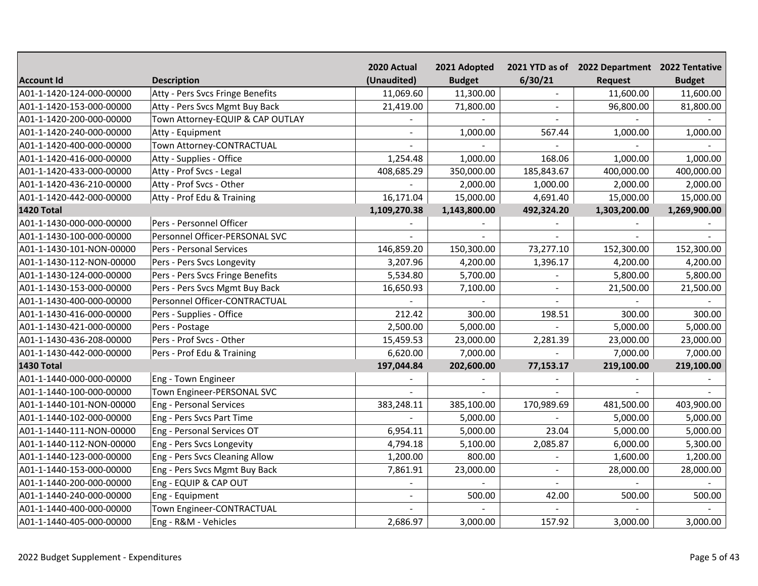|                          |                                  | 2020 Actual    | 2021 Adopted   |            | 2021 YTD as of 2022 Department 2022 Tentative |               |
|--------------------------|----------------------------------|----------------|----------------|------------|-----------------------------------------------|---------------|
| <b>Account Id</b>        | <b>Description</b>               | (Unaudited)    | <b>Budget</b>  | 6/30/21    | Request                                       | <b>Budget</b> |
| A01-1-1420-124-000-00000 | Atty - Pers Svcs Fringe Benefits | 11,069.60      | 11,300.00      |            | 11,600.00                                     | 11,600.00     |
| A01-1-1420-153-000-00000 | Atty - Pers Svcs Mgmt Buy Back   | 21,419.00      | 71,800.00      |            | 96,800.00                                     | 81,800.00     |
| A01-1-1420-200-000-00000 | Town Attorney-EQUIP & CAP OUTLAY |                |                |            |                                               |               |
| A01-1-1420-240-000-00000 | Atty - Equipment                 |                | 1,000.00       | 567.44     | 1,000.00                                      | 1,000.00      |
| A01-1-1420-400-000-00000 | Town Attorney-CONTRACTUAL        |                |                |            |                                               |               |
| A01-1-1420-416-000-00000 | Atty - Supplies - Office         | 1,254.48       | 1,000.00       | 168.06     | 1,000.00                                      | 1,000.00      |
| A01-1-1420-433-000-00000 | Atty - Prof Svcs - Legal         | 408,685.29     | 350,000.00     | 185,843.67 | 400,000.00                                    | 400,000.00    |
| A01-1-1420-436-210-00000 | Atty - Prof Svcs - Other         |                | 2,000.00       | 1,000.00   | 2,000.00                                      | 2,000.00      |
| A01-1-1420-442-000-00000 | Atty - Prof Edu & Training       | 16,171.04      | 15,000.00      | 4,691.40   | 15,000.00                                     | 15,000.00     |
| <b>1420 Total</b>        |                                  | 1,109,270.38   | 1,143,800.00   | 492,324.20 | 1,303,200.00                                  | 1,269,900.00  |
| A01-1-1430-000-000-00000 | Pers - Personnel Officer         |                |                |            |                                               |               |
| A01-1-1430-100-000-00000 | Personnel Officer-PERSONAL SVC   |                | $\sim$         |            |                                               |               |
| A01-1-1430-101-NON-00000 | Pers - Personal Services         | 146,859.20     | 150,300.00     | 73,277.10  | 152,300.00                                    | 152,300.00    |
| A01-1-1430-112-NON-00000 | Pers - Pers Svcs Longevity       | 3,207.96       | 4,200.00       | 1,396.17   | 4,200.00                                      | 4,200.00      |
| A01-1-1430-124-000-00000 | Pers - Pers Svcs Fringe Benefits | 5,534.80       | 5,700.00       |            | 5,800.00                                      | 5,800.00      |
| A01-1-1430-153-000-00000 | Pers - Pers Svcs Mgmt Buy Back   | 16,650.93      | 7,100.00       |            | 21,500.00                                     | 21,500.00     |
| A01-1-1430-400-000-00000 | Personnel Officer-CONTRACTUAL    |                |                |            |                                               |               |
| A01-1-1430-416-000-00000 | Pers - Supplies - Office         | 212.42         | 300.00         | 198.51     | 300.00                                        | 300.00        |
| A01-1-1430-421-000-00000 | Pers - Postage                   | 2,500.00       | 5,000.00       |            | 5,000.00                                      | 5,000.00      |
| A01-1-1430-436-208-00000 | Pers - Prof Svcs - Other         | 15,459.53      | 23,000.00      | 2,281.39   | 23,000.00                                     | 23,000.00     |
| A01-1-1430-442-000-00000 | Pers - Prof Edu & Training       | 6,620.00       | 7,000.00       |            | 7,000.00                                      | 7,000.00      |
| <b>1430 Total</b>        |                                  | 197,044.84     | 202,600.00     | 77,153.17  | 219,100.00                                    | 219,100.00    |
| A01-1-1440-000-000-00000 | Eng - Town Engineer              |                |                |            |                                               |               |
| A01-1-1440-100-000-00000 | Town Engineer-PERSONAL SVC       |                | $\overline{a}$ |            |                                               |               |
| A01-1-1440-101-NON-00000 | <b>Eng - Personal Services</b>   | 383,248.11     | 385,100.00     | 170,989.69 | 481,500.00                                    | 403,900.00    |
| A01-1-1440-102-000-00000 | Eng - Pers Svcs Part Time        |                | 5,000.00       |            | 5,000.00                                      | 5,000.00      |
| A01-1-1440-111-NON-00000 | Eng - Personal Services OT       | 6,954.11       | 5,000.00       | 23.04      | 5,000.00                                      | 5,000.00      |
| A01-1-1440-112-NON-00000 | Eng - Pers Svcs Longevity        | 4,794.18       | 5,100.00       | 2,085.87   | 6,000.00                                      | 5,300.00      |
| A01-1-1440-123-000-00000 | Eng - Pers Svcs Cleaning Allow   | 1,200.00       | 800.00         |            | 1,600.00                                      | 1,200.00      |
| A01-1-1440-153-000-00000 | Eng - Pers Svcs Mgmt Buy Back    | 7,861.91       | 23,000.00      | $\sim$     | 28,000.00                                     | 28,000.00     |
| A01-1-1440-200-000-00000 | Eng - EQUIP & CAP OUT            |                |                |            |                                               |               |
| A01-1-1440-240-000-00000 | Eng - Equipment                  | $\overline{a}$ | 500.00         | 42.00      | 500.00                                        | 500.00        |
| A01-1-1440-400-000-00000 | Town Engineer-CONTRACTUAL        |                |                |            |                                               |               |
| A01-1-1440-405-000-00000 | Eng - R&M - Vehicles             | 2,686.97       | 3,000.00       | 157.92     | 3,000.00                                      | 3,000.00      |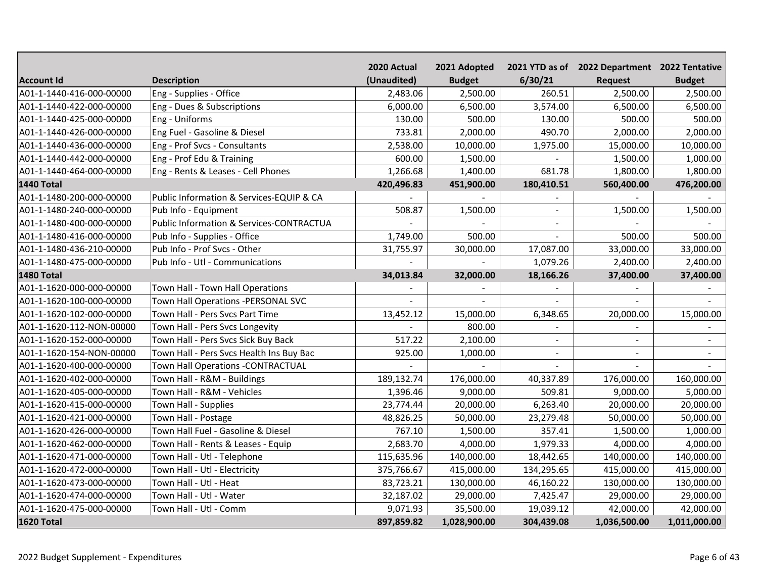|                          |                                                     | 2020 Actual | 2021 Adopted   |                | 2021 YTD as of 2022 Department 2022 Tentative |                          |
|--------------------------|-----------------------------------------------------|-------------|----------------|----------------|-----------------------------------------------|--------------------------|
| <b>Account Id</b>        | <b>Description</b>                                  | (Unaudited) | <b>Budget</b>  | 6/30/21        | <b>Request</b>                                | <b>Budget</b>            |
| A01-1-1440-416-000-00000 | Eng - Supplies - Office                             | 2,483.06    | 2,500.00       | 260.51         | 2,500.00                                      | 2,500.00                 |
| A01-1-1440-422-000-00000 | Eng - Dues & Subscriptions                          | 6,000.00    | 6,500.00       | 3,574.00       | 6,500.00                                      | 6,500.00                 |
| A01-1-1440-425-000-00000 | Eng - Uniforms                                      | 130.00      | 500.00         | 130.00         | 500.00                                        | 500.00                   |
| A01-1-1440-426-000-00000 | Eng Fuel - Gasoline & Diesel                        | 733.81      | 2,000.00       | 490.70         | 2,000.00                                      | 2,000.00                 |
| A01-1-1440-436-000-00000 | Eng - Prof Svcs - Consultants                       | 2,538.00    | 10,000.00      | 1,975.00       | 15,000.00                                     | 10,000.00                |
| A01-1-1440-442-000-00000 | Eng - Prof Edu & Training                           | 600.00      | 1,500.00       |                | 1,500.00                                      | 1,000.00                 |
| A01-1-1440-464-000-00000 | Eng - Rents & Leases - Cell Phones                  | 1,266.68    | 1,400.00       | 681.78         | 1,800.00                                      | 1,800.00                 |
| 1440 Total               |                                                     | 420,496.83  | 451,900.00     | 180,410.51     | 560,400.00                                    | 476,200.00               |
| A01-1-1480-200-000-00000 | Public Information & Services-EQUIP & CA            |             | $\overline{a}$ |                |                                               |                          |
| A01-1-1480-240-000-00000 | Pub Info - Equipment                                | 508.87      | 1,500.00       | $\sim$         | 1,500.00                                      | 1,500.00                 |
| A01-1-1480-400-000-00000 | <b>Public Information &amp; Services-CONTRACTUA</b> |             |                | $\sim$         |                                               |                          |
| A01-1-1480-416-000-00000 | Pub Info - Supplies - Office                        | 1,749.00    | 500.00         |                | 500.00                                        | 500.00                   |
| A01-1-1480-436-210-00000 | Pub Info - Prof Svcs - Other                        | 31,755.97   | 30,000.00      | 17,087.00      | 33,000.00                                     | 33,000.00                |
| A01-1-1480-475-000-00000 | Pub Info - Utl - Communications                     |             |                | 1,079.26       | 2,400.00                                      | 2,400.00                 |
| 1480 Total               |                                                     | 34,013.84   | 32,000.00      | 18,166.26      | 37,400.00                                     | 37,400.00                |
| A01-1-1620-000-000-00000 | Town Hall - Town Hall Operations                    |             |                |                |                                               |                          |
| A01-1-1620-100-000-00000 | Town Hall Operations -PERSONAL SVC                  |             |                |                |                                               |                          |
| A01-1-1620-102-000-00000 | Town Hall - Pers Svcs Part Time                     | 13,452.12   | 15,000.00      | 6,348.65       | 20,000.00                                     | 15,000.00                |
| A01-1-1620-112-NON-00000 | Town Hall - Pers Svcs Longevity                     |             | 800.00         |                |                                               |                          |
| A01-1-1620-152-000-00000 | Town Hall - Pers Svcs Sick Buy Back                 | 517.22      | 2,100.00       | $\blacksquare$ | $\sim$                                        | $\overline{\phantom{a}}$ |
| A01-1-1620-154-NON-00000 | Town Hall - Pers Svcs Health Ins Buy Bac            | 925.00      | 1,000.00       | $\sim$         | $\blacksquare$                                |                          |
| A01-1-1620-400-000-00000 | Town Hall Operations - CONTRACTUAL                  |             |                |                |                                               |                          |
| A01-1-1620-402-000-00000 | Town Hall - R&M - Buildings                         | 189,132.74  | 176,000.00     | 40,337.89      | 176,000.00                                    | 160,000.00               |
| A01-1-1620-405-000-00000 | Town Hall - R&M - Vehicles                          | 1,396.46    | 9,000.00       | 509.81         | 9,000.00                                      | 5,000.00                 |
| A01-1-1620-415-000-00000 | Town Hall - Supplies                                | 23,774.44   | 20,000.00      | 6,263.40       | 20,000.00                                     | 20,000.00                |
| A01-1-1620-421-000-00000 | Town Hall - Postage                                 | 48,826.25   | 50,000.00      | 23,279.48      | 50,000.00                                     | 50,000.00                |
| A01-1-1620-426-000-00000 | Town Hall Fuel - Gasoline & Diesel                  | 767.10      | 1,500.00       | 357.41         | 1,500.00                                      | 1,000.00                 |
| A01-1-1620-462-000-00000 | Town Hall - Rents & Leases - Equip                  | 2,683.70    | 4,000.00       | 1,979.33       | 4,000.00                                      | 4,000.00                 |
| A01-1-1620-471-000-00000 | Town Hall - Utl - Telephone                         | 115,635.96  | 140,000.00     | 18,442.65      | 140,000.00                                    | 140,000.00               |
| A01-1-1620-472-000-00000 | Town Hall - Utl - Electricity                       | 375,766.67  | 415,000.00     | 134,295.65     | 415,000.00                                    | 415,000.00               |
| A01-1-1620-473-000-00000 | Town Hall - Utl - Heat                              | 83,723.21   | 130,000.00     | 46,160.22      | 130,000.00                                    | 130,000.00               |
| A01-1-1620-474-000-00000 | Town Hall - Utl - Water                             | 32,187.02   | 29,000.00      | 7,425.47       | 29,000.00                                     | 29,000.00                |
| A01-1-1620-475-000-00000 | Town Hall - Utl - Comm                              | 9,071.93    | 35,500.00      | 19,039.12      | 42,000.00                                     | 42,000.00                |
| 1620 Total               |                                                     | 897,859.82  | 1,028,900.00   | 304,439.08     | 1,036,500.00                                  | 1,011,000.00             |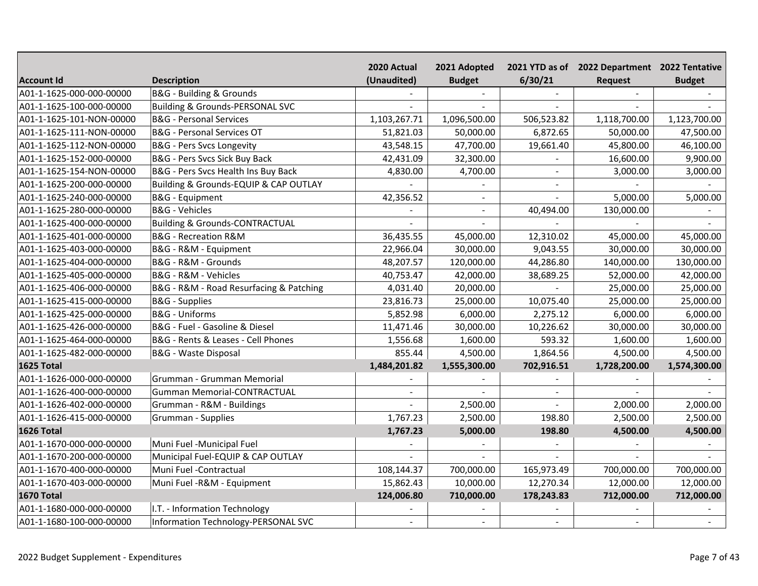|                          |                                            | 2020 Actual    | 2021 Adopted   |                | 2021 YTD as of 2022 Department 2022 Tentative |               |
|--------------------------|--------------------------------------------|----------------|----------------|----------------|-----------------------------------------------|---------------|
| <b>Account Id</b>        | <b>Description</b>                         | (Unaudited)    | <b>Budget</b>  | 6/30/21        | <b>Request</b>                                | <b>Budget</b> |
| A01-1-1625-000-000-00000 | B&G - Building & Grounds                   |                |                |                |                                               |               |
| A01-1-1625-100-000-00000 | <b>Building &amp; Grounds-PERSONAL SVC</b> |                |                |                |                                               |               |
| A01-1-1625-101-NON-00000 | <b>B&amp;G</b> - Personal Services         | 1,103,267.71   | 1,096,500.00   | 506,523.82     | 1,118,700.00                                  | 1,123,700.00  |
| A01-1-1625-111-NON-00000 | <b>B&amp;G</b> - Personal Services OT      | 51,821.03      | 50,000.00      | 6,872.65       | 50,000.00                                     | 47,500.00     |
| A01-1-1625-112-NON-00000 | <b>B&amp;G</b> - Pers Svcs Longevity       | 43,548.15      | 47,700.00      | 19,661.40      | 45,800.00                                     | 46,100.00     |
| A01-1-1625-152-000-00000 | B&G - Pers Svcs Sick Buy Back              | 42,431.09      | 32,300.00      |                | 16,600.00                                     | 9,900.00      |
| A01-1-1625-154-NON-00000 | B&G - Pers Svcs Health Ins Buy Back        | 4,830.00       | 4,700.00       | $\sim$         | 3,000.00                                      | 3,000.00      |
| A01-1-1625-200-000-00000 | Building & Grounds-EQUIP & CAP OUTLAY      |                |                | $\sim$         |                                               |               |
| A01-1-1625-240-000-00000 | <b>B&amp;G</b> - Equipment                 | 42,356.52      | $\blacksquare$ | $\blacksquare$ | 5,000.00                                      | 5,000.00      |
| A01-1-1625-280-000-00000 | <b>B&amp;G</b> - Vehicles                  |                | $\blacksquare$ | 40,494.00      | 130,000.00                                    |               |
| A01-1-1625-400-000-00000 | <b>Building &amp; Grounds-CONTRACTUAL</b>  |                |                |                |                                               |               |
| A01-1-1625-401-000-00000 | B&G - Recreation R&M                       | 36,435.55      | 45,000.00      | 12,310.02      | 45,000.00                                     | 45,000.00     |
| A01-1-1625-403-000-00000 | B&G - R&M - Equipment                      | 22,966.04      | 30,000.00      | 9,043.55       | 30,000.00                                     | 30,000.00     |
| A01-1-1625-404-000-00000 | B&G - R&M - Grounds                        | 48,207.57      | 120,000.00     | 44,286.80      | 140,000.00                                    | 130,000.00    |
| A01-1-1625-405-000-00000 | B&G - R&M - Vehicles                       | 40,753.47      | 42,000.00      | 38,689.25      | 52,000.00                                     | 42,000.00     |
| A01-1-1625-406-000-00000 | B&G - R&M - Road Resurfacing & Patching    | 4,031.40       | 20,000.00      |                | 25,000.00                                     | 25,000.00     |
| A01-1-1625-415-000-00000 | <b>B&amp;G</b> - Supplies                  | 23,816.73      | 25,000.00      | 10,075.40      | 25,000.00                                     | 25,000.00     |
| A01-1-1625-425-000-00000 | <b>B&amp;G</b> - Uniforms                  | 5,852.98       | 6,000.00       | 2,275.12       | 6,000.00                                      | 6,000.00      |
| A01-1-1625-426-000-00000 | B&G - Fuel - Gasoline & Diesel             | 11,471.46      | 30,000.00      | 10,226.62      | 30,000.00                                     | 30,000.00     |
| A01-1-1625-464-000-00000 | B&G - Rents & Leases - Cell Phones         | 1,556.68       | 1,600.00       | 593.32         | 1,600.00                                      | 1,600.00      |
| A01-1-1625-482-000-00000 | B&G - Waste Disposal                       | 855.44         | 4,500.00       | 1,864.56       | 4,500.00                                      | 4,500.00      |
| 1625 Total               |                                            | 1,484,201.82   | 1,555,300.00   | 702,916.51     | 1,728,200.00                                  | 1,574,300.00  |
| A01-1-1626-000-000-00000 | Grumman - Grumman Memorial                 |                |                |                |                                               |               |
| A01-1-1626-400-000-00000 | <b>Gumman Memorial-CONTRACTUAL</b>         | $\overline{a}$ |                |                |                                               |               |
| A01-1-1626-402-000-00000 | Grumman - R&M - Buildings                  |                | 2,500.00       |                | 2,000.00                                      | 2,000.00      |
| A01-1-1626-415-000-00000 | Grumman - Supplies                         | 1,767.23       | 2,500.00       | 198.80         | 2,500.00                                      | 2,500.00      |
| 1626 Total               |                                            | 1,767.23       | 5,000.00       | 198.80         | 4,500.00                                      | 4,500.00      |
| A01-1-1670-000-000-00000 | Muni Fuel -Municipal Fuel                  |                |                |                |                                               |               |
| A01-1-1670-200-000-00000 | Municipal Fuel-EQUIP & CAP OUTLAY          |                |                |                |                                               |               |
| A01-1-1670-400-000-00000 | Muni Fuel -Contractual                     | 108,144.37     | 700,000.00     | 165,973.49     | 700,000.00                                    | 700,000.00    |
| A01-1-1670-403-000-00000 | Muni Fuel - R&M - Equipment                | 15,862.43      | 10,000.00      | 12,270.34      | 12,000.00                                     | 12,000.00     |
| <b>1670 Total</b>        |                                            | 124,006.80     | 710,000.00     | 178,243.83     | 712,000.00                                    | 712,000.00    |
| A01-1-1680-000-000-00000 | I.T. - Information Technology              |                |                |                |                                               |               |
| A01-1-1680-100-000-00000 | Information Technology-PERSONAL SVC        | $\blacksquare$ | $\blacksquare$ | $\sim$         | $\blacksquare$                                |               |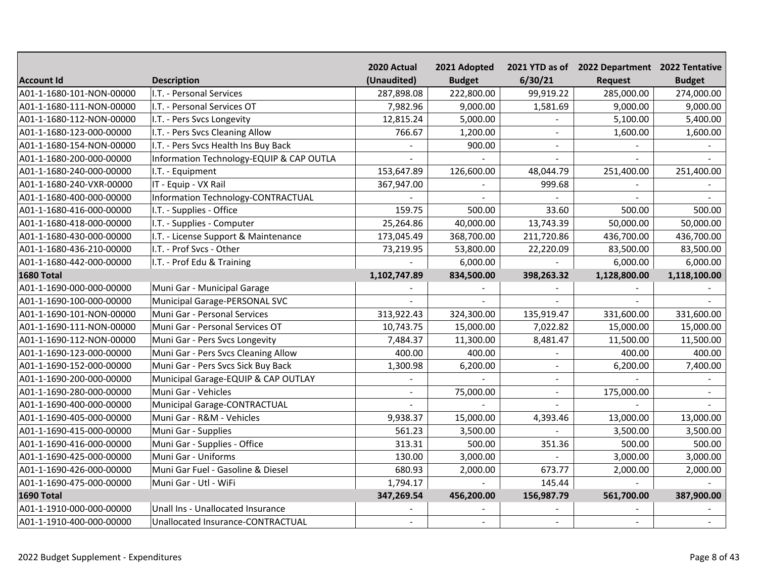|                          |                                          | 2020 Actual              | 2021 Adopted   |                | 2021 YTD as of 2022 Department 2022 Tentative |               |
|--------------------------|------------------------------------------|--------------------------|----------------|----------------|-----------------------------------------------|---------------|
| <b>Account Id</b>        | <b>Description</b>                       | (Unaudited)              | <b>Budget</b>  | 6/30/21        | <b>Request</b>                                | <b>Budget</b> |
| A01-1-1680-101-NON-00000 | I.T. - Personal Services                 | 287,898.08               | 222,800.00     | 99,919.22      | 285,000.00                                    | 274,000.00    |
| A01-1-1680-111-NON-00000 | I.T. - Personal Services OT              | 7,982.96                 | 9,000.00       | 1,581.69       | 9,000.00                                      | 9,000.00      |
| A01-1-1680-112-NON-00000 | I.T. - Pers Svcs Longevity               | 12,815.24                | 5,000.00       |                | 5,100.00                                      | 5,400.00      |
| A01-1-1680-123-000-00000 | I.T. - Pers Svcs Cleaning Allow          | 766.67                   | 1,200.00       |                | 1,600.00                                      | 1,600.00      |
| A01-1-1680-154-NON-00000 | I.T. - Pers Svcs Health Ins Buy Back     |                          | 900.00         |                |                                               |               |
| A01-1-1680-200-000-00000 | Information Technology-EQUIP & CAP OUTLA |                          |                | $\blacksquare$ |                                               |               |
| A01-1-1680-240-000-00000 | I.T. - Equipment                         | 153,647.89               | 126,600.00     | 48,044.79      | 251,400.00                                    | 251,400.00    |
| A01-1-1680-240-VXR-00000 | IT - Equip - VX Rail                     | 367,947.00               |                | 999.68         |                                               |               |
| A01-1-1680-400-000-00000 | Information Technology-CONTRACTUAL       |                          | $\overline{a}$ |                |                                               |               |
| A01-1-1680-416-000-00000 | I.T. - Supplies - Office                 | 159.75                   | 500.00         | 33.60          | 500.00                                        | 500.00        |
| A01-1-1680-418-000-00000 | I.T. - Supplies - Computer               | 25,264.86                | 40,000.00      | 13,743.39      | 50,000.00                                     | 50,000.00     |
| A01-1-1680-430-000-00000 | I.T. - License Support & Maintenance     | 173,045.49               | 368,700.00     | 211,720.86     | 436,700.00                                    | 436,700.00    |
| A01-1-1680-436-210-00000 | I.T. - Prof Svcs - Other                 | 73,219.95                | 53,800.00      | 22,220.09      | 83,500.00                                     | 83,500.00     |
| A01-1-1680-442-000-00000 | I.T. - Prof Edu & Training               |                          | 6,000.00       |                | 6,000.00                                      | 6,000.00      |
| <b>1680 Total</b>        |                                          | 1,102,747.89             | 834,500.00     | 398,263.32     | 1,128,800.00                                  | 1,118,100.00  |
| A01-1-1690-000-000-00000 | Muni Gar - Municipal Garage              |                          |                |                |                                               |               |
| A01-1-1690-100-000-00000 | Municipal Garage-PERSONAL SVC            |                          |                |                |                                               |               |
| A01-1-1690-101-NON-00000 | Muni Gar - Personal Services             | 313,922.43               | 324,300.00     | 135,919.47     | 331,600.00                                    | 331,600.00    |
| A01-1-1690-111-NON-00000 | Muni Gar - Personal Services OT          | 10,743.75                | 15,000.00      | 7,022.82       | 15,000.00                                     | 15,000.00     |
| A01-1-1690-112-NON-00000 | Muni Gar - Pers Svcs Longevity           | 7,484.37                 | 11,300.00      | 8,481.47       | 11,500.00                                     | 11,500.00     |
| A01-1-1690-123-000-00000 | Muni Gar - Pers Svcs Cleaning Allow      | 400.00                   | 400.00         |                | 400.00                                        | 400.00        |
| A01-1-1690-152-000-00000 | Muni Gar - Pers Svcs Sick Buy Back       | 1,300.98                 | 6,200.00       | $\overline{a}$ | 6,200.00                                      | 7,400.00      |
| A01-1-1690-200-000-00000 | Municipal Garage-EQUIP & CAP OUTLAY      |                          |                |                |                                               |               |
| A01-1-1690-280-000-00000 | Muni Gar - Vehicles                      | $\overline{\phantom{a}}$ | 75,000.00      | $\sim$         | 175,000.00                                    |               |
| A01-1-1690-400-000-00000 | Municipal Garage-CONTRACTUAL             |                          |                |                |                                               |               |
| A01-1-1690-405-000-00000 | Muni Gar - R&M - Vehicles                | 9,938.37                 | 15,000.00      | 4,393.46       | 13,000.00                                     | 13,000.00     |
| A01-1-1690-415-000-00000 | Muni Gar - Supplies                      | 561.23                   | 3,500.00       |                | 3,500.00                                      | 3,500.00      |
| A01-1-1690-416-000-00000 | Muni Gar - Supplies - Office             | 313.31                   | 500.00         | 351.36         | 500.00                                        | 500.00        |
| A01-1-1690-425-000-00000 | Muni Gar - Uniforms                      | 130.00                   | 3,000.00       |                | 3,000.00                                      | 3,000.00      |
| A01-1-1690-426-000-00000 | Muni Gar Fuel - Gasoline & Diesel        | 680.93                   | 2,000.00       | 673.77         | 2,000.00                                      | 2,000.00      |
| A01-1-1690-475-000-00000 | Muni Gar - Utl - WiFi                    | 1,794.17                 |                | 145.44         |                                               |               |
| 1690 Total               |                                          | 347,269.54               | 456,200.00     | 156,987.79     | 561,700.00                                    | 387,900.00    |
| A01-1-1910-000-000-00000 | Unall Ins - Unallocated Insurance        |                          |                |                |                                               |               |
| A01-1-1910-400-000-00000 | Unallocated Insurance-CONTRACTUAL        | $\blacksquare$           | $\sim$         |                |                                               |               |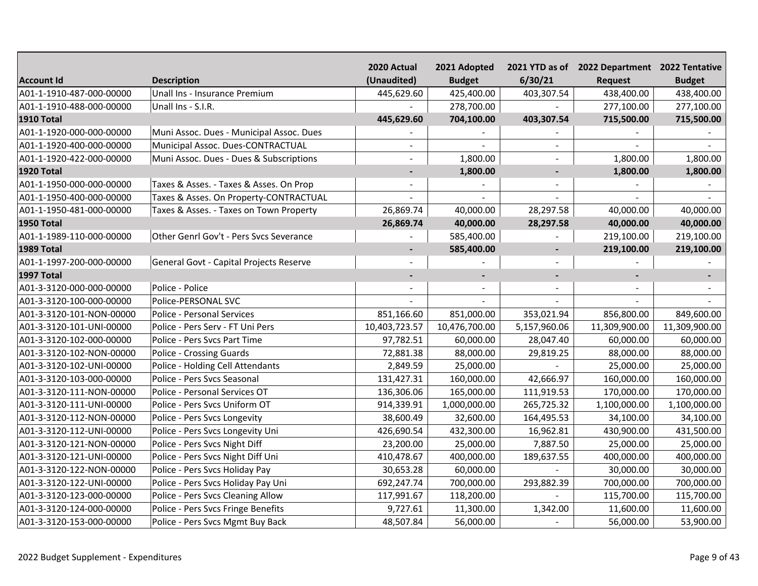|                          |                                          | 2020 Actual              | 2021 Adopted   |                | 2021 YTD as of 2022 Department 2022 Tentative |               |
|--------------------------|------------------------------------------|--------------------------|----------------|----------------|-----------------------------------------------|---------------|
| <b>Account Id</b>        | <b>Description</b>                       | (Unaudited)              | <b>Budget</b>  | 6/30/21        | <b>Request</b>                                | <b>Budget</b> |
| A01-1-1910-487-000-00000 | Unall Ins - Insurance Premium            | 445,629.60               | 425,400.00     | 403,307.54     | 438,400.00                                    | 438,400.00    |
| A01-1-1910-488-000-00000 | Unall Ins - S.I.R.                       |                          | 278,700.00     |                | 277,100.00                                    | 277,100.00    |
| <b>1910 Total</b>        |                                          | 445,629.60               | 704,100.00     | 403,307.54     | 715,500.00                                    | 715,500.00    |
| A01-1-1920-000-000-00000 | Muni Assoc. Dues - Municipal Assoc. Dues |                          |                |                |                                               |               |
| A01-1-1920-400-000-00000 | Municipal Assoc. Dues-CONTRACTUAL        | $\blacksquare$           |                |                |                                               |               |
| A01-1-1920-422-000-00000 | Muni Assoc. Dues - Dues & Subscriptions  | $\overline{a}$           | 1,800.00       |                | 1,800.00                                      | 1,800.00      |
| <b>1920 Total</b>        |                                          |                          | 1,800.00       | $\overline{a}$ | 1,800.00                                      | 1,800.00      |
| A01-1-1950-000-000-00000 | Taxes & Asses. - Taxes & Asses. On Prop  | ÷.                       |                | $\sim$         |                                               |               |
| A01-1-1950-400-000-00000 | Taxes & Asses. On Property-CONTRACTUAL   |                          |                |                |                                               |               |
| A01-1-1950-481-000-00000 | Taxes & Asses. - Taxes on Town Property  | 26,869.74                | 40,000.00      | 28,297.58      | 40,000.00                                     | 40,000.00     |
| <b>1950 Total</b>        |                                          | 26,869.74                | 40,000.00      | 28,297.58      | 40,000.00                                     | 40,000.00     |
| A01-1-1989-110-000-00000 | Other Genrl Gov't - Pers Svcs Severance  |                          | 585,400.00     |                | 219,100.00                                    | 219,100.00    |
| <b>1989 Total</b>        |                                          | $\overline{\phantom{a}}$ | 585,400.00     | $\blacksquare$ | 219,100.00                                    | 219,100.00    |
| A01-1-1997-200-000-00000 | General Govt - Capital Projects Reserve  |                          |                |                |                                               |               |
| <b>1997 Total</b>        |                                          | ٠                        | $\blacksquare$ | $\blacksquare$ |                                               |               |
| A01-3-3120-000-000-00000 | Police - Police                          |                          |                |                |                                               |               |
| A01-3-3120-100-000-00000 | Police-PERSONAL SVC                      |                          |                |                |                                               |               |
| A01-3-3120-101-NON-00000 | <b>Police - Personal Services</b>        | 851,166.60               | 851,000.00     | 353,021.94     | 856,800.00                                    | 849,600.00    |
| A01-3-3120-101-UNI-00000 | Police - Pers Serv - FT Uni Pers         | 10,403,723.57            | 10,476,700.00  | 5,157,960.06   | 11,309,900.00                                 | 11,309,900.00 |
| A01-3-3120-102-000-00000 | Police - Pers Svcs Part Time             | 97,782.51                | 60,000.00      | 28,047.40      | 60,000.00                                     | 60,000.00     |
| A01-3-3120-102-NON-00000 | <b>Police - Crossing Guards</b>          | 72,881.38                | 88,000.00      | 29,819.25      | 88,000.00                                     | 88,000.00     |
| A01-3-3120-102-UNI-00000 | Police - Holding Cell Attendants         | 2,849.59                 | 25,000.00      |                | 25,000.00                                     | 25,000.00     |
| A01-3-3120-103-000-00000 | Police - Pers Svcs Seasonal              | 131,427.31               | 160,000.00     | 42,666.97      | 160,000.00                                    | 160,000.00    |
| A01-3-3120-111-NON-00000 | Police - Personal Services OT            | 136,306.06               | 165,000.00     | 111,919.53     | 170,000.00                                    | 170,000.00    |
| A01-3-3120-111-UNI-00000 | Police - Pers Svcs Uniform OT            | 914,339.91               | 1,000,000.00   | 265,725.32     | 1,100,000.00                                  | 1,100,000.00  |
| A01-3-3120-112-NON-00000 | Police - Pers Svcs Longevity             | 38,600.49                | 32,600.00      | 164,495.53     | 34,100.00                                     | 34,100.00     |
| A01-3-3120-112-UNI-00000 | Police - Pers Svcs Longevity Uni         | 426,690.54               | 432,300.00     | 16,962.81      | 430,900.00                                    | 431,500.00    |
| A01-3-3120-121-NON-00000 | Police - Pers Svcs Night Diff            | 23,200.00                | 25,000.00      | 7,887.50       | 25,000.00                                     | 25,000.00     |
| A01-3-3120-121-UNI-00000 | Police - Pers Svcs Night Diff Uni        | 410,478.67               | 400,000.00     | 189,637.55     | 400,000.00                                    | 400,000.00    |
| A01-3-3120-122-NON-00000 | Police - Pers Svcs Holiday Pay           | 30,653.28                | 60,000.00      |                | 30,000.00                                     | 30,000.00     |
| A01-3-3120-122-UNI-00000 | Police - Pers Svcs Holiday Pay Uni       | 692,247.74               | 700,000.00     | 293,882.39     | 700,000.00                                    | 700,000.00    |
| A01-3-3120-123-000-00000 | Police - Pers Svcs Cleaning Allow        | 117,991.67               | 118,200.00     |                | 115,700.00                                    | 115,700.00    |
| A01-3-3120-124-000-00000 | Police - Pers Svcs Fringe Benefits       | 9,727.61                 | 11,300.00      | 1,342.00       | 11,600.00                                     | 11,600.00     |
| A01-3-3120-153-000-00000 | Police - Pers Svcs Mgmt Buy Back         | 48,507.84                | 56,000.00      |                | 56,000.00                                     | 53,900.00     |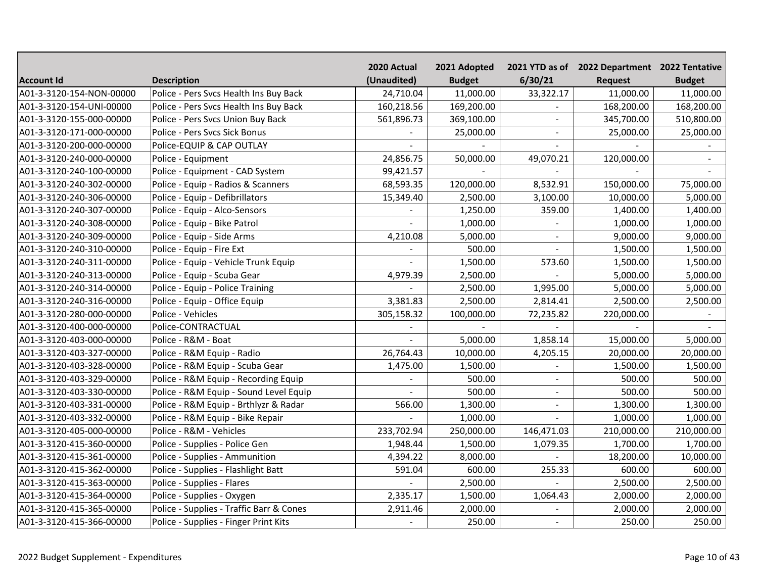|                          |                                          | 2020 Actual | 2021 Adopted  |                | 2021 YTD as of 2022 Department 2022 Tentative |               |
|--------------------------|------------------------------------------|-------------|---------------|----------------|-----------------------------------------------|---------------|
| Account Id               | <b>Description</b>                       | (Unaudited) | <b>Budget</b> | 6/30/21        | <b>Request</b>                                | <b>Budget</b> |
| A01-3-3120-154-NON-00000 | Police - Pers Svcs Health Ins Buy Back   | 24,710.04   | 11,000.00     | 33,322.17      | 11,000.00                                     | 11,000.00     |
| A01-3-3120-154-UNI-00000 | Police - Pers Svcs Health Ins Buy Back   | 160,218.56  | 169,200.00    |                | 168,200.00                                    | 168,200.00    |
| A01-3-3120-155-000-00000 | Police - Pers Svcs Union Buy Back        | 561,896.73  | 369,100.00    |                | 345,700.00                                    | 510,800.00    |
| A01-3-3120-171-000-00000 | Police - Pers Svcs Sick Bonus            |             | 25,000.00     |                | 25,000.00                                     | 25,000.00     |
| A01-3-3120-200-000-00000 | Police-EQUIP & CAP OUTLAY                |             |               |                |                                               |               |
| A01-3-3120-240-000-00000 | Police - Equipment                       | 24,856.75   | 50,000.00     | 49,070.21      | 120,000.00                                    |               |
| A01-3-3120-240-100-00000 | Police - Equipment - CAD System          | 99,421.57   |               |                |                                               |               |
| A01-3-3120-240-302-00000 | Police - Equip - Radios & Scanners       | 68,593.35   | 120,000.00    | 8,532.91       | 150,000.00                                    | 75,000.00     |
| A01-3-3120-240-306-00000 | Police - Equip - Defibrillators          | 15,349.40   | 2,500.00      | 3,100.00       | 10,000.00                                     | 5,000.00      |
| A01-3-3120-240-307-00000 | Police - Equip - Alco-Sensors            |             | 1,250.00      | 359.00         | 1,400.00                                      | 1,400.00      |
| A01-3-3120-240-308-00000 | Police - Equip - Bike Patrol             |             | 1,000.00      |                | 1,000.00                                      | 1,000.00      |
| A01-3-3120-240-309-00000 | Police - Equip - Side Arms               | 4,210.08    | 5,000.00      | $\sim$         | 9,000.00                                      | 9,000.00      |
| A01-3-3120-240-310-00000 | Police - Equip - Fire Ext                |             | 500.00        | $\blacksquare$ | 1,500.00                                      | 1,500.00      |
| A01-3-3120-240-311-00000 | Police - Equip - Vehicle Trunk Equip     |             | 1,500.00      | 573.60         | 1,500.00                                      | 1,500.00      |
| A01-3-3120-240-313-00000 | Police - Equip - Scuba Gear              | 4,979.39    | 2,500.00      |                | 5,000.00                                      | 5,000.00      |
| A01-3-3120-240-314-00000 | Police - Equip - Police Training         |             | 2,500.00      | 1,995.00       | 5,000.00                                      | 5,000.00      |
| A01-3-3120-240-316-00000 | Police - Equip - Office Equip            | 3,381.83    | 2,500.00      | 2,814.41       | 2,500.00                                      | 2,500.00      |
| A01-3-3120-280-000-00000 | Police - Vehicles                        | 305,158.32  | 100,000.00    | 72,235.82      | 220,000.00                                    |               |
| A01-3-3120-400-000-00000 | Police-CONTRACTUAL                       |             |               |                |                                               |               |
| A01-3-3120-403-000-00000 | Police - R&M - Boat                      |             | 5,000.00      | 1,858.14       | 15,000.00                                     | 5,000.00      |
| A01-3-3120-403-327-00000 | Police - R&M Equip - Radio               | 26,764.43   | 10,000.00     | 4,205.15       | 20,000.00                                     | 20,000.00     |
| A01-3-3120-403-328-00000 | Police - R&M Equip - Scuba Gear          | 1,475.00    | 1,500.00      |                | 1,500.00                                      | 1,500.00      |
| A01-3-3120-403-329-00000 | Police - R&M Equip - Recording Equip     |             | 500.00        |                | 500.00                                        | 500.00        |
| A01-3-3120-403-330-00000 | Police - R&M Equip - Sound Level Equip   | $\sim$      | 500.00        |                | 500.00                                        | 500.00        |
| A01-3-3120-403-331-00000 | Police - R&M Equip - Brthlyzr & Radar    | 566.00      | 1,300.00      |                | 1,300.00                                      | 1,300.00      |
| A01-3-3120-403-332-00000 | Police - R&M Equip - Bike Repair         |             | 1,000.00      |                | 1,000.00                                      | 1,000.00      |
| A01-3-3120-405-000-00000 | Police - R&M - Vehicles                  | 233,702.94  | 250,000.00    | 146,471.03     | 210,000.00                                    | 210,000.00    |
| A01-3-3120-415-360-00000 | Police - Supplies - Police Gen           | 1,948.44    | 1,500.00      | 1,079.35       | 1,700.00                                      | 1,700.00      |
| A01-3-3120-415-361-00000 | Police - Supplies - Ammunition           | 4,394.22    | 8,000.00      |                | 18,200.00                                     | 10,000.00     |
| A01-3-3120-415-362-00000 | Police - Supplies - Flashlight Batt      | 591.04      | 600.00        | 255.33         | 600.00                                        | 600.00        |
| A01-3-3120-415-363-00000 | Police - Supplies - Flares               |             | 2,500.00      |                | 2,500.00                                      | 2,500.00      |
| A01-3-3120-415-364-00000 | Police - Supplies - Oxygen               | 2,335.17    | 1,500.00      | 1,064.43       | 2,000.00                                      | 2,000.00      |
| A01-3-3120-415-365-00000 | Police - Supplies - Traffic Barr & Cones | 2,911.46    | 2,000.00      | $\sim$         | 2,000.00                                      | 2,000.00      |
| A01-3-3120-415-366-00000 | Police - Supplies - Finger Print Kits    |             | 250.00        | $\equiv$       | 250.00                                        | 250.00        |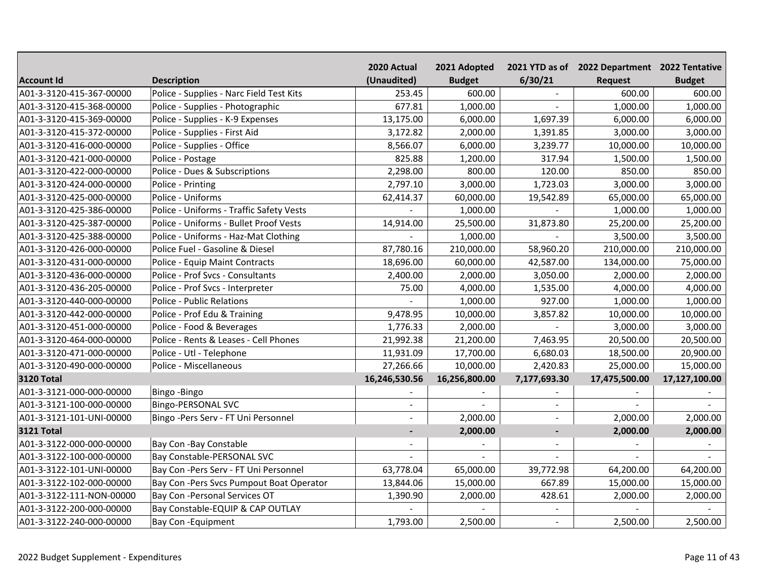|                          |                                          | 2020 Actual              | 2021 Adopted  |              | 2021 YTD as of 2022 Department 2022 Tentative |               |
|--------------------------|------------------------------------------|--------------------------|---------------|--------------|-----------------------------------------------|---------------|
| <b>Account Id</b>        | <b>Description</b>                       | (Unaudited)              | <b>Budget</b> | 6/30/21      | <b>Request</b>                                | <b>Budget</b> |
| A01-3-3120-415-367-00000 | Police - Supplies - Narc Field Test Kits | 253.45                   | 600.00        |              | 600.00                                        | 600.00        |
| A01-3-3120-415-368-00000 | Police - Supplies - Photographic         | 677.81                   | 1,000.00      |              | 1,000.00                                      | 1,000.00      |
| A01-3-3120-415-369-00000 | Police - Supplies - K-9 Expenses         | 13,175.00                | 6,000.00      | 1,697.39     | 6,000.00                                      | 6,000.00      |
| A01-3-3120-415-372-00000 | Police - Supplies - First Aid            | 3,172.82                 | 2,000.00      | 1,391.85     | 3,000.00                                      | 3,000.00      |
| A01-3-3120-416-000-00000 | Police - Supplies - Office               | 8,566.07                 | 6,000.00      | 3,239.77     | 10,000.00                                     | 10,000.00     |
| A01-3-3120-421-000-00000 | Police - Postage                         | 825.88                   | 1,200.00      | 317.94       | 1,500.00                                      | 1,500.00      |
| A01-3-3120-422-000-00000 | Police - Dues & Subscriptions            | 2,298.00                 | 800.00        | 120.00       | 850.00                                        | 850.00        |
| A01-3-3120-424-000-00000 | Police - Printing                        | 2,797.10                 | 3,000.00      | 1,723.03     | 3,000.00                                      | 3,000.00      |
| A01-3-3120-425-000-00000 | Police - Uniforms                        | 62,414.37                | 60,000.00     | 19,542.89    | 65,000.00                                     | 65,000.00     |
| A01-3-3120-425-386-00000 | Police - Uniforms - Traffic Safety Vests |                          | 1,000.00      |              | 1,000.00                                      | 1,000.00      |
| A01-3-3120-425-387-00000 | Police - Uniforms - Bullet Proof Vests   | 14,914.00                | 25,500.00     | 31,873.80    | 25,200.00                                     | 25,200.00     |
| A01-3-3120-425-388-00000 | Police - Uniforms - Haz-Mat Clothing     |                          | 1,000.00      |              | 3,500.00                                      | 3,500.00      |
| A01-3-3120-426-000-00000 | Police Fuel - Gasoline & Diesel          | 87,780.16                | 210,000.00    | 58,960.20    | 210,000.00                                    | 210,000.00    |
| A01-3-3120-431-000-00000 | Police - Equip Maint Contracts           | 18,696.00                | 60,000.00     | 42,587.00    | 134,000.00                                    | 75,000.00     |
| A01-3-3120-436-000-00000 | Police - Prof Svcs - Consultants         | 2,400.00                 | 2,000.00      | 3,050.00     | 2,000.00                                      | 2,000.00      |
| A01-3-3120-436-205-00000 | Police - Prof Svcs - Interpreter         | 75.00                    | 4,000.00      | 1,535.00     | 4,000.00                                      | 4,000.00      |
| A01-3-3120-440-000-00000 | <b>Police - Public Relations</b>         |                          | 1,000.00      | 927.00       | 1,000.00                                      | 1,000.00      |
| A01-3-3120-442-000-00000 | Police - Prof Edu & Training             | 9,478.95                 | 10,000.00     | 3,857.82     | 10,000.00                                     | 10,000.00     |
| A01-3-3120-451-000-00000 | Police - Food & Beverages                | 1,776.33                 | 2,000.00      |              | 3,000.00                                      | 3,000.00      |
| A01-3-3120-464-000-00000 | Police - Rents & Leases - Cell Phones    | 21,992.38                | 21,200.00     | 7,463.95     | 20,500.00                                     | 20,500.00     |
| A01-3-3120-471-000-00000 | Police - Utl - Telephone                 | 11,931.09                | 17,700.00     | 6,680.03     | 18,500.00                                     | 20,900.00     |
| A01-3-3120-490-000-00000 | Police - Miscellaneous                   | 27,266.66                | 10,000.00     | 2,420.83     | 25,000.00                                     | 15,000.00     |
| <b>3120 Total</b>        |                                          | 16,246,530.56            | 16,256,800.00 | 7,177,693.30 | 17,475,500.00                                 | 17,127,100.00 |
| A01-3-3121-000-000-00000 | Bingo-Bingo                              |                          |               |              |                                               |               |
| A01-3-3121-100-000-00000 | Bingo-PERSONAL SVC                       | $\blacksquare$           |               |              |                                               |               |
| A01-3-3121-101-UNI-00000 | Bingo -Pers Serv - FT Uni Personnel      | $\blacksquare$           | 2,000.00      |              | 2,000.00                                      | 2,000.00      |
| <b>3121 Total</b>        |                                          | $\overline{\phantom{a}}$ | 2,000.00      |              | 2,000.00                                      | 2,000.00      |
| A01-3-3122-000-000-00000 | Bay Con-Bay Constable                    |                          |               |              |                                               |               |
| A01-3-3122-100-000-00000 | Bay Constable-PERSONAL SVC               |                          |               |              |                                               |               |
| A01-3-3122-101-UNI-00000 | Bay Con-Pers Serv - FT Uni Personnel     | 63,778.04                | 65,000.00     | 39,772.98    | 64,200.00                                     | 64,200.00     |
| A01-3-3122-102-000-00000 | Bay Con-Pers Svcs Pumpout Boat Operator  | 13,844.06                | 15,000.00     | 667.89       | 15,000.00                                     | 15,000.00     |
| A01-3-3122-111-NON-00000 | Bay Con-Personal Services OT             | 1,390.90                 | 2,000.00      | 428.61       | 2,000.00                                      | 2,000.00      |
| A01-3-3122-200-000-00000 | Bay Constable-EQUIP & CAP OUTLAY         |                          |               |              |                                               |               |
| A01-3-3122-240-000-00000 | Bay Con - Equipment                      | 1,793.00                 | 2,500.00      | $\sim$       | 2,500.00                                      | 2,500.00      |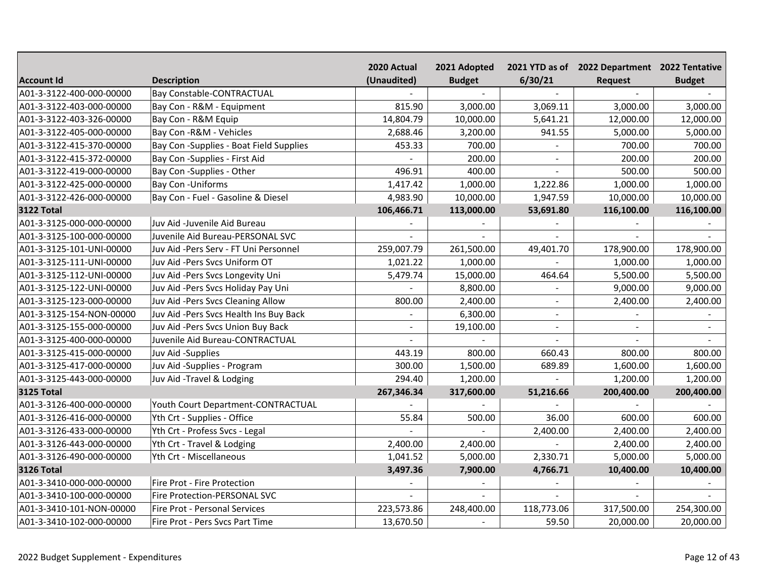|                          |                                         | 2020 Actual | 2021 Adopted   |                | 2021 YTD as of 2022 Department 2022 Tentative |               |
|--------------------------|-----------------------------------------|-------------|----------------|----------------|-----------------------------------------------|---------------|
| <b>Account Id</b>        | <b>Description</b>                      | (Unaudited) | <b>Budget</b>  | 6/30/21        | Request                                       | <b>Budget</b> |
| A01-3-3122-400-000-00000 | <b>Bay Constable-CONTRACTUAL</b>        |             |                |                |                                               |               |
| A01-3-3122-403-000-00000 | Bay Con - R&M - Equipment               | 815.90      | 3,000.00       | 3,069.11       | 3,000.00                                      | 3,000.00      |
| A01-3-3122-403-326-00000 | Bay Con - R&M Equip                     | 14,804.79   | 10,000.00      | 5,641.21       | 12,000.00                                     | 12,000.00     |
| A01-3-3122-405-000-00000 | Bay Con - R&M - Vehicles                | 2,688.46    | 3,200.00       | 941.55         | 5,000.00                                      | 5,000.00      |
| A01-3-3122-415-370-00000 | Bay Con -Supplies - Boat Field Supplies | 453.33      | 700.00         |                | 700.00                                        | 700.00        |
| A01-3-3122-415-372-00000 | Bay Con -Supplies - First Aid           |             | 200.00         | $\blacksquare$ | 200.00                                        | 200.00        |
| A01-3-3122-419-000-00000 | Bay Con -Supplies - Other               | 496.91      | 400.00         |                | 500.00                                        | 500.00        |
| A01-3-3122-425-000-00000 | <b>Bay Con - Uniforms</b>               | 1,417.42    | 1,000.00       | 1,222.86       | 1,000.00                                      | 1,000.00      |
| A01-3-3122-426-000-00000 | Bay Con - Fuel - Gasoline & Diesel      | 4,983.90    | 10,000.00      | 1,947.59       | 10,000.00                                     | 10,000.00     |
| <b>3122 Total</b>        |                                         | 106,466.71  | 113,000.00     | 53,691.80      | 116,100.00                                    | 116,100.00    |
| A01-3-3125-000-000-00000 | Juv Aid -Juvenile Aid Bureau            |             |                |                |                                               |               |
| A01-3-3125-100-000-00000 | Juvenile Aid Bureau-PERSONAL SVC        |             | $\overline{a}$ |                |                                               |               |
| A01-3-3125-101-UNI-00000 | Juv Aid -Pers Serv - FT Uni Personnel   | 259,007.79  | 261,500.00     | 49,401.70      | 178,900.00                                    | 178,900.00    |
| A01-3-3125-111-UNI-00000 | Juv Aid -Pers Svcs Uniform OT           | 1,021.22    | 1,000.00       |                | 1,000.00                                      | 1,000.00      |
| A01-3-3125-112-UNI-00000 | Juv Aid -Pers Svcs Longevity Uni        | 5,479.74    | 15,000.00      | 464.64         | 5,500.00                                      | 5,500.00      |
| A01-3-3125-122-UNI-00000 | Juv Aid -Pers Svcs Holiday Pay Uni      |             | 8,800.00       |                | 9,000.00                                      | 9,000.00      |
| A01-3-3125-123-000-00000 | Juv Aid -Pers Svcs Cleaning Allow       | 800.00      | 2,400.00       |                | 2,400.00                                      | 2,400.00      |
| A01-3-3125-154-NON-00000 | Juv Aid -Pers Svcs Health Ins Buy Back  |             | 6,300.00       |                |                                               |               |
| A01-3-3125-155-000-00000 | Juv Aid -Pers Svcs Union Buy Back       |             | 19,100.00      |                |                                               |               |
| A01-3-3125-400-000-00000 | Juvenile Aid Bureau-CONTRACTUAL         |             |                |                |                                               |               |
| A01-3-3125-415-000-00000 | Juv Aid -Supplies                       | 443.19      | 800.00         | 660.43         | 800.00                                        | 800.00        |
| A01-3-3125-417-000-00000 | Juv Aid -Supplies - Program             | 300.00      | 1,500.00       | 689.89         | 1,600.00                                      | 1,600.00      |
| A01-3-3125-443-000-00000 | Juv Aid -Travel & Lodging               | 294.40      | 1,200.00       |                | 1,200.00                                      | 1,200.00      |
| <b>3125 Total</b>        |                                         | 267,346.34  | 317,600.00     | 51,216.66      | 200,400.00                                    | 200,400.00    |
| A01-3-3126-400-000-00000 | Youth Court Department-CONTRACTUAL      |             |                |                |                                               |               |
| A01-3-3126-416-000-00000 | Yth Crt - Supplies - Office             | 55.84       | 500.00         | 36.00          | 600.00                                        | 600.00        |
| A01-3-3126-433-000-00000 | Yth Crt - Profess Svcs - Legal          |             |                | 2,400.00       | 2,400.00                                      | 2,400.00      |
| A01-3-3126-443-000-00000 | Yth Crt - Travel & Lodging              | 2,400.00    | 2,400.00       |                | 2,400.00                                      | 2,400.00      |
| A01-3-3126-490-000-00000 | Yth Crt - Miscellaneous                 | 1,041.52    | 5,000.00       | 2,330.71       | 5,000.00                                      | 5,000.00      |
| <b>3126 Total</b>        |                                         | 3,497.36    | 7,900.00       | 4,766.71       | 10,400.00                                     | 10,400.00     |
| A01-3-3410-000-000-00000 | Fire Prot - Fire Protection             |             |                |                |                                               |               |
| A01-3-3410-100-000-00000 | Fire Protection-PERSONAL SVC            |             |                |                |                                               |               |
| A01-3-3410-101-NON-00000 | Fire Prot - Personal Services           | 223,573.86  | 248,400.00     | 118,773.06     | 317,500.00                                    | 254,300.00    |
| A01-3-3410-102-000-00000 | Fire Prot - Pers Svcs Part Time         | 13,670.50   |                | 59.50          | 20,000.00                                     | 20,000.00     |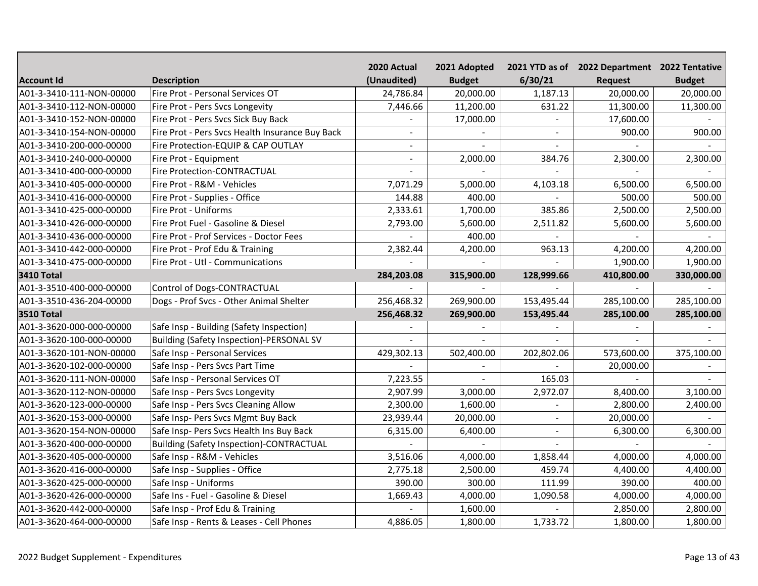|                          |                                                 | 2020 Actual              | 2021 Adopted  |                | 2021 YTD as of 2022 Department 2022 Tentative |               |
|--------------------------|-------------------------------------------------|--------------------------|---------------|----------------|-----------------------------------------------|---------------|
| <b>Account Id</b>        | <b>Description</b>                              | (Unaudited)              | <b>Budget</b> | 6/30/21        | <b>Request</b>                                | <b>Budget</b> |
| A01-3-3410-111-NON-00000 | Fire Prot - Personal Services OT                | 24,786.84                | 20,000.00     | 1,187.13       | 20,000.00                                     | 20,000.00     |
| A01-3-3410-112-NON-00000 | Fire Prot - Pers Svcs Longevity                 | 7,446.66                 | 11,200.00     | 631.22         | 11,300.00                                     | 11,300.00     |
| A01-3-3410-152-NON-00000 | Fire Prot - Pers Svcs Sick Buy Back             |                          | 17,000.00     |                | 17,600.00                                     |               |
| A01-3-3410-154-NON-00000 | Fire Prot - Pers Svcs Health Insurance Buy Back | $\blacksquare$           |               | $\blacksquare$ | 900.00                                        | 900.00        |
| A01-3-3410-200-000-00000 | Fire Protection-EQUIP & CAP OUTLAY              | $\overline{\phantom{a}}$ |               |                |                                               |               |
| A01-3-3410-240-000-00000 | Fire Prot - Equipment                           |                          | 2,000.00      | 384.76         | 2,300.00                                      | 2,300.00      |
| A01-3-3410-400-000-00000 | <b>Fire Protection-CONTRACTUAL</b>              |                          |               |                |                                               |               |
| A01-3-3410-405-000-00000 | Fire Prot - R&M - Vehicles                      | 7,071.29                 | 5,000.00      | 4,103.18       | 6,500.00                                      | 6,500.00      |
| A01-3-3410-416-000-00000 | Fire Prot - Supplies - Office                   | 144.88                   | 400.00        |                | 500.00                                        | 500.00        |
| A01-3-3410-425-000-00000 | Fire Prot - Uniforms                            | 2,333.61                 | 1,700.00      | 385.86         | 2,500.00                                      | 2,500.00      |
| A01-3-3410-426-000-00000 | Fire Prot Fuel - Gasoline & Diesel              | 2,793.00                 | 5,600.00      | 2,511.82       | 5,600.00                                      | 5,600.00      |
| A01-3-3410-436-000-00000 | Fire Prot - Prof Services - Doctor Fees         |                          | 400.00        |                |                                               |               |
| A01-3-3410-442-000-00000 | Fire Prot - Prof Edu & Training                 | 2,382.44                 | 4,200.00      | 963.13         | 4,200.00                                      | 4,200.00      |
| A01-3-3410-475-000-00000 | Fire Prot - Utl - Communications                |                          |               |                | 1,900.00                                      | 1,900.00      |
| <b>3410 Total</b>        |                                                 | 284,203.08               | 315,900.00    | 128,999.66     | 410,800.00                                    | 330,000.00    |
| A01-3-3510-400-000-00000 | Control of Dogs-CONTRACTUAL                     |                          |               |                |                                               |               |
| A01-3-3510-436-204-00000 | Dogs - Prof Svcs - Other Animal Shelter         | 256,468.32               | 269,900.00    | 153,495.44     | 285,100.00                                    | 285,100.00    |
| <b>3510 Total</b>        |                                                 | 256,468.32               | 269,900.00    | 153,495.44     | 285,100.00                                    | 285,100.00    |
| A01-3-3620-000-000-00000 | Safe Insp - Building (Safety Inspection)        |                          |               |                |                                               |               |
| A01-3-3620-100-000-00000 | <b>Building (Safety Inspection)-PERSONAL SV</b> |                          |               |                |                                               |               |
| A01-3-3620-101-NON-00000 | Safe Insp - Personal Services                   | 429,302.13               | 502,400.00    | 202,802.06     | 573,600.00                                    | 375,100.00    |
| A01-3-3620-102-000-00000 | Safe Insp - Pers Svcs Part Time                 |                          |               |                | 20,000.00                                     |               |
| A01-3-3620-111-NON-00000 | Safe Insp - Personal Services OT                | 7,223.55                 |               | 165.03         |                                               |               |
| A01-3-3620-112-NON-00000 | Safe Insp - Pers Svcs Longevity                 | 2,907.99                 | 3,000.00      | 2,972.07       | 8,400.00                                      | 3,100.00      |
| A01-3-3620-123-000-00000 | Safe Insp - Pers Svcs Cleaning Allow            | 2,300.00                 | 1,600.00      |                | 2,800.00                                      | 2,400.00      |
| A01-3-3620-153-000-00000 | Safe Insp- Pers Svcs Mgmt Buy Back              | 23,939.44                | 20,000.00     | $\blacksquare$ | 20,000.00                                     |               |
| A01-3-3620-154-NON-00000 | Safe Insp- Pers Svcs Health Ins Buy Back        | 6,315.00                 | 6,400.00      | $\blacksquare$ | 6,300.00                                      | 6,300.00      |
| A01-3-3620-400-000-00000 | <b>Building (Safety Inspection)-CONTRACTUAL</b> |                          |               |                |                                               |               |
| A01-3-3620-405-000-00000 | Safe Insp - R&M - Vehicles                      | 3,516.06                 | 4,000.00      | 1,858.44       | 4,000.00                                      | 4,000.00      |
| A01-3-3620-416-000-00000 | Safe Insp - Supplies - Office                   | 2,775.18                 | 2,500.00      | 459.74         | 4,400.00                                      | 4,400.00      |
| A01-3-3620-425-000-00000 | Safe Insp - Uniforms                            | 390.00                   | 300.00        | 111.99         | 390.00                                        | 400.00        |
| A01-3-3620-426-000-00000 | Safe Ins - Fuel - Gasoline & Diesel             | 1,669.43                 | 4,000.00      | 1,090.58       | 4,000.00                                      | 4,000.00      |
| A01-3-3620-442-000-00000 | Safe Insp - Prof Edu & Training                 |                          | 1,600.00      |                | 2,850.00                                      | 2,800.00      |
| A01-3-3620-464-000-00000 | Safe Insp - Rents & Leases - Cell Phones        | 4,886.05                 | 1,800.00      | 1,733.72       | 1,800.00                                      | 1,800.00      |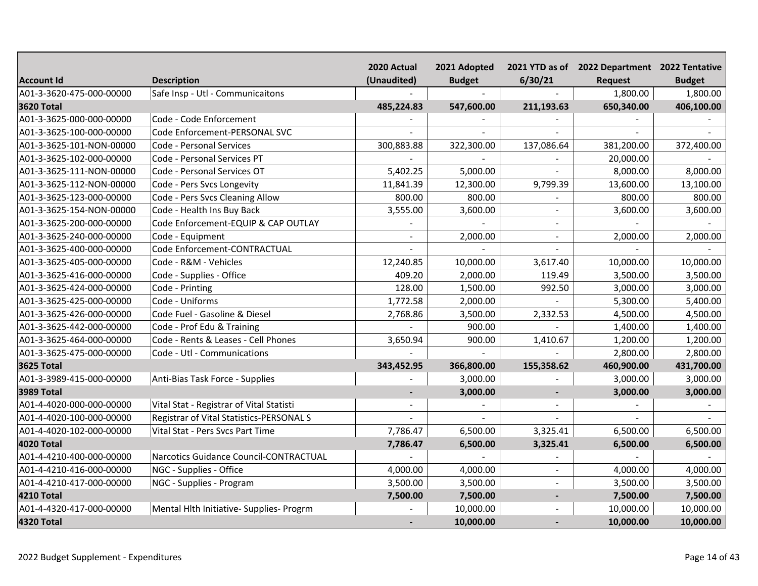|                          |                                          | 2020 Actual    | 2021 Adopted  |            | 2021 YTD as of 2022 Department 2022 Tentative |               |
|--------------------------|------------------------------------------|----------------|---------------|------------|-----------------------------------------------|---------------|
| <b>Account Id</b>        | <b>Description</b>                       | (Unaudited)    | <b>Budget</b> | 6/30/21    | Request                                       | <b>Budget</b> |
| A01-3-3620-475-000-00000 | Safe Insp - Utl - Communicaitons         |                |               |            | 1,800.00                                      | 1,800.00      |
| <b>3620 Total</b>        |                                          | 485,224.83     | 547,600.00    | 211,193.63 | 650,340.00                                    | 406,100.00    |
| A01-3-3625-000-000-00000 | Code - Code Enforcement                  |                |               |            |                                               |               |
| A01-3-3625-100-000-00000 | Code Enforcement-PERSONAL SVC            |                |               |            |                                               |               |
| A01-3-3625-101-NON-00000 | Code - Personal Services                 | 300,883.88     | 322,300.00    | 137,086.64 | 381,200.00                                    | 372,400.00    |
| A01-3-3625-102-000-00000 | Code - Personal Services PT              |                |               |            | 20,000.00                                     |               |
| A01-3-3625-111-NON-00000 | Code - Personal Services OT              | 5,402.25       | 5,000.00      |            | 8,000.00                                      | 8,000.00      |
| A01-3-3625-112-NON-00000 | Code - Pers Svcs Longevity               | 11,841.39      | 12,300.00     | 9,799.39   | 13,600.00                                     | 13,100.00     |
| A01-3-3625-123-000-00000 | Code - Pers Svcs Cleaning Allow          | 800.00         | 800.00        |            | 800.00                                        | 800.00        |
| A01-3-3625-154-NON-00000 | Code - Health Ins Buy Back               | 3,555.00       | 3,600.00      | $\sim$     | 3,600.00                                      | 3,600.00      |
| A01-3-3625-200-000-00000 | Code Enforcement-EQUIP & CAP OUTLAY      |                |               |            |                                               |               |
| A01-3-3625-240-000-00000 | Code - Equipment                         |                | 2,000.00      | $\sim$     | 2,000.00                                      | 2,000.00      |
| A01-3-3625-400-000-00000 | Code Enforcement-CONTRACTUAL             |                |               |            |                                               |               |
| A01-3-3625-405-000-00000 | Code - R&M - Vehicles                    | 12,240.85      | 10,000.00     | 3,617.40   | 10,000.00                                     | 10,000.00     |
| A01-3-3625-416-000-00000 | Code - Supplies - Office                 | 409.20         | 2,000.00      | 119.49     | 3,500.00                                      | 3,500.00      |
| A01-3-3625-424-000-00000 | Code - Printing                          | 128.00         | 1,500.00      | 992.50     | 3,000.00                                      | 3,000.00      |
| A01-3-3625-425-000-00000 | Code - Uniforms                          | 1,772.58       | 2,000.00      |            | 5,300.00                                      | 5,400.00      |
| A01-3-3625-426-000-00000 | Code Fuel - Gasoline & Diesel            | 2,768.86       | 3,500.00      | 2,332.53   | 4,500.00                                      | 4,500.00      |
| A01-3-3625-442-000-00000 | Code - Prof Edu & Training               |                | 900.00        |            | 1,400.00                                      | 1,400.00      |
| A01-3-3625-464-000-00000 | Code - Rents & Leases - Cell Phones      | 3,650.94       | 900.00        | 1,410.67   | 1,200.00                                      | 1,200.00      |
| A01-3-3625-475-000-00000 | Code - Utl - Communications              |                |               |            | 2,800.00                                      | 2,800.00      |
| <b>3625 Total</b>        |                                          | 343,452.95     | 366,800.00    | 155,358.62 | 460,900.00                                    | 431,700.00    |
| A01-3-3989-415-000-00000 | Anti-Bias Task Force - Supplies          |                | 3,000.00      |            | 3,000.00                                      | 3,000.00      |
| <b>3989 Total</b>        |                                          | $\blacksquare$ | 3,000.00      |            | 3,000.00                                      | 3,000.00      |
| A01-4-4020-000-000-00000 | Vital Stat - Registrar of Vital Statisti |                |               |            |                                               |               |
| A01-4-4020-100-000-00000 | Registrar of Vital Statistics-PERSONAL S |                |               |            |                                               |               |
| A01-4-4020-102-000-00000 | Vital Stat - Pers Svcs Part Time         | 7,786.47       | 6,500.00      | 3,325.41   | 6,500.00                                      | 6,500.00      |
| <b>4020 Total</b>        |                                          | 7,786.47       | 6,500.00      | 3,325.41   | 6,500.00                                      | 6,500.00      |
| A01-4-4210-400-000-00000 | Narcotics Guidance Council-CONTRACTUAL   |                |               |            |                                               |               |
| A01-4-4210-416-000-00000 | NGC - Supplies - Office                  | 4,000.00       | 4,000.00      | $\sim$     | 4,000.00                                      | 4,000.00      |
| A01-4-4210-417-000-00000 | NGC - Supplies - Program                 | 3,500.00       | 3,500.00      | $\sim$     | 3,500.00                                      | 3,500.00      |
| <b>4210 Total</b>        |                                          | 7,500.00       | 7,500.00      |            | 7,500.00                                      | 7,500.00      |
| A01-4-4320-417-000-00000 | Mental Hith Initiative- Supplies- Progrm |                | 10,000.00     |            | 10,000.00                                     | 10,000.00     |
| 4320 Total               |                                          |                | 10,000.00     |            | 10,000.00                                     | 10,000.00     |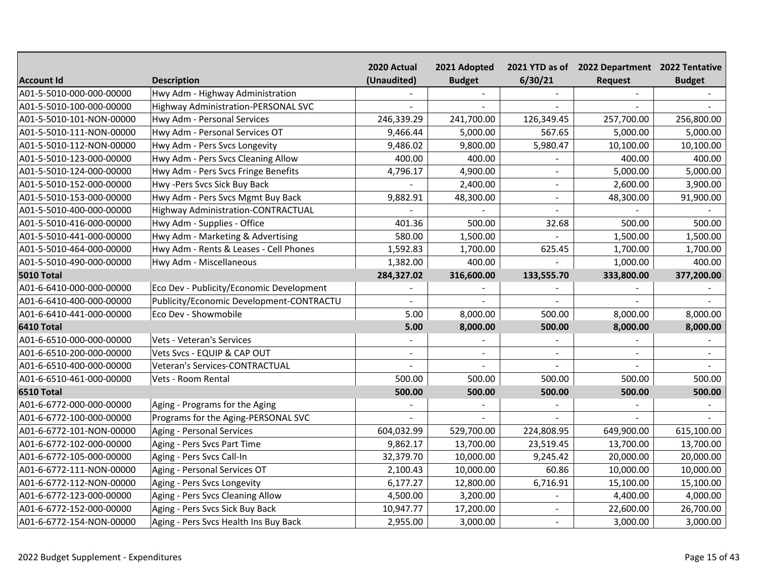|                          |                                            | 2020 Actual | 2021 Adopted  |                | 2021 YTD as of 2022 Department 2022 Tentative |               |
|--------------------------|--------------------------------------------|-------------|---------------|----------------|-----------------------------------------------|---------------|
| <b>Account Id</b>        | <b>Description</b>                         | (Unaudited) | <b>Budget</b> | 6/30/21        | Request                                       | <b>Budget</b> |
| A01-5-5010-000-000-00000 | Hwy Adm - Highway Administration           |             |               |                |                                               |               |
| A01-5-5010-100-000-00000 | <b>Highway Administration-PERSONAL SVC</b> |             |               |                |                                               |               |
| A01-5-5010-101-NON-00000 | Hwy Adm - Personal Services                | 246,339.29  | 241,700.00    | 126,349.45     | 257,700.00                                    | 256,800.00    |
| A01-5-5010-111-NON-00000 | Hwy Adm - Personal Services OT             | 9,466.44    | 5,000.00      | 567.65         | 5,000.00                                      | 5,000.00      |
| A01-5-5010-112-NON-00000 | Hwy Adm - Pers Svcs Longevity              | 9,486.02    | 9,800.00      | 5,980.47       | 10,100.00                                     | 10,100.00     |
| A01-5-5010-123-000-00000 | Hwy Adm - Pers Svcs Cleaning Allow         | 400.00      | 400.00        |                | 400.00                                        | 400.00        |
| A01-5-5010-124-000-00000 | Hwy Adm - Pers Svcs Fringe Benefits        | 4,796.17    | 4,900.00      | $\sim$         | 5,000.00                                      | 5,000.00      |
| A01-5-5010-152-000-00000 | Hwy -Pers Svcs Sick Buy Back               |             | 2,400.00      | $\blacksquare$ | 2,600.00                                      | 3,900.00      |
| A01-5-5010-153-000-00000 | Hwy Adm - Pers Svcs Mgmt Buy Back          | 9,882.91    | 48,300.00     | $\sim$         | 48,300.00                                     | 91,900.00     |
| A01-5-5010-400-000-00000 | Highway Administration-CONTRACTUAL         |             |               | $\overline{a}$ |                                               |               |
| A01-5-5010-416-000-00000 | Hwy Adm - Supplies - Office                | 401.36      | 500.00        | 32.68          | 500.00                                        | 500.00        |
| A01-5-5010-441-000-00000 | Hwy Adm - Marketing & Advertising          | 580.00      | 1,500.00      |                | 1,500.00                                      | 1,500.00      |
| A01-5-5010-464-000-00000 | Hwy Adm - Rents & Leases - Cell Phones     | 1,592.83    | 1,700.00      | 625.45         | 1,700.00                                      | 1,700.00      |
| A01-5-5010-490-000-00000 | Hwy Adm - Miscellaneous                    | 1,382.00    | 400.00        |                | 1,000.00                                      | 400.00        |
| <b>5010 Total</b>        |                                            | 284,327.02  | 316,600.00    | 133,555.70     | 333,800.00                                    | 377,200.00    |
| A01-6-6410-000-000-00000 | Eco Dev - Publicity/Economic Development   |             |               |                |                                               |               |
| A01-6-6410-400-000-00000 | Publicity/Economic Development-CONTRACTU   |             |               |                |                                               |               |
| A01-6-6410-441-000-00000 | Eco Dev - Showmobile                       | 5.00        | 8,000.00      | 500.00         | 8,000.00                                      | 8,000.00      |
| 6410 Total               |                                            | 5.00        | 8,000.00      | 500.00         | 8,000.00                                      | 8,000.00      |
| A01-6-6510-000-000-00000 | Vets - Veteran's Services                  |             |               |                |                                               |               |
| A01-6-6510-200-000-00000 | Vets Svcs - EQUIP & CAP OUT                |             | $\sim$        |                |                                               |               |
| A01-6-6510-400-000-00000 | Veteran's Services-CONTRACTUAL             |             |               |                |                                               |               |
| A01-6-6510-461-000-00000 | Vets - Room Rental                         | 500.00      | 500.00        | 500.00         | 500.00                                        | 500.00        |
| 6510 Total               |                                            | 500.00      | 500.00        | 500.00         | 500.00                                        | 500.00        |
| A01-6-6772-000-000-00000 | Aging - Programs for the Aging             |             |               |                |                                               |               |
| A01-6-6772-100-000-00000 | Programs for the Aging-PERSONAL SVC        |             |               |                |                                               |               |
| A01-6-6772-101-NON-00000 | <b>Aging - Personal Services</b>           | 604,032.99  | 529,700.00    | 224,808.95     | 649,900.00                                    | 615,100.00    |
| A01-6-6772-102-000-00000 | Aging - Pers Svcs Part Time                | 9,862.17    | 13,700.00     | 23,519.45      | 13,700.00                                     | 13,700.00     |
| A01-6-6772-105-000-00000 | Aging - Pers Svcs Call-In                  | 32,379.70   | 10,000.00     | 9,245.42       | 20,000.00                                     | 20,000.00     |
| A01-6-6772-111-NON-00000 | Aging - Personal Services OT               | 2,100.43    | 10,000.00     | 60.86          | 10,000.00                                     | 10,000.00     |
| A01-6-6772-112-NON-00000 | Aging - Pers Svcs Longevity                | 6,177.27    | 12,800.00     | 6,716.91       | 15,100.00                                     | 15,100.00     |
| A01-6-6772-123-000-00000 | Aging - Pers Svcs Cleaning Allow           | 4,500.00    | 3,200.00      |                | 4,400.00                                      | 4,000.00      |
| A01-6-6772-152-000-00000 | Aging - Pers Svcs Sick Buy Back            | 10,947.77   | 17,200.00     | $\sim$         | 22,600.00                                     | 26,700.00     |
| A01-6-6772-154-NON-00000 | Aging - Pers Svcs Health Ins Buy Back      | 2,955.00    | 3,000.00      |                | 3,000.00                                      | 3,000.00      |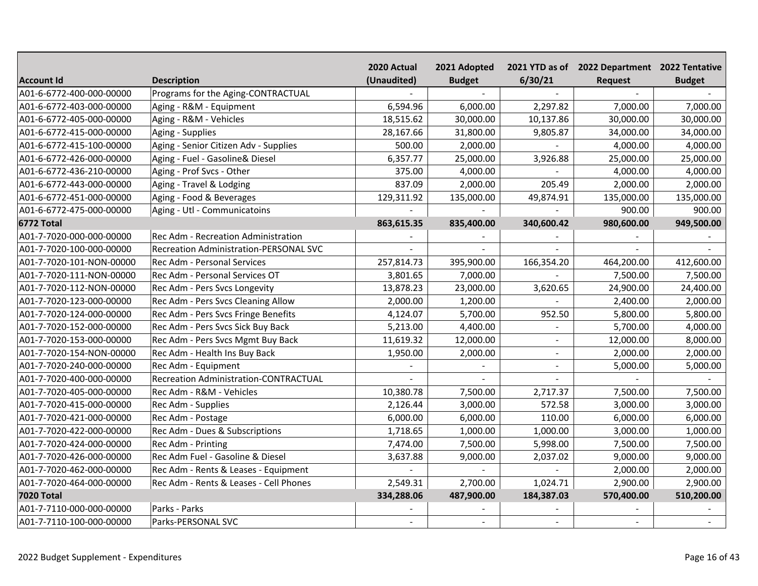|                          |                                               | 2020 Actual | 2021 Adopted  |                | 2021 YTD as of 2022 Department 2022 Tentative |               |
|--------------------------|-----------------------------------------------|-------------|---------------|----------------|-----------------------------------------------|---------------|
| <b>Account Id</b>        | <b>Description</b>                            | (Unaudited) | <b>Budget</b> | 6/30/21        | <b>Request</b>                                | <b>Budget</b> |
| A01-6-6772-400-000-00000 | Programs for the Aging-CONTRACTUAL            |             |               |                |                                               |               |
| A01-6-6772-403-000-00000 | Aging - R&M - Equipment                       | 6,594.96    | 6,000.00      | 2,297.82       | 7,000.00                                      | 7,000.00      |
| A01-6-6772-405-000-00000 | Aging - R&M - Vehicles                        | 18,515.62   | 30,000.00     | 10,137.86      | 30,000.00                                     | 30,000.00     |
| A01-6-6772-415-000-00000 | Aging - Supplies                              | 28,167.66   | 31,800.00     | 9,805.87       | 34,000.00                                     | 34,000.00     |
| A01-6-6772-415-100-00000 | Aging - Senior Citizen Adv - Supplies         | 500.00      | 2,000.00      |                | 4,000.00                                      | 4,000.00      |
| A01-6-6772-426-000-00000 | Aging - Fuel - Gasoline& Diesel               | 6,357.77    | 25,000.00     | 3,926.88       | 25,000.00                                     | 25,000.00     |
| A01-6-6772-436-210-00000 | Aging - Prof Svcs - Other                     | 375.00      | 4,000.00      |                | 4,000.00                                      | 4,000.00      |
| A01-6-6772-443-000-00000 | Aging - Travel & Lodging                      | 837.09      | 2,000.00      | 205.49         | 2,000.00                                      | 2,000.00      |
| A01-6-6772-451-000-00000 | Aging - Food & Beverages                      | 129,311.92  | 135,000.00    | 49,874.91      | 135,000.00                                    | 135,000.00    |
| A01-6-6772-475-000-00000 | Aging - Utl - Communicatoins                  |             |               |                | 900.00                                        | 900.00        |
| 6772 Total               |                                               | 863,615.35  | 835,400.00    | 340,600.42     | 980,600.00                                    | 949,500.00    |
| A01-7-7020-000-000-00000 | Rec Adm - Recreation Administration           |             |               |                |                                               |               |
| A01-7-7020-100-000-00000 | <b>Recreation Administration-PERSONAL SVC</b> |             |               |                |                                               |               |
| A01-7-7020-101-NON-00000 | Rec Adm - Personal Services                   | 257,814.73  | 395,900.00    | 166,354.20     | 464,200.00                                    | 412,600.00    |
| A01-7-7020-111-NON-00000 | Rec Adm - Personal Services OT                | 3,801.65    | 7,000.00      |                | 7,500.00                                      | 7,500.00      |
| A01-7-7020-112-NON-00000 | Rec Adm - Pers Svcs Longevity                 | 13,878.23   | 23,000.00     | 3,620.65       | 24,900.00                                     | 24,400.00     |
| A01-7-7020-123-000-00000 | Rec Adm - Pers Svcs Cleaning Allow            | 2,000.00    | 1,200.00      |                | 2,400.00                                      | 2,000.00      |
| A01-7-7020-124-000-00000 | Rec Adm - Pers Svcs Fringe Benefits           | 4,124.07    | 5,700.00      | 952.50         | 5,800.00                                      | 5,800.00      |
| A01-7-7020-152-000-00000 | Rec Adm - Pers Svcs Sick Buy Back             | 5,213.00    | 4,400.00      |                | 5,700.00                                      | 4,000.00      |
| A01-7-7020-153-000-00000 | Rec Adm - Pers Svcs Mgmt Buy Back             | 11,619.32   | 12,000.00     |                | 12,000.00                                     | 8,000.00      |
| A01-7-7020-154-NON-00000 | Rec Adm - Health Ins Buy Back                 | 1,950.00    | 2,000.00      |                | 2,000.00                                      | 2,000.00      |
| A01-7-7020-240-000-00000 | Rec Adm - Equipment                           |             |               | $\overline{a}$ | 5,000.00                                      | 5,000.00      |
| A01-7-7020-400-000-00000 | Recreation Administration-CONTRACTUAL         |             |               |                |                                               |               |
| A01-7-7020-405-000-00000 | Rec Adm - R&M - Vehicles                      | 10,380.78   | 7,500.00      | 2,717.37       | 7,500.00                                      | 7,500.00      |
| A01-7-7020-415-000-00000 | Rec Adm - Supplies                            | 2,126.44    | 3,000.00      | 572.58         | 3,000.00                                      | 3,000.00      |
| A01-7-7020-421-000-00000 | Rec Adm - Postage                             | 6,000.00    | 6,000.00      | 110.00         | 6,000.00                                      | 6,000.00      |
| A01-7-7020-422-000-00000 | Rec Adm - Dues & Subscriptions                | 1,718.65    | 1,000.00      | 1,000.00       | 3,000.00                                      | 1,000.00      |
| A01-7-7020-424-000-00000 | Rec Adm - Printing                            | 7,474.00    | 7,500.00      | 5,998.00       | 7,500.00                                      | 7,500.00      |
| A01-7-7020-426-000-00000 | Rec Adm Fuel - Gasoline & Diesel              | 3,637.88    | 9,000.00      | 2,037.02       | 9,000.00                                      | 9,000.00      |
| A01-7-7020-462-000-00000 | Rec Adm - Rents & Leases - Equipment          |             |               |                | 2,000.00                                      | 2,000.00      |
| A01-7-7020-464-000-00000 | Rec Adm - Rents & Leases - Cell Phones        | 2,549.31    | 2,700.00      | 1,024.71       | 2,900.00                                      | 2,900.00      |
| <b>7020 Total</b>        |                                               | 334,288.06  | 487,900.00    | 184,387.03     | 570,400.00                                    | 510,200.00    |
| A01-7-7110-000-000-00000 | Parks - Parks                                 |             |               |                |                                               |               |
| A01-7-7110-100-000-00000 | Parks-PERSONAL SVC                            | $\sim$      | $\sim$        |                |                                               |               |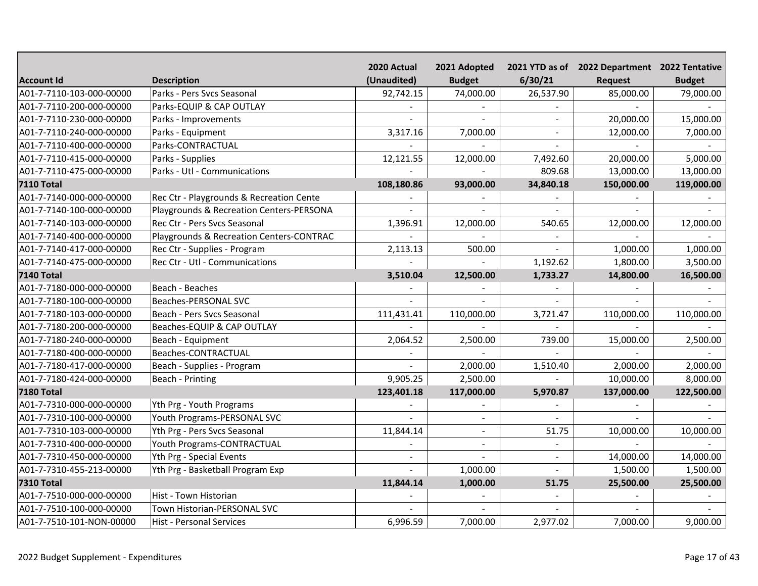|                          |                                          | 2020 Actual              | 2021 Adopted   |                | 2021 YTD as of 2022 Department 2022 Tentative |               |
|--------------------------|------------------------------------------|--------------------------|----------------|----------------|-----------------------------------------------|---------------|
| <b>Account Id</b>        | <b>Description</b>                       | (Unaudited)              | <b>Budget</b>  | 6/30/21        | <b>Request</b>                                | <b>Budget</b> |
| A01-7-7110-103-000-00000 | Parks - Pers Svcs Seasonal               | 92,742.15                | 74,000.00      | 26,537.90      | 85,000.00                                     | 79,000.00     |
| A01-7-7110-200-000-00000 | Parks-EQUIP & CAP OUTLAY                 |                          |                |                |                                               |               |
| A01-7-7110-230-000-00000 | Parks - Improvements                     |                          |                |                | 20,000.00                                     | 15,000.00     |
| A01-7-7110-240-000-00000 | Parks - Equipment                        | 3,317.16                 | 7,000.00       |                | 12,000.00                                     | 7,000.00      |
| A01-7-7110-400-000-00000 | Parks-CONTRACTUAL                        |                          |                |                |                                               |               |
| A01-7-7110-415-000-00000 | Parks - Supplies                         | 12,121.55                | 12,000.00      | 7,492.60       | 20,000.00                                     | 5,000.00      |
| A01-7-7110-475-000-00000 | Parks - Utl - Communications             |                          |                | 809.68         | 13,000.00                                     | 13,000.00     |
| <b>7110 Total</b>        |                                          | 108,180.86               | 93,000.00      | 34,840.18      | 150,000.00                                    | 119,000.00    |
| A01-7-7140-000-000-00000 | Rec Ctr - Playgrounds & Recreation Cente |                          |                |                |                                               |               |
| A01-7-7140-100-000-00000 | Playgrounds & Recreation Centers-PERSONA |                          |                |                |                                               |               |
| A01-7-7140-103-000-00000 | Rec Ctr - Pers Svcs Seasonal             | 1,396.91                 | 12,000.00      | 540.65         | 12,000.00                                     | 12,000.00     |
| A01-7-7140-400-000-00000 | Playgrounds & Recreation Centers-CONTRAC |                          |                |                |                                               |               |
| A01-7-7140-417-000-00000 | Rec Ctr - Supplies - Program             | 2,113.13                 | 500.00         | $\sim$         | 1,000.00                                      | 1,000.00      |
| A01-7-7140-475-000-00000 | Rec Ctr - Utl - Communications           |                          |                | 1,192.62       | 1,800.00                                      | 3,500.00      |
| <b>7140 Total</b>        |                                          | 3,510.04                 | 12,500.00      | 1,733.27       | 14,800.00                                     | 16,500.00     |
| A01-7-7180-000-000-00000 | Beach - Beaches                          |                          |                |                |                                               |               |
| A01-7-7180-100-000-00000 | <b>Beaches-PERSONAL SVC</b>              |                          |                |                |                                               |               |
| A01-7-7180-103-000-00000 | Beach - Pers Svcs Seasonal               | 111,431.41               | 110,000.00     | 3,721.47       | 110,000.00                                    | 110,000.00    |
| A01-7-7180-200-000-00000 | Beaches-EQUIP & CAP OUTLAY               |                          |                |                |                                               |               |
| A01-7-7180-240-000-00000 | Beach - Equipment                        | 2,064.52                 | 2,500.00       | 739.00         | 15,000.00                                     | 2,500.00      |
| A01-7-7180-400-000-00000 | Beaches-CONTRACTUAL                      |                          |                |                |                                               |               |
| A01-7-7180-417-000-00000 | Beach - Supplies - Program               |                          | 2,000.00       | 1,510.40       | 2,000.00                                      | 2,000.00      |
| A01-7-7180-424-000-00000 | Beach - Printing                         | 9,905.25                 | 2,500.00       |                | 10,000.00                                     | 8,000.00      |
| <b>7180 Total</b>        |                                          | 123,401.18               | 117,000.00     | 5,970.87       | 137,000.00                                    | 122,500.00    |
| A01-7-7310-000-000-00000 | Yth Prg - Youth Programs                 |                          |                |                |                                               |               |
| A01-7-7310-100-000-00000 | Youth Programs-PERSONAL SVC              |                          | $\sim$         |                |                                               |               |
| A01-7-7310-103-000-00000 | Yth Prg - Pers Svcs Seasonal             | 11,844.14                | $\blacksquare$ | 51.75          | 10,000.00                                     | 10,000.00     |
| A01-7-7310-400-000-00000 | Youth Programs-CONTRACTUAL               |                          | $\blacksquare$ |                |                                               |               |
| A01-7-7310-450-000-00000 | Yth Prg - Special Events                 | $\overline{\phantom{a}}$ |                | $\blacksquare$ | 14,000.00                                     | 14,000.00     |
| A01-7-7310-455-213-00000 | Yth Prg - Basketball Program Exp         |                          | 1,000.00       | $\sim$         | 1,500.00                                      | 1,500.00      |
| <b>7310 Total</b>        |                                          | 11,844.14                | 1,000.00       | 51.75          | 25,500.00                                     | 25,500.00     |
| A01-7-7510-000-000-00000 | Hist - Town Historian                    |                          |                |                |                                               |               |
| A01-7-7510-100-000-00000 | Town Historian-PERSONAL SVC              |                          |                |                |                                               |               |
| A01-7-7510-101-NON-00000 | <b>Hist - Personal Services</b>          | 6,996.59                 | 7,000.00       | 2,977.02       | 7,000.00                                      | 9,000.00      |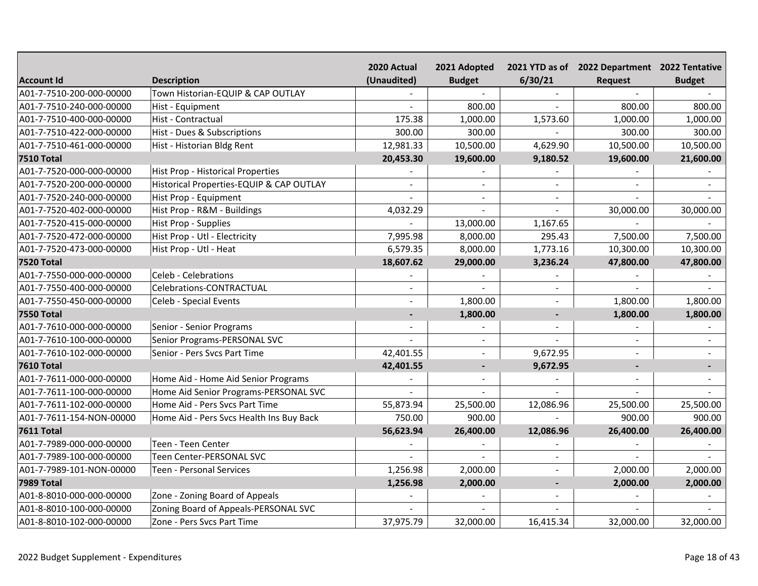|                          |                                          | 2020 Actual    | 2021 Adopted   |                | 2021 YTD as of 2022 Department 2022 Tentative |               |
|--------------------------|------------------------------------------|----------------|----------------|----------------|-----------------------------------------------|---------------|
| <b>Account Id</b>        | <b>Description</b>                       | (Unaudited)    | <b>Budget</b>  | 6/30/21        | <b>Request</b>                                | <b>Budget</b> |
| A01-7-7510-200-000-00000 | Town Historian-EQUIP & CAP OUTLAY        |                |                |                |                                               |               |
| A01-7-7510-240-000-00000 | Hist - Equipment                         |                | 800.00         |                | 800.00                                        | 800.00        |
| A01-7-7510-400-000-00000 | Hist - Contractual                       | 175.38         | 1,000.00       | 1,573.60       | 1,000.00                                      | 1,000.00      |
| A01-7-7510-422-000-00000 | Hist - Dues & Subscriptions              | 300.00         | 300.00         |                | 300.00                                        | 300.00        |
| A01-7-7510-461-000-00000 | Hist - Historian Bldg Rent               | 12,981.33      | 10,500.00      | 4,629.90       | 10,500.00                                     | 10,500.00     |
| <b>7510 Total</b>        |                                          | 20,453.30      | 19,600.00      | 9,180.52       | 19,600.00                                     | 21,600.00     |
| A01-7-7520-000-000-00000 | Hist Prop - Historical Properties        |                |                |                |                                               |               |
| A01-7-7520-200-000-00000 | Historical Properties-EQUIP & CAP OUTLAY |                | $\sim$         |                |                                               |               |
| A01-7-7520-240-000-00000 | Hist Prop - Equipment                    |                | $\blacksquare$ | $\sim$         |                                               |               |
| A01-7-7520-402-000-00000 | Hist Prop - R&M - Buildings              | 4,032.29       | $\sim$         | $\sim$         | 30,000.00                                     | 30,000.00     |
| A01-7-7520-415-000-00000 | Hist Prop - Supplies                     |                | 13,000.00      | 1,167.65       |                                               |               |
| A01-7-7520-472-000-00000 | Hist Prop - Utl - Electricity            | 7,995.98       | 8,000.00       | 295.43         | 7,500.00                                      | 7,500.00      |
| A01-7-7520-473-000-00000 | Hist Prop - Utl - Heat                   | 6,579.35       | 8,000.00       | 1,773.16       | 10,300.00                                     | 10,300.00     |
| <b>7520 Total</b>        |                                          | 18,607.62      | 29,000.00      | 3,236.24       | 47,800.00                                     | 47,800.00     |
| A01-7-7550-000-000-00000 | Celeb - Celebrations                     |                |                |                |                                               |               |
| A01-7-7550-400-000-00000 | Celebrations-CONTRACTUAL                 |                |                |                |                                               |               |
| A01-7-7550-450-000-00000 | Celeb - Special Events                   |                | 1,800.00       |                | 1,800.00                                      | 1,800.00      |
| <b>7550 Total</b>        |                                          | $\blacksquare$ | 1,800.00       | $\blacksquare$ | 1,800.00                                      | 1,800.00      |
| A01-7-7610-000-000-00000 | Senior - Senior Programs                 |                |                |                |                                               |               |
| A01-7-7610-100-000-00000 | Senior Programs-PERSONAL SVC             |                | $\sim$         |                |                                               |               |
| A01-7-7610-102-000-00000 | Senior - Pers Svcs Part Time             | 42,401.55      |                | 9,672.95       |                                               |               |
| <b>7610 Total</b>        |                                          | 42,401.55      | $\blacksquare$ | 9,672.95       |                                               |               |
| A01-7-7611-000-000-00000 | Home Aid - Home Aid Senior Programs      |                |                |                |                                               |               |
| A01-7-7611-100-000-00000 | Home Aid Senior Programs-PERSONAL SVC    |                |                |                |                                               |               |
| A01-7-7611-102-000-00000 | Home Aid - Pers Svcs Part Time           | 55,873.94      | 25,500.00      | 12,086.96      | 25,500.00                                     | 25,500.00     |
| A01-7-7611-154-NON-00000 | Home Aid - Pers Svcs Health Ins Buy Back | 750.00         | 900.00         |                | 900.00                                        | 900.00        |
| <b>7611 Total</b>        |                                          | 56,623.94      | 26,400.00      | 12,086.96      | 26,400.00                                     | 26,400.00     |
| A01-7-7989-000-000-00000 | Teen - Teen Center                       |                |                |                |                                               |               |
| A01-7-7989-100-000-00000 | Teen Center-PERSONAL SVC                 |                |                | $\blacksquare$ |                                               |               |
| A01-7-7989-101-NON-00000 | <b>Teen - Personal Services</b>          | 1,256.98       | 2,000.00       | $\sim$         | 2,000.00                                      | 2,000.00      |
| <b>7989 Total</b>        |                                          | 1,256.98       | 2,000.00       | $\overline{a}$ | 2,000.00                                      | 2,000.00      |
| A01-8-8010-000-000-00000 | Zone - Zoning Board of Appeals           |                |                | $\sim$         |                                               |               |
| A01-8-8010-100-000-00000 | Zoning Board of Appeals-PERSONAL SVC     |                |                |                |                                               |               |
| A01-8-8010-102-000-00000 | Zone - Pers Svcs Part Time               | 37,975.79      | 32,000.00      | 16,415.34      | 32,000.00                                     | 32,000.00     |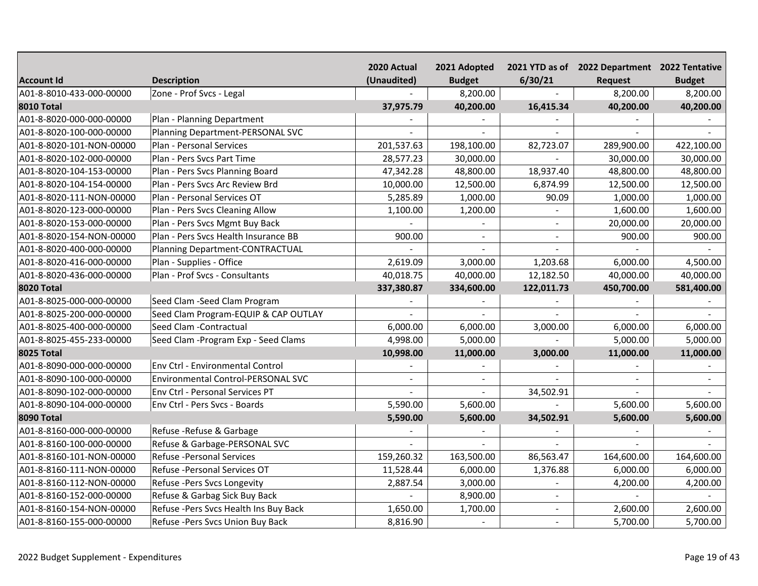|                          |                                        | 2020 Actual | 2021 Adopted  |            | 2021 YTD as of 2022 Department 2022 Tentative |               |
|--------------------------|----------------------------------------|-------------|---------------|------------|-----------------------------------------------|---------------|
| <b>Account Id</b>        | <b>Description</b>                     | (Unaudited) | <b>Budget</b> | 6/30/21    | <b>Request</b>                                | <b>Budget</b> |
| A01-8-8010-433-000-00000 | Zone - Prof Svcs - Legal               |             | 8,200.00      |            | 8,200.00                                      | 8,200.00      |
| <b>8010 Total</b>        |                                        | 37,975.79   | 40,200.00     | 16,415.34  | 40,200.00                                     | 40,200.00     |
| A01-8-8020-000-000-00000 | Plan - Planning Department             |             |               |            |                                               |               |
| A01-8-8020-100-000-00000 | Planning Department-PERSONAL SVC       |             |               |            |                                               |               |
| A01-8-8020-101-NON-00000 | Plan - Personal Services               | 201,537.63  | 198,100.00    | 82,723.07  | 289,900.00                                    | 422,100.00    |
| A01-8-8020-102-000-00000 | Plan - Pers Svcs Part Time             | 28,577.23   | 30,000.00     |            | 30,000.00                                     | 30,000.00     |
| A01-8-8020-104-153-00000 | Plan - Pers Svcs Planning Board        | 47,342.28   | 48,800.00     | 18,937.40  | 48,800.00                                     | 48,800.00     |
| A01-8-8020-104-154-00000 | Plan - Pers Svcs Arc Review Brd        | 10,000.00   | 12,500.00     | 6,874.99   | 12,500.00                                     | 12,500.00     |
| A01-8-8020-111-NON-00000 | Plan - Personal Services OT            | 5,285.89    | 1,000.00      | 90.09      | 1,000.00                                      | 1,000.00      |
| A01-8-8020-123-000-00000 | Plan - Pers Svcs Cleaning Allow        | 1,100.00    | 1,200.00      |            | 1,600.00                                      | 1,600.00      |
| A01-8-8020-153-000-00000 | Plan - Pers Svcs Mgmt Buy Back         |             |               |            | 20,000.00                                     | 20,000.00     |
| A01-8-8020-154-NON-00000 | Plan - Pers Svcs Health Insurance BB   | 900.00      | $\sim$        |            | 900.00                                        | 900.00        |
| A01-8-8020-400-000-00000 | Planning Department-CONTRACTUAL        |             | $\sim$        |            |                                               |               |
| A01-8-8020-416-000-00000 | Plan - Supplies - Office               | 2,619.09    | 3,000.00      | 1,203.68   | 6,000.00                                      | 4,500.00      |
| A01-8-8020-436-000-00000 | Plan - Prof Svcs - Consultants         | 40,018.75   | 40,000.00     | 12,182.50  | 40,000.00                                     | 40,000.00     |
| <b>8020 Total</b>        |                                        | 337,380.87  | 334,600.00    | 122,011.73 | 450,700.00                                    | 581,400.00    |
| A01-8-8025-000-000-00000 | Seed Clam - Seed Clam Program          |             |               |            |                                               |               |
| A01-8-8025-200-000-00000 | Seed Clam Program-EQUIP & CAP OUTLAY   |             |               |            |                                               |               |
| A01-8-8025-400-000-00000 | Seed Clam - Contractual                | 6,000.00    | 6,000.00      | 3,000.00   | 6,000.00                                      | 6,000.00      |
| A01-8-8025-455-233-00000 | Seed Clam - Program Exp - Seed Clams   | 4,998.00    | 5,000.00      |            | 5,000.00                                      | 5,000.00      |
| <b>8025 Total</b>        |                                        | 10,998.00   | 11,000.00     | 3,000.00   | 11,000.00                                     | 11,000.00     |
| A01-8-8090-000-000-00000 | Env Ctrl - Environmental Control       |             |               |            |                                               |               |
| A01-8-8090-100-000-00000 | Environmental Control-PERSONAL SVC     |             |               |            |                                               |               |
| A01-8-8090-102-000-00000 | Env Ctrl - Personal Services PT        |             |               | 34,502.91  |                                               |               |
| A01-8-8090-104-000-00000 | Env Ctrl - Pers Svcs - Boards          | 5,590.00    | 5,600.00      |            | 5,600.00                                      | 5,600.00      |
| <b>8090 Total</b>        |                                        | 5,590.00    | 5,600.00      | 34,502.91  | 5,600.00                                      | 5,600.00      |
| A01-8-8160-000-000-00000 | Refuse - Refuse & Garbage              |             |               |            |                                               |               |
| A01-8-8160-100-000-00000 | Refuse & Garbage-PERSONAL SVC          |             |               |            |                                               |               |
| A01-8-8160-101-NON-00000 | Refuse - Personal Services             | 159,260.32  | 163,500.00    | 86,563.47  | 164,600.00                                    | 164,600.00    |
| A01-8-8160-111-NON-00000 | Refuse - Personal Services OT          | 11,528.44   | 6,000.00      | 1,376.88   | 6,000.00                                      | 6,000.00      |
| A01-8-8160-112-NON-00000 | Refuse - Pers Svcs Longevity           | 2,887.54    | 3,000.00      |            | 4,200.00                                      | 4,200.00      |
| A01-8-8160-152-000-00000 | Refuse & Garbag Sick Buy Back          |             | 8,900.00      | $\sim$     |                                               |               |
| A01-8-8160-154-NON-00000 | Refuse - Pers Svcs Health Ins Buy Back | 1,650.00    | 1,700.00      | $\sim$     | 2,600.00                                      | 2,600.00      |
| A01-8-8160-155-000-00000 | Refuse - Pers Svcs Union Buy Back      | 8,816.90    |               |            | 5,700.00                                      | 5,700.00      |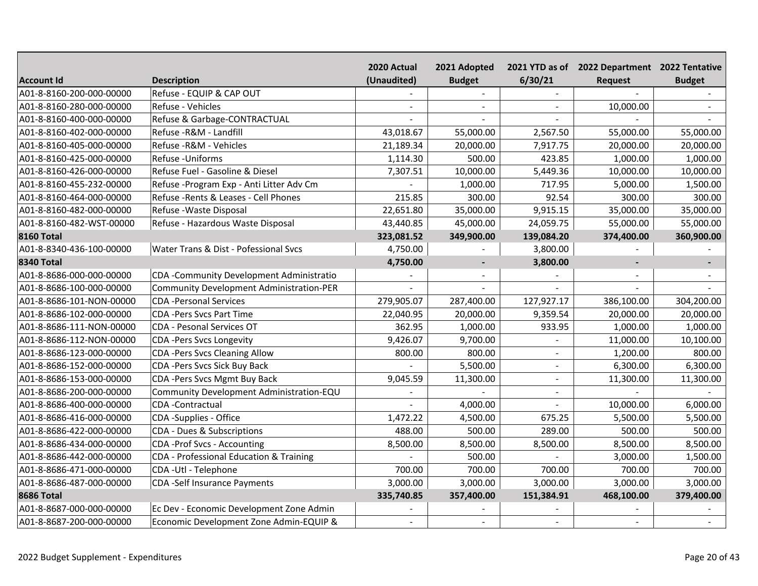|                          |                                                 | 2020 Actual              | 2021 Adopted   |            | 2021 YTD as of 2022 Department 2022 Tentative |               |
|--------------------------|-------------------------------------------------|--------------------------|----------------|------------|-----------------------------------------------|---------------|
| <b>Account Id</b>        | <b>Description</b>                              | (Unaudited)              | <b>Budget</b>  | 6/30/21    | <b>Request</b>                                | <b>Budget</b> |
| A01-8-8160-200-000-00000 | Refuse - EQUIP & CAP OUT                        |                          |                |            |                                               |               |
| A01-8-8160-280-000-00000 | Refuse - Vehicles                               |                          |                |            | 10,000.00                                     |               |
| A01-8-8160-400-000-00000 | Refuse & Garbage-CONTRACTUAL                    |                          |                |            |                                               |               |
| A01-8-8160-402-000-00000 | Refuse - R&M - Landfill                         | 43,018.67                | 55,000.00      | 2,567.50   | 55,000.00                                     | 55,000.00     |
| A01-8-8160-405-000-00000 | Refuse - R&M - Vehicles                         | 21,189.34                | 20,000.00      | 7,917.75   | 20,000.00                                     | 20,000.00     |
| A01-8-8160-425-000-00000 | Refuse - Uniforms                               | 1,114.30                 | 500.00         | 423.85     | 1,000.00                                      | 1,000.00      |
| A01-8-8160-426-000-00000 | Refuse Fuel - Gasoline & Diesel                 | 7,307.51                 | 10,000.00      | 5,449.36   | 10,000.00                                     | 10,000.00     |
| A01-8-8160-455-232-00000 | Refuse - Program Exp - Anti Litter Adv Cm       |                          | 1,000.00       | 717.95     | 5,000.00                                      | 1,500.00      |
| A01-8-8160-464-000-00000 | Refuse - Rents & Leases - Cell Phones           | 215.85                   | 300.00         | 92.54      | 300.00                                        | 300.00        |
| A01-8-8160-482-000-00000 | Refuse - Waste Disposal                         | 22,651.80                | 35,000.00      | 9,915.15   | 35,000.00                                     | 35,000.00     |
| A01-8-8160-482-WST-00000 | Refuse - Hazardous Waste Disposal               | 43,440.85                | 45,000.00      | 24,059.75  | 55,000.00                                     | 55,000.00     |
| <b>8160 Total</b>        |                                                 | 323,081.52               | 349,900.00     | 139,084.20 | 374,400.00                                    | 360,900.00    |
| A01-8-8340-436-100-00000 | Water Trans & Dist - Pofessional Svcs           | 4,750.00                 |                | 3,800.00   |                                               |               |
| <b>8340 Total</b>        |                                                 | 4,750.00                 | $\blacksquare$ | 3,800.00   |                                               |               |
| A01-8-8686-000-000-00000 | CDA -Community Development Administratio        |                          |                |            |                                               |               |
| A01-8-8686-100-000-00000 | <b>Community Development Administration-PER</b> |                          |                |            |                                               |               |
| A01-8-8686-101-NON-00000 | <b>CDA-Personal Services</b>                    | 279,905.07               | 287,400.00     | 127,927.17 | 386,100.00                                    | 304,200.00    |
| A01-8-8686-102-000-00000 | <b>CDA-Pers Sycs Part Time</b>                  | 22,040.95                | 20,000.00      | 9,359.54   | 20,000.00                                     | 20,000.00     |
| A01-8-8686-111-NON-00000 | CDA - Pesonal Services OT                       | 362.95                   | 1,000.00       | 933.95     | 1,000.00                                      | 1,000.00      |
| A01-8-8686-112-NON-00000 | <b>CDA-Pers Svcs Longevity</b>                  | 9,426.07                 | 9,700.00       |            | 11,000.00                                     | 10,100.00     |
| A01-8-8686-123-000-00000 | <b>CDA -Pers Svcs Cleaning Allow</b>            | 800.00                   | 800.00         |            | 1,200.00                                      | 800.00        |
| A01-8-8686-152-000-00000 | CDA -Pers Svcs Sick Buy Back                    |                          | 5,500.00       |            | 6,300.00                                      | 6,300.00      |
| A01-8-8686-153-000-00000 | CDA-Pers Svcs Mgmt Buy Back                     | 9,045.59                 | 11,300.00      |            | 11,300.00                                     | 11,300.00     |
| A01-8-8686-200-000-00000 | Community Development Administration-EQU        |                          |                |            |                                               |               |
| A01-8-8686-400-000-00000 | CDA-Contractual                                 |                          | 4,000.00       |            | 10,000.00                                     | 6,000.00      |
| A01-8-8686-416-000-00000 | CDA -Supplies - Office                          | 1,472.22                 | 4,500.00       | 675.25     | 5,500.00                                      | 5,500.00      |
| A01-8-8686-422-000-00000 | CDA - Dues & Subscriptions                      | 488.00                   | 500.00         | 289.00     | 500.00                                        | 500.00        |
| A01-8-8686-434-000-00000 | CDA -Prof Svcs - Accounting                     | 8,500.00                 | 8,500.00       | 8,500.00   | 8,500.00                                      | 8,500.00      |
| A01-8-8686-442-000-00000 | CDA - Professional Education & Training         |                          | 500.00         |            | 3,000.00                                      | 1,500.00      |
| A01-8-8686-471-000-00000 | CDA - Utl - Telephone                           | 700.00                   | 700.00         | 700.00     | 700.00                                        | 700.00        |
| A01-8-8686-487-000-00000 | <b>CDA-Self Insurance Payments</b>              | 3,000.00                 | 3,000.00       | 3,000.00   | 3,000.00                                      | 3,000.00      |
| <b>8686 Total</b>        |                                                 | 335,740.85               | 357,400.00     | 151,384.91 | 468,100.00                                    | 379,400.00    |
| A01-8-8687-000-000-00000 | Ec Dev - Economic Development Zone Admin        |                          |                |            |                                               |               |
| A01-8-8687-200-000-00000 | Economic Development Zone Admin-EQUIP &         | $\overline{\phantom{a}}$ | $\sim$         |            |                                               |               |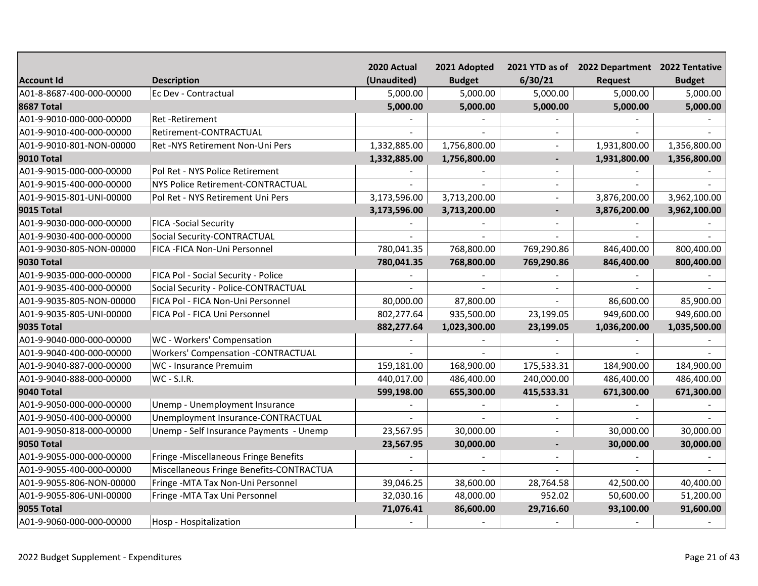|                          |                                           | 2020 Actual  | 2021 Adopted  |                | 2021 YTD as of 2022 Department 2022 Tentative |               |
|--------------------------|-------------------------------------------|--------------|---------------|----------------|-----------------------------------------------|---------------|
| <b>Account Id</b>        | <b>Description</b>                        | (Unaudited)  | <b>Budget</b> | 6/30/21        | <b>Request</b>                                | <b>Budget</b> |
| A01-8-8687-400-000-00000 | Ec Dev - Contractual                      | 5,000.00     | 5,000.00      | 5,000.00       | 5,000.00                                      | 5,000.00      |
| <b>8687 Total</b>        |                                           | 5,000.00     | 5,000.00      | 5,000.00       | 5,000.00                                      | 5,000.00      |
| A01-9-9010-000-000-00000 | Ret-Retirement                            |              |               |                |                                               |               |
| A01-9-9010-400-000-00000 | Retirement-CONTRACTUAL                    |              |               |                |                                               |               |
| A01-9-9010-801-NON-00000 | Ret -NYS Retirement Non-Uni Pers          | 1,332,885.00 | 1,756,800.00  | $\sim$         | 1,931,800.00                                  | 1,356,800.00  |
| <b>9010 Total</b>        |                                           | 1,332,885.00 | 1,756,800.00  |                | 1,931,800.00                                  | 1,356,800.00  |
| A01-9-9015-000-000-00000 | Pol Ret - NYS Police Retirement           |              |               |                |                                               |               |
| A01-9-9015-400-000-00000 | <b>NYS Police Retirement-CONTRACTUAL</b>  |              |               | $\sim$         |                                               |               |
| A01-9-9015-801-UNI-00000 | Pol Ret - NYS Retirement Uni Pers         | 3,173,596.00 | 3,713,200.00  |                | 3,876,200.00                                  | 3,962,100.00  |
| <b>9015 Total</b>        |                                           | 3,173,596.00 | 3,713,200.00  |                | 3,876,200.00                                  | 3,962,100.00  |
| A01-9-9030-000-000-00000 | <b>FICA -Social Security</b>              |              |               |                |                                               |               |
| A01-9-9030-400-000-00000 | Social Security-CONTRACTUAL               |              |               |                |                                               |               |
| A01-9-9030-805-NON-00000 | FICA - FICA Non-Uni Personnel             | 780,041.35   | 768,800.00    | 769,290.86     | 846,400.00                                    | 800,400.00    |
| <b>9030 Total</b>        |                                           | 780,041.35   | 768,800.00    | 769,290.86     | 846,400.00                                    | 800,400.00    |
| A01-9-9035-000-000-00000 | FICA Pol - Social Security - Police       |              |               |                |                                               |               |
| A01-9-9035-400-000-00000 | Social Security - Police-CONTRACTUAL      |              |               |                |                                               |               |
| A01-9-9035-805-NON-00000 | FICA Pol - FICA Non-Uni Personnel         | 80,000.00    | 87,800.00     |                | 86,600.00                                     | 85,900.00     |
| A01-9-9035-805-UNI-00000 | FICA Pol - FICA Uni Personnel             | 802,277.64   | 935,500.00    | 23,199.05      | 949,600.00                                    | 949,600.00    |
| <b>9035 Total</b>        |                                           | 882,277.64   | 1,023,300.00  | 23,199.05      | 1,036,200.00                                  | 1,035,500.00  |
| A01-9-9040-000-000-00000 | WC - Workers' Compensation                |              |               |                |                                               |               |
| A01-9-9040-400-000-00000 | <b>Workers' Compensation -CONTRACTUAL</b> |              |               |                |                                               |               |
| A01-9-9040-887-000-00000 | WC - Insurance Premuim                    | 159,181.00   | 168,900.00    | 175,533.31     | 184,900.00                                    | 184,900.00    |
| A01-9-9040-888-000-00000 | WC - S.I.R.                               | 440,017.00   | 486,400.00    | 240,000.00     | 486,400.00                                    | 486,400.00    |
| <b>9040 Total</b>        |                                           | 599,198.00   | 655,300.00    | 415,533.31     | 671,300.00                                    | 671,300.00    |
| A01-9-9050-000-000-00000 | Unemp - Unemployment Insurance            |              |               |                |                                               |               |
| A01-9-9050-400-000-00000 | Unemployment Insurance-CONTRACTUAL        |              |               |                |                                               |               |
| A01-9-9050-818-000-00000 | Unemp - Self Insurance Payments - Unemp   | 23,567.95    | 30,000.00     |                | 30,000.00                                     | 30,000.00     |
| <b>9050 Total</b>        |                                           | 23,567.95    | 30,000.00     | $\blacksquare$ | 30,000.00                                     | 30,000.00     |
| A01-9-9055-000-000-00000 | Fringe -Miscellaneous Fringe Benefits     |              |               |                |                                               |               |
| A01-9-9055-400-000-00000 | Miscellaneous Fringe Benefits-CONTRACTUA  |              |               |                |                                               |               |
| A01-9-9055-806-NON-00000 | Fringe - MTA Tax Non-Uni Personnel        | 39,046.25    | 38,600.00     | 28,764.58      | 42,500.00                                     | 40,400.00     |
| A01-9-9055-806-UNI-00000 | Fringe - MTA Tax Uni Personnel            | 32,030.16    | 48,000.00     | 952.02         | 50,600.00                                     | 51,200.00     |
| <b>9055 Total</b>        |                                           | 71,076.41    | 86,600.00     | 29,716.60      | 93,100.00                                     | 91,600.00     |
| A01-9-9060-000-000-00000 | Hosp - Hospitalization                    |              |               |                |                                               |               |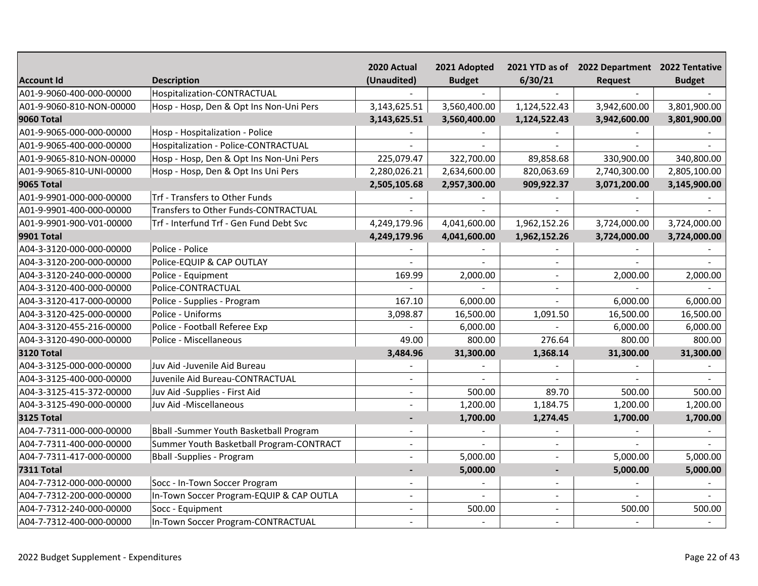|                          |                                          | 2020 Actual              | 2021 Adopted   |                | 2021 YTD as of 2022 Department 2022 Tentative |               |
|--------------------------|------------------------------------------|--------------------------|----------------|----------------|-----------------------------------------------|---------------|
| <b>Account Id</b>        | <b>Description</b>                       | (Unaudited)              | <b>Budget</b>  | 6/30/21        | <b>Request</b>                                | <b>Budget</b> |
| A01-9-9060-400-000-00000 | Hospitalization-CONTRACTUAL              |                          |                |                |                                               |               |
| A01-9-9060-810-NON-00000 | Hosp - Hosp, Den & Opt Ins Non-Uni Pers  | 3,143,625.51             | 3,560,400.00   | 1,124,522.43   | 3,942,600.00                                  | 3,801,900.00  |
| <b>9060 Total</b>        |                                          | 3,143,625.51             | 3,560,400.00   | 1,124,522.43   | 3,942,600.00                                  | 3,801,900.00  |
| A01-9-9065-000-000-00000 | Hosp - Hospitalization - Police          |                          |                |                |                                               |               |
| A01-9-9065-400-000-00000 | Hospitalization - Police-CONTRACTUAL     |                          |                |                |                                               |               |
| A01-9-9065-810-NON-00000 | Hosp - Hosp, Den & Opt Ins Non-Uni Pers  | 225,079.47               | 322,700.00     | 89,858.68      | 330,900.00                                    | 340,800.00    |
| A01-9-9065-810-UNI-00000 | Hosp - Hosp, Den & Opt Ins Uni Pers      | 2,280,026.21             | 2,634,600.00   | 820,063.69     | 2,740,300.00                                  | 2,805,100.00  |
| <b>9065 Total</b>        |                                          | 2,505,105.68             | 2,957,300.00   | 909,922.37     | 3,071,200.00                                  | 3,145,900.00  |
| A01-9-9901-000-000-00000 | Trf - Transfers to Other Funds           |                          |                |                |                                               |               |
| A01-9-9901-400-000-00000 | Transfers to Other Funds-CONTRACTUAL     |                          |                |                |                                               |               |
| A01-9-9901-900-V01-00000 | Trf - Interfund Trf - Gen Fund Debt Svc  | 4,249,179.96             | 4,041,600.00   | 1,962,152.26   | 3,724,000.00                                  | 3,724,000.00  |
| <b>9901 Total</b>        |                                          | 4,249,179.96             | 4,041,600.00   | 1,962,152.26   | 3,724,000.00                                  | 3,724,000.00  |
| A04-3-3120-000-000-00000 | Police - Police                          |                          |                |                |                                               |               |
| A04-3-3120-200-000-00000 | Police-EQUIP & CAP OUTLAY                |                          |                |                |                                               |               |
| A04-3-3120-240-000-00000 | Police - Equipment                       | 169.99                   | 2,000.00       |                | 2,000.00                                      | 2,000.00      |
| A04-3-3120-400-000-00000 | Police-CONTRACTUAL                       |                          |                |                |                                               |               |
| A04-3-3120-417-000-00000 | Police - Supplies - Program              | 167.10                   | 6,000.00       |                | 6,000.00                                      | 6,000.00      |
| A04-3-3120-425-000-00000 | Police - Uniforms                        | 3,098.87                 | 16,500.00      | 1,091.50       | 16,500.00                                     | 16,500.00     |
| A04-3-3120-455-216-00000 | Police - Football Referee Exp            |                          | 6,000.00       |                | 6,000.00                                      | 6,000.00      |
| A04-3-3120-490-000-00000 | Police - Miscellaneous                   | 49.00                    | 800.00         | 276.64         | 800.00                                        | 800.00        |
| <b>3120 Total</b>        |                                          | 3,484.96                 | 31,300.00      | 1,368.14       | 31,300.00                                     | 31,300.00     |
| A04-3-3125-000-000-00000 | Juv Aid -Juvenile Aid Bureau             |                          |                |                |                                               |               |
| A04-3-3125-400-000-00000 | Juvenile Aid Bureau-CONTRACTUAL          |                          |                |                |                                               |               |
| A04-3-3125-415-372-00000 | Juv Aid -Supplies - First Aid            |                          | 500.00         | 89.70          | 500.00                                        | 500.00        |
| A04-3-3125-490-000-00000 | Juv Aid -Miscellaneous                   | $\overline{a}$           | 1,200.00       | 1,184.75       | 1,200.00                                      | 1,200.00      |
| <b>3125 Total</b>        |                                          | $\overline{\phantom{a}}$ | 1,700.00       | 1,274.45       | 1,700.00                                      | 1,700.00      |
| A04-7-7311-000-000-00000 | Bball -Summer Youth Basketball Program   |                          |                |                |                                               |               |
| A04-7-7311-400-000-00000 | Summer Youth Basketball Program-CONTRACT | $\blacksquare$           |                |                |                                               |               |
| A04-7-7311-417-000-00000 | <b>Bball</b> -Supplies - Program         | $\overline{a}$           | 5,000.00       | $\sim$         | 5,000.00                                      | 5,000.00      |
| <b>7311 Total</b>        |                                          |                          | 5,000.00       | $\blacksquare$ | 5,000.00                                      | 5,000.00      |
| A04-7-7312-000-000-00000 | Socc - In-Town Soccer Program            |                          |                |                |                                               |               |
| A04-7-7312-200-000-00000 | In-Town Soccer Program-EQUIP & CAP OUTLA | $\blacksquare$           | $\overline{a}$ | $\sim$         |                                               |               |
| A04-7-7312-240-000-00000 | Socc - Equipment                         | $\overline{a}$           | 500.00         | $\sim$         | 500.00                                        | 500.00        |
| A04-7-7312-400-000-00000 | In-Town Soccer Program-CONTRACTUAL       |                          |                |                |                                               |               |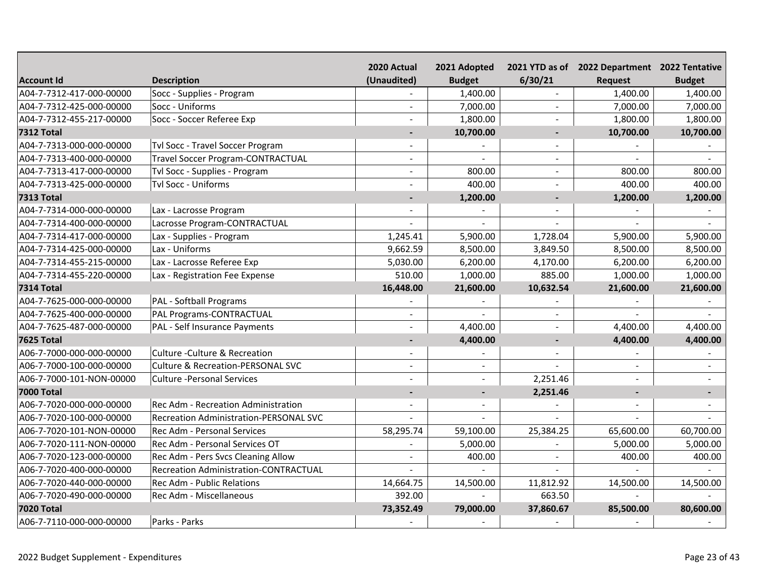|                          |                                              | 2020 Actual              | 2021 Adopted  |                | 2021 YTD as of 2022 Department 2022 Tentative |               |
|--------------------------|----------------------------------------------|--------------------------|---------------|----------------|-----------------------------------------------|---------------|
| <b>Account Id</b>        | <b>Description</b>                           | (Unaudited)              | <b>Budget</b> | 6/30/21        | <b>Request</b>                                | <b>Budget</b> |
| A04-7-7312-417-000-00000 | Socc - Supplies - Program                    |                          | 1,400.00      |                | 1,400.00                                      | 1,400.00      |
| A04-7-7312-425-000-00000 | Socc - Uniforms                              |                          | 7,000.00      |                | 7,000.00                                      | 7,000.00      |
| A04-7-7312-455-217-00000 | Socc - Soccer Referee Exp                    |                          | 1,800.00      |                | 1,800.00                                      | 1,800.00      |
| <b>7312 Total</b>        |                                              | $\overline{\phantom{a}}$ | 10,700.00     |                | 10,700.00                                     | 10,700.00     |
| A04-7-7313-000-000-00000 | Tvl Socc - Travel Soccer Program             |                          |               |                |                                               |               |
| A04-7-7313-400-000-00000 | <b>Travel Soccer Program-CONTRACTUAL</b>     | $\overline{\phantom{a}}$ |               |                |                                               |               |
| A04-7-7313-417-000-00000 | Tvl Socc - Supplies - Program                | $\blacksquare$           | 800.00        | $\sim$         | 800.00                                        | 800.00        |
| A04-7-7313-425-000-00000 | Tvl Socc - Uniforms                          | ÷                        | 400.00        |                | 400.00                                        | 400.00        |
| <b>7313 Total</b>        |                                              |                          | 1,200.00      |                | 1,200.00                                      | 1,200.00      |
| A04-7-7314-000-000-00000 | Lax - Lacrosse Program                       |                          |               |                |                                               |               |
| A04-7-7314-400-000-00000 | Lacrosse Program-CONTRACTUAL                 |                          |               |                |                                               |               |
| A04-7-7314-417-000-00000 | Lax - Supplies - Program                     | 1,245.41                 | 5,900.00      | 1,728.04       | 5,900.00                                      | 5,900.00      |
| A04-7-7314-425-000-00000 | Lax - Uniforms                               | 9,662.59                 | 8,500.00      | 3,849.50       | 8,500.00                                      | 8,500.00      |
| A04-7-7314-455-215-00000 | Lax - Lacrosse Referee Exp                   | 5,030.00                 | 6,200.00      | 4,170.00       | 6,200.00                                      | 6,200.00      |
| A04-7-7314-455-220-00000 | Lax - Registration Fee Expense               | 510.00                   | 1,000.00      | 885.00         | 1,000.00                                      | 1,000.00      |
| <b>7314 Total</b>        |                                              | 16,448.00                | 21,600.00     | 10,632.54      | 21,600.00                                     | 21,600.00     |
| A04-7-7625-000-000-00000 | PAL - Softball Programs                      |                          |               |                |                                               |               |
| A04-7-7625-400-000-00000 | PAL Programs-CONTRACTUAL                     |                          |               | $\blacksquare$ |                                               |               |
| A04-7-7625-487-000-00000 | PAL - Self Insurance Payments                |                          | 4,400.00      |                | 4,400.00                                      | 4,400.00      |
| <b>7625 Total</b>        |                                              | $\blacksquare$           | 4,400.00      |                | 4,400.00                                      | 4,400.00      |
| A06-7-7000-000-000-00000 | Culture - Culture & Recreation               |                          |               |                |                                               |               |
| A06-7-7000-100-000-00000 | <b>Culture &amp; Recreation-PERSONAL SVC</b> | $\blacksquare$           | $\sim$        |                |                                               |               |
| A06-7-7000-101-NON-00000 | <b>Culture -Personal Services</b>            |                          |               | 2,251.46       |                                               |               |
| <b>7000 Total</b>        |                                              | $\blacksquare$           |               | 2,251.46       |                                               |               |
| A06-7-7020-000-000-00000 | Rec Adm - Recreation Administration          |                          |               |                |                                               |               |
| A06-7-7020-100-000-00000 | Recreation Administration-PERSONAL SVC       |                          |               |                |                                               |               |
| A06-7-7020-101-NON-00000 | Rec Adm - Personal Services                  | 58,295.74                | 59,100.00     | 25,384.25      | 65,600.00                                     | 60,700.00     |
| A06-7-7020-111-NON-00000 | Rec Adm - Personal Services OT               |                          | 5,000.00      |                | 5,000.00                                      | 5,000.00      |
| A06-7-7020-123-000-00000 | Rec Adm - Pers Svcs Cleaning Allow           | $\overline{\phantom{a}}$ | 400.00        | $\blacksquare$ | 400.00                                        | 400.00        |
| A06-7-7020-400-000-00000 | <b>Recreation Administration-CONTRACTUAL</b> |                          |               |                |                                               |               |
| A06-7-7020-440-000-00000 | <b>Rec Adm - Public Relations</b>            | 14,664.75                | 14,500.00     | 11,812.92      | 14,500.00                                     | 14,500.00     |
| A06-7-7020-490-000-00000 | Rec Adm - Miscellaneous                      | 392.00                   |               | 663.50         |                                               |               |
| <b>7020 Total</b>        |                                              | 73,352.49                | 79,000.00     | 37,860.67      | 85,500.00                                     | 80,600.00     |
| A06-7-7110-000-000-00000 | Parks - Parks                                |                          |               |                |                                               |               |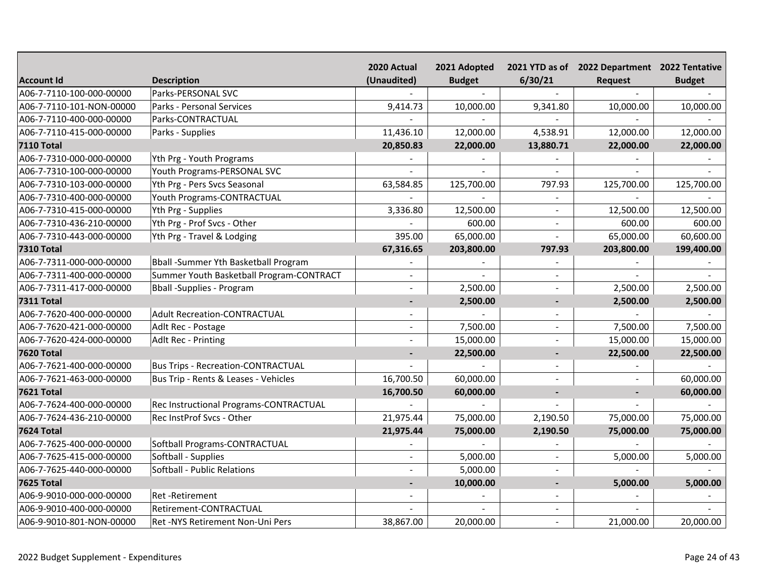|                          |                                           | 2020 Actual    | 2021 Adopted  |                | 2021 YTD as of 2022 Department 2022 Tentative |               |
|--------------------------|-------------------------------------------|----------------|---------------|----------------|-----------------------------------------------|---------------|
| <b>Account Id</b>        | <b>Description</b>                        | (Unaudited)    | <b>Budget</b> | 6/30/21        | Request                                       | <b>Budget</b> |
| A06-7-7110-100-000-00000 | Parks-PERSONAL SVC                        |                |               |                |                                               |               |
| A06-7-7110-101-NON-00000 | Parks - Personal Services                 | 9,414.73       | 10,000.00     | 9,341.80       | 10,000.00                                     | 10,000.00     |
| A06-7-7110-400-000-00000 | Parks-CONTRACTUAL                         |                |               |                |                                               |               |
| A06-7-7110-415-000-00000 | Parks - Supplies                          | 11,436.10      | 12,000.00     | 4,538.91       | 12,000.00                                     | 12,000.00     |
| <b>7110 Total</b>        |                                           | 20,850.83      | 22,000.00     | 13,880.71      | 22,000.00                                     | 22,000.00     |
| A06-7-7310-000-000-00000 | Yth Prg - Youth Programs                  |                |               |                |                                               |               |
| A06-7-7310-100-000-00000 | Youth Programs-PERSONAL SVC               |                |               |                |                                               |               |
| A06-7-7310-103-000-00000 | Yth Prg - Pers Svcs Seasonal              | 63,584.85      | 125,700.00    | 797.93         | 125,700.00                                    | 125,700.00    |
| A06-7-7310-400-000-00000 | Youth Programs-CONTRACTUAL                |                |               | $\sim$         |                                               |               |
| A06-7-7310-415-000-00000 | Yth Prg - Supplies                        | 3,336.80       | 12,500.00     | $\equiv$       | 12,500.00                                     | 12,500.00     |
| A06-7-7310-436-210-00000 | Yth Prg - Prof Svcs - Other               |                | 600.00        | $\sim$         | 600.00                                        | 600.00        |
| A06-7-7310-443-000-00000 | Yth Prg - Travel & Lodging                | 395.00         | 65,000.00     | $\sim$         | 65,000.00                                     | 60,600.00     |
| <b>7310 Total</b>        |                                           | 67,316.65      | 203,800.00    | 797.93         | 203,800.00                                    | 199,400.00    |
| A06-7-7311-000-000-00000 | Bball -Summer Yth Basketball Program      |                |               |                |                                               |               |
| A06-7-7311-400-000-00000 | Summer Youth Basketball Program-CONTRACT  |                |               |                |                                               |               |
| A06-7-7311-417-000-00000 | Bball - Supplies - Program                |                | 2,500.00      |                | 2,500.00                                      | 2,500.00      |
| <b>7311 Total</b>        |                                           | $\overline{a}$ | 2,500.00      |                | 2,500.00                                      | 2,500.00      |
| A06-7-7620-400-000-00000 | <b>Adult Recreation-CONTRACTUAL</b>       |                |               |                |                                               |               |
| A06-7-7620-421-000-00000 | Adlt Rec - Postage                        |                | 7,500.00      | $\overline{a}$ | 7,500.00                                      | 7,500.00      |
| A06-7-7620-424-000-00000 | Adlt Rec - Printing                       |                | 15,000.00     |                | 15,000.00                                     | 15,000.00     |
| <b>7620 Total</b>        |                                           | $\blacksquare$ | 22,500.00     |                | 22,500.00                                     | 22,500.00     |
| A06-7-7621-400-000-00000 | <b>Bus Trips - Recreation-CONTRACTUAL</b> |                |               |                |                                               |               |
| A06-7-7621-463-000-00000 | Bus Trip - Rents & Leases - Vehicles      | 16,700.50      | 60,000.00     |                |                                               | 60,000.00     |
| <b>7621 Total</b>        |                                           | 16,700.50      | 60,000.00     |                |                                               | 60,000.00     |
| A06-7-7624-400-000-00000 | Rec Instructional Programs-CONTRACTUAL    |                |               |                |                                               |               |
| A06-7-7624-436-210-00000 | Rec InstProf Svcs - Other                 | 21,975.44      | 75,000.00     | 2,190.50       | 75,000.00                                     | 75,000.00     |
| <b>7624 Total</b>        |                                           | 21,975.44      | 75,000.00     | 2,190.50       | 75,000.00                                     | 75,000.00     |
| A06-7-7625-400-000-00000 | Softball Programs-CONTRACTUAL             |                |               |                |                                               |               |
| A06-7-7625-415-000-00000 | Softball - Supplies                       |                | 5,000.00      | $\sim$         | 5,000.00                                      | 5,000.00      |
| A06-7-7625-440-000-00000 | Softball - Public Relations               |                | 5,000.00      |                |                                               |               |
| <b>7625 Total</b>        |                                           | ٠              | 10,000.00     |                | 5,000.00                                      | 5,000.00      |
| A06-9-9010-000-000-00000 | Ret-Retirement                            |                |               |                |                                               |               |
| A06-9-9010-400-000-00000 | Retirement-CONTRACTUAL                    |                |               |                |                                               |               |
| A06-9-9010-801-NON-00000 | Ret -NYS Retirement Non-Uni Pers          | 38,867.00      | 20,000.00     |                | 21,000.00                                     | 20,000.00     |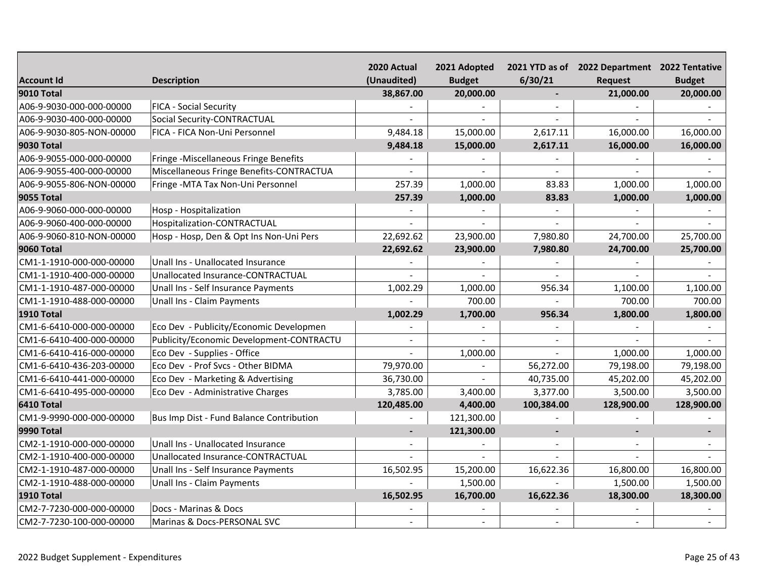|                          |                                          | 2020 Actual | 2021 Adopted  |                | 2021 YTD as of 2022 Department 2022 Tentative |                |
|--------------------------|------------------------------------------|-------------|---------------|----------------|-----------------------------------------------|----------------|
| <b>Account Id</b>        | <b>Description</b>                       | (Unaudited) | <b>Budget</b> | 6/30/21        | <b>Request</b>                                | <b>Budget</b>  |
| <b>9010 Total</b>        |                                          | 38,867.00   | 20,000.00     | $\blacksquare$ | 21,000.00                                     | 20,000.00      |
| A06-9-9030-000-000-00000 | <b>FICA - Social Security</b>            |             |               |                |                                               |                |
| A06-9-9030-400-000-00000 | Social Security-CONTRACTUAL              |             |               |                |                                               |                |
| A06-9-9030-805-NON-00000 | FICA - FICA Non-Uni Personnel            | 9,484.18    | 15,000.00     | 2,617.11       | 16,000.00                                     | 16,000.00      |
| <b>9030 Total</b>        |                                          | 9,484.18    | 15,000.00     | 2,617.11       | 16,000.00                                     | 16,000.00      |
| A06-9-9055-000-000-00000 | Fringe -Miscellaneous Fringe Benefits    |             |               |                |                                               |                |
| A06-9-9055-400-000-00000 | Miscellaneous Fringe Benefits-CONTRACTUA |             |               |                |                                               |                |
| A06-9-9055-806-NON-00000 | Fringe - MTA Tax Non-Uni Personnel       | 257.39      | 1,000.00      | 83.83          | 1,000.00                                      | 1,000.00       |
| <b>9055 Total</b>        |                                          | 257.39      | 1,000.00      | 83.83          | 1,000.00                                      | 1,000.00       |
| A06-9-9060-000-000-00000 | Hosp - Hospitalization                   |             |               |                |                                               |                |
| A06-9-9060-400-000-00000 | Hospitalization-CONTRACTUAL              |             |               |                |                                               |                |
| A06-9-9060-810-NON-00000 | Hosp - Hosp, Den & Opt Ins Non-Uni Pers  | 22,692.62   | 23,900.00     | 7,980.80       | 24,700.00                                     | 25,700.00      |
| <b>9060 Total</b>        |                                          | 22,692.62   | 23,900.00     | 7,980.80       | 24,700.00                                     | 25,700.00      |
| CM1-1-1910-000-000-00000 | Unall Ins - Unallocated Insurance        |             |               |                |                                               |                |
| CM1-1-1910-400-000-00000 | Unallocated Insurance-CONTRACTUAL        |             |               |                |                                               |                |
| CM1-1-1910-487-000-00000 | Unall Ins - Self Insurance Payments      | 1,002.29    | 1,000.00      | 956.34         | 1,100.00                                      | 1,100.00       |
| CM1-1-1910-488-000-00000 | Unall Ins - Claim Payments               |             | 700.00        |                | 700.00                                        | 700.00         |
| <b>1910 Total</b>        |                                          | 1,002.29    | 1,700.00      | 956.34         | 1,800.00                                      | 1,800.00       |
| CM1-6-6410-000-000-00000 | Eco Dev - Publicity/Economic Developmen  |             |               |                |                                               |                |
| CM1-6-6410-400-000-00000 | Publicity/Economic Development-CONTRACTU |             |               |                |                                               |                |
| CM1-6-6410-416-000-00000 | Eco Dev - Supplies - Office              |             | 1,000.00      |                | 1,000.00                                      | 1,000.00       |
| CM1-6-6410-436-203-00000 | Eco Dev - Prof Svcs - Other BIDMA        | 79,970.00   |               | 56,272.00      | 79,198.00                                     | 79,198.00      |
| CM1-6-6410-441-000-00000 | Eco Dev - Marketing & Advertising        | 36,730.00   |               | 40,735.00      | 45,202.00                                     | 45,202.00      |
| CM1-6-6410-495-000-00000 | Eco Dev - Administrative Charges         | 3,785.00    | 3,400.00      | 3,377.00       | 3,500.00                                      | 3,500.00       |
| 6410 Total               |                                          | 120,485.00  | 4,400.00      | 100,384.00     | 128,900.00                                    | 128,900.00     |
| CM1-9-9990-000-000-00000 | Bus Imp Dist - Fund Balance Contribution |             | 121,300.00    |                |                                               |                |
| 9990 Total               |                                          | ٠           | 121,300.00    |                | $\blacksquare$                                | $\blacksquare$ |
| CM2-1-1910-000-000-00000 | Unall Ins - Unallocated Insurance        |             |               |                |                                               |                |
| CM2-1-1910-400-000-00000 | Unallocated Insurance-CONTRACTUAL        |             |               |                |                                               |                |
| CM2-1-1910-487-000-00000 | Unall Ins - Self Insurance Payments      | 16,502.95   | 15,200.00     | 16,622.36      | 16,800.00                                     | 16,800.00      |
| CM2-1-1910-488-000-00000 | Unall Ins - Claim Payments               |             | 1,500.00      |                | 1,500.00                                      | 1,500.00       |
| <b>1910 Total</b>        |                                          | 16,502.95   | 16,700.00     | 16,622.36      | 18,300.00                                     | 18,300.00      |
| CM2-7-7230-000-000-00000 | Docs - Marinas & Docs                    |             |               |                |                                               |                |
| CM2-7-7230-100-000-00000 | Marinas & Docs-PERSONAL SVC              |             | $\sim$        |                |                                               |                |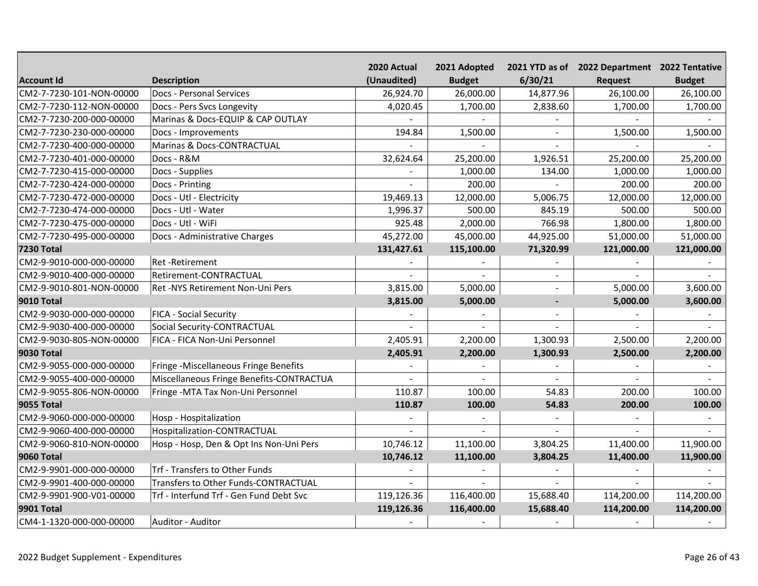|                          |                                          | 2020 Actual | 2021 Adopted  |           | 2021 YTD as of 2022 Department 2022 Tentative |               |
|--------------------------|------------------------------------------|-------------|---------------|-----------|-----------------------------------------------|---------------|
| <b>Account Id</b>        | <b>Description</b>                       | (Unaudited) | <b>Budget</b> | 6/30/21   | <b>Request</b>                                | <b>Budget</b> |
| CM2-7-7230-101-NON-00000 | <b>Docs - Personal Services</b>          | 26,924.70   | 26,000.00     | 14,877.96 | 26,100.00                                     | 26,100.00     |
| CM2-7-7230-112-NON-00000 | Docs - Pers Svcs Longevity               | 4,020.45    | 1,700.00      | 2,838.60  | 1,700.00                                      | 1,700.00      |
| CM2-7-7230-200-000-00000 | Marinas & Docs-EQUIP & CAP OUTLAY        |             |               |           |                                               |               |
| CM2-7-7230-230-000-00000 | Docs - Improvements                      | 194.84      | 1,500.00      |           | 1,500.00                                      | 1,500.00      |
| CM2-7-7230-400-000-00000 | Marinas & Docs-CONTRACTUAL               |             |               |           |                                               |               |
| CM2-7-7230-401-000-00000 | Docs - R&M                               | 32,624.64   | 25,200.00     | 1,926.51  | 25,200.00                                     | 25,200.00     |
| CM2-7-7230-415-000-00000 | Docs - Supplies                          |             | 1,000.00      | 134.00    | 1,000.00                                      | 1,000.00      |
| CM2-7-7230-424-000-00000 | Docs - Printing                          |             | 200.00        |           | 200.00                                        | 200.00        |
| CM2-7-7230-472-000-00000 | Docs - Utl - Electricity                 | 19,469.13   | 12,000.00     | 5,006.75  | 12,000.00                                     | 12,000.00     |
| CM2-7-7230-474-000-00000 | Docs - Utl - Water                       | 1,996.37    | 500.00        | 845.19    | 500.00                                        | 500.00        |
| CM2-7-7230-475-000-00000 | Docs - Utl - WiFi                        | 925.48      | 2,000.00      | 766.98    | 1,800.00                                      | 1,800.00      |
| CM2-7-7230-495-000-00000 | Docs - Administrative Charges            | 45,272.00   | 45,000.00     | 44,925.00 | 51,000.00                                     | 51,000.00     |
| <b>7230 Total</b>        |                                          | 131,427.61  | 115,100.00    | 71,320.99 | 121,000.00                                    | 121,000.00    |
| CM2-9-9010-000-000-00000 | Ret-Retirement                           |             |               |           |                                               |               |
| CM2-9-9010-400-000-00000 | Retirement-CONTRACTUAL                   |             |               |           |                                               |               |
| CM2-9-9010-801-NON-00000 | Ret -NYS Retirement Non-Uni Pers         | 3,815.00    | 5,000.00      | $\sim$    | 5,000.00                                      | 3,600.00      |
| 9010 Total               |                                          | 3,815.00    | 5,000.00      |           | 5,000.00                                      | 3,600.00      |
| CM2-9-9030-000-000-00000 | <b>FICA - Social Security</b>            |             |               |           |                                               |               |
| CM2-9-9030-400-000-00000 | Social Security-CONTRACTUAL              |             |               |           |                                               |               |
| CM2-9-9030-805-NON-00000 | FICA - FICA Non-Uni Personnel            | 2,405.91    | 2,200.00      | 1,300.93  | 2,500.00                                      | 2,200.00      |
| <b>9030 Total</b>        |                                          | 2,405.91    | 2,200.00      | 1,300.93  | 2,500.00                                      | 2,200.00      |
| CM2-9-9055-000-000-00000 | Fringe -Miscellaneous Fringe Benefits    |             |               |           |                                               |               |
| CM2-9-9055-400-000-00000 | Miscellaneous Fringe Benefits-CONTRACTUA |             |               |           |                                               |               |
| CM2-9-9055-806-NON-00000 | Fringe - MTA Tax Non-Uni Personnel       | 110.87      | 100.00        | 54.83     | 200.00                                        | 100.00        |
| <b>9055 Total</b>        |                                          | 110.87      | 100.00        | 54.83     | 200.00                                        | 100.00        |
| CM2-9-9060-000-000-00000 | Hosp - Hospitalization                   |             |               |           |                                               |               |
| CM2-9-9060-400-000-00000 | Hospitalization-CONTRACTUAL              |             |               |           |                                               |               |
| CM2-9-9060-810-NON-00000 | Hosp - Hosp, Den & Opt Ins Non-Uni Pers  | 10,746.12   | 11,100.00     | 3,804.25  | 11,400.00                                     | 11,900.00     |
| <b>9060 Total</b>        |                                          | 10,746.12   | 11,100.00     | 3,804.25  | 11,400.00                                     | 11,900.00     |
| CM2-9-9901-000-000-00000 | Trf - Transfers to Other Funds           |             |               |           |                                               |               |
| CM2-9-9901-400-000-00000 | Transfers to Other Funds-CONTRACTUAL     |             |               |           |                                               |               |
| CM2-9-9901-900-V01-00000 | Trf - Interfund Trf - Gen Fund Debt Svc  | 119,126.36  | 116,400.00    | 15,688.40 | 114,200.00                                    | 114,200.00    |
| <b>9901 Total</b>        |                                          | 119,126.36  | 116,400.00    | 15,688.40 | 114,200.00                                    | 114,200.00    |
| CM4-1-1320-000-000-00000 | Auditor - Auditor                        |             |               |           |                                               |               |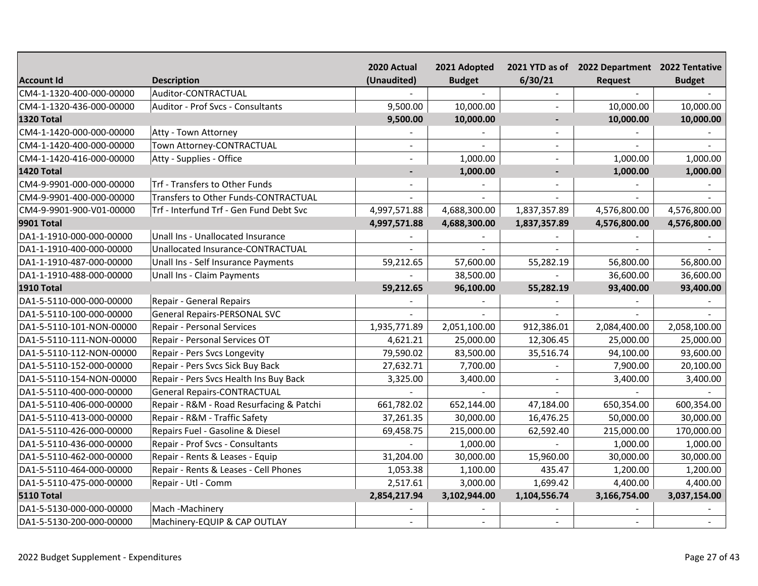|                          |                                          | 2020 Actual              | 2021 Adopted  |                | 2021 YTD as of 2022 Department 2022 Tentative |               |
|--------------------------|------------------------------------------|--------------------------|---------------|----------------|-----------------------------------------------|---------------|
| <b>Account Id</b>        | <b>Description</b>                       | (Unaudited)              | <b>Budget</b> | 6/30/21        | Request                                       | <b>Budget</b> |
| CM4-1-1320-400-000-00000 | Auditor-CONTRACTUAL                      |                          |               |                |                                               |               |
| CM4-1-1320-436-000-00000 | Auditor - Prof Svcs - Consultants        | 9,500.00                 | 10,000.00     |                | 10,000.00                                     | 10,000.00     |
| <b>1320 Total</b>        |                                          | 9,500.00                 | 10,000.00     |                | 10,000.00                                     | 10,000.00     |
| CM4-1-1420-000-000-00000 | Atty - Town Attorney                     |                          |               |                |                                               |               |
| CM4-1-1420-400-000-00000 | Town Attorney-CONTRACTUAL                |                          |               |                |                                               |               |
| CM4-1-1420-416-000-00000 | Atty - Supplies - Office                 |                          | 1,000.00      |                | 1,000.00                                      | 1,000.00      |
| <b>1420 Total</b>        |                                          | $\blacksquare$           | 1,000.00      | $\blacksquare$ | 1,000.00                                      | 1,000.00      |
| CM4-9-9901-000-000-00000 | Trf - Transfers to Other Funds           | $\overline{a}$           |               |                |                                               |               |
| CM4-9-9901-400-000-00000 | Transfers to Other Funds-CONTRACTUAL     |                          |               |                |                                               |               |
| CM4-9-9901-900-V01-00000 | Trf - Interfund Trf - Gen Fund Debt Svc  | 4,997,571.88             | 4,688,300.00  | 1,837,357.89   | 4,576,800.00                                  | 4,576,800.00  |
| <b>9901 Total</b>        |                                          | 4,997,571.88             | 4,688,300.00  | 1,837,357.89   | 4,576,800.00                                  | 4,576,800.00  |
| DA1-1-1910-000-000-00000 | Unall Ins - Unallocated Insurance        |                          |               |                |                                               |               |
| DA1-1-1910-400-000-00000 | Unallocated Insurance-CONTRACTUAL        |                          | $\sim$        |                |                                               |               |
| DA1-1-1910-487-000-00000 | Unall Ins - Self Insurance Payments      | 59,212.65                | 57,600.00     | 55,282.19      | 56,800.00                                     | 56,800.00     |
| DA1-1-1910-488-000-00000 | Unall Ins - Claim Payments               |                          | 38,500.00     |                | 36,600.00                                     | 36,600.00     |
| <b>1910 Total</b>        |                                          | 59,212.65                | 96,100.00     | 55,282.19      | 93,400.00                                     | 93,400.00     |
| DA1-5-5110-000-000-00000 | Repair - General Repairs                 |                          |               |                |                                               |               |
| DA1-5-5110-100-000-00000 | <b>General Repairs-PERSONAL SVC</b>      |                          |               |                |                                               |               |
| DA1-5-5110-101-NON-00000 | Repair - Personal Services               | 1,935,771.89             | 2,051,100.00  | 912,386.01     | 2,084,400.00                                  | 2,058,100.00  |
| DA1-5-5110-111-NON-00000 | Repair - Personal Services OT            | 4,621.21                 | 25,000.00     | 12,306.45      | 25,000.00                                     | 25,000.00     |
| DA1-5-5110-112-NON-00000 | Repair - Pers Svcs Longevity             | 79,590.02                | 83,500.00     | 35,516.74      | 94,100.00                                     | 93,600.00     |
| DA1-5-5110-152-000-00000 | Repair - Pers Svcs Sick Buy Back         | 27,632.71                | 7,700.00      |                | 7,900.00                                      | 20,100.00     |
| DA1-5-5110-154-NON-00000 | Repair - Pers Svcs Health Ins Buy Back   | 3,325.00                 | 3,400.00      |                | 3,400.00                                      | 3,400.00      |
| DA1-5-5110-400-000-00000 | <b>General Repairs-CONTRACTUAL</b>       |                          |               |                |                                               |               |
| DA1-5-5110-406-000-00000 | Repair - R&M - Road Resurfacing & Patchi | 661,782.02               | 652,144.00    | 47,184.00      | 650,354.00                                    | 600,354.00    |
| DA1-5-5110-413-000-00000 | Repair - R&M - Traffic Safety            | 37,261.35                | 30,000.00     | 16,476.25      | 50,000.00                                     | 30,000.00     |
| DA1-5-5110-426-000-00000 | Repairs Fuel - Gasoline & Diesel         | 69,458.75                | 215,000.00    | 62,592.40      | 215,000.00                                    | 170,000.00    |
| DA1-5-5110-436-000-00000 | Repair - Prof Svcs - Consultants         |                          | 1,000.00      |                | 1,000.00                                      | 1,000.00      |
| DA1-5-5110-462-000-00000 | Repair - Rents & Leases - Equip          | 31,204.00                | 30,000.00     | 15,960.00      | 30,000.00                                     | 30,000.00     |
| DA1-5-5110-464-000-00000 | Repair - Rents & Leases - Cell Phones    | 1,053.38                 | 1,100.00      | 435.47         | 1,200.00                                      | 1,200.00      |
| DA1-5-5110-475-000-00000 | Repair - Utl - Comm                      | 2,517.61                 | 3,000.00      | 1,699.42       | 4,400.00                                      | 4,400.00      |
| <b>5110 Total</b>        |                                          | 2,854,217.94             | 3,102,944.00  | 1,104,556.74   | 3,166,754.00                                  | 3,037,154.00  |
| DA1-5-5130-000-000-00000 | Mach-Machinery                           |                          |               |                |                                               |               |
| DA1-5-5130-200-000-00000 | Machinery-EQUIP & CAP OUTLAY             | $\overline{\phantom{a}}$ | $\sim$        |                |                                               |               |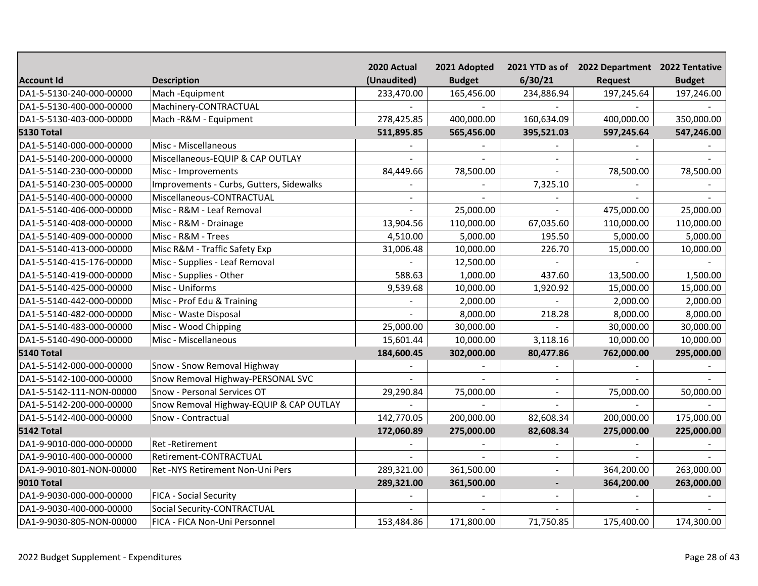|                          |                                          | 2020 Actual | 2021 Adopted  |                | 2021 YTD as of 2022 Department 2022 Tentative |               |
|--------------------------|------------------------------------------|-------------|---------------|----------------|-----------------------------------------------|---------------|
| <b>Account Id</b>        | <b>Description</b>                       | (Unaudited) | <b>Budget</b> | 6/30/21        | <b>Request</b>                                | <b>Budget</b> |
| DA1-5-5130-240-000-00000 | Mach -Equipment                          | 233,470.00  | 165,456.00    | 234,886.94     | 197,245.64                                    | 197,246.00    |
| DA1-5-5130-400-000-00000 | Machinery-CONTRACTUAL                    |             |               |                |                                               |               |
| DA1-5-5130-403-000-00000 | Mach - R&M - Equipment                   | 278,425.85  | 400,000.00    | 160,634.09     | 400,000.00                                    | 350,000.00    |
| <b>5130 Total</b>        |                                          | 511,895.85  | 565,456.00    | 395,521.03     | 597,245.64                                    | 547,246.00    |
| DA1-5-5140-000-000-00000 | Misc - Miscellaneous                     |             |               |                |                                               |               |
| DA1-5-5140-200-000-00000 | Miscellaneous-EQUIP & CAP OUTLAY         |             |               | $\sim$         |                                               |               |
| DA1-5-5140-230-000-00000 | Misc - Improvements                      | 84,449.66   | 78,500.00     | $\sim$         | 78,500.00                                     | 78,500.00     |
| DA1-5-5140-230-005-00000 | Improvements - Curbs, Gutters, Sidewalks |             |               | 7,325.10       |                                               |               |
| DA1-5-5140-400-000-00000 | Miscellaneous-CONTRACTUAL                |             |               |                |                                               |               |
| DA1-5-5140-406-000-00000 | Misc - R&M - Leaf Removal                |             | 25,000.00     |                | 475,000.00                                    | 25,000.00     |
| DA1-5-5140-408-000-00000 | Misc - R&M - Drainage                    | 13,904.56   | 110,000.00    | 67,035.60      | 110,000.00                                    | 110,000.00    |
| DA1-5-5140-409-000-00000 | Misc - R&M - Trees                       | 4,510.00    | 5,000.00      | 195.50         | 5,000.00                                      | 5,000.00      |
| DA1-5-5140-413-000-00000 | Misc R&M - Traffic Safety Exp            | 31,006.48   | 10,000.00     | 226.70         | 15,000.00                                     | 10,000.00     |
| DA1-5-5140-415-176-00000 | Misc - Supplies - Leaf Removal           |             | 12,500.00     |                |                                               |               |
| DA1-5-5140-419-000-00000 | Misc - Supplies - Other                  | 588.63      | 1,000.00      | 437.60         | 13,500.00                                     | 1,500.00      |
| DA1-5-5140-425-000-00000 | Misc - Uniforms                          | 9,539.68    | 10,000.00     | 1,920.92       | 15,000.00                                     | 15,000.00     |
| DA1-5-5140-442-000-00000 | Misc - Prof Edu & Training               |             | 2,000.00      |                | 2,000.00                                      | 2,000.00      |
| DA1-5-5140-482-000-00000 | Misc - Waste Disposal                    |             | 8,000.00      | 218.28         | 8,000.00                                      | 8,000.00      |
| DA1-5-5140-483-000-00000 | Misc - Wood Chipping                     | 25,000.00   | 30,000.00     |                | 30,000.00                                     | 30,000.00     |
| DA1-5-5140-490-000-00000 | Misc - Miscellaneous                     | 15,601.44   | 10,000.00     | 3,118.16       | 10,000.00                                     | 10,000.00     |
| <b>5140 Total</b>        |                                          | 184,600.45  | 302,000.00    | 80,477.86      | 762,000.00                                    | 295,000.00    |
| DA1-5-5142-000-000-00000 | Snow - Snow Removal Highway              |             |               |                |                                               |               |
| DA1-5-5142-100-000-00000 | Snow Removal Highway-PERSONAL SVC        |             |               |                |                                               |               |
| DA1-5-5142-111-NON-00000 | Snow - Personal Services OT              | 29,290.84   | 75,000.00     |                | 75,000.00                                     | 50,000.00     |
| DA1-5-5142-200-000-00000 | Snow Removal Highway-EQUIP & CAP OUTLAY  |             |               |                |                                               |               |
| DA1-5-5142-400-000-00000 | Snow - Contractual                       | 142,770.05  | 200,000.00    | 82,608.34      | 200,000.00                                    | 175,000.00    |
| 5142 Total               |                                          | 172,060.89  | 275,000.00    | 82,608.34      | 275,000.00                                    | 225,000.00    |
| DA1-9-9010-000-000-00000 | <b>Ret-Retirement</b>                    |             |               |                |                                               |               |
| DA1-9-9010-400-000-00000 | Retirement-CONTRACTUAL                   |             |               | $\blacksquare$ |                                               |               |
| DA1-9-9010-801-NON-00000 | Ret -NYS Retirement Non-Uni Pers         | 289,321.00  | 361,500.00    |                | 364,200.00                                    | 263,000.00    |
| <b>9010 Total</b>        |                                          | 289,321.00  | 361,500.00    | $\blacksquare$ | 364,200.00                                    | 263,000.00    |
| DA1-9-9030-000-000-00000 | <b>FICA - Social Security</b>            |             |               | $\sim$         |                                               |               |
| DA1-9-9030-400-000-00000 | Social Security-CONTRACTUAL              |             |               | $\sim$         |                                               |               |
| DA1-9-9030-805-NON-00000 | FICA - FICA Non-Uni Personnel            | 153,484.86  | 171,800.00    | 71,750.85      | 175,400.00                                    | 174,300.00    |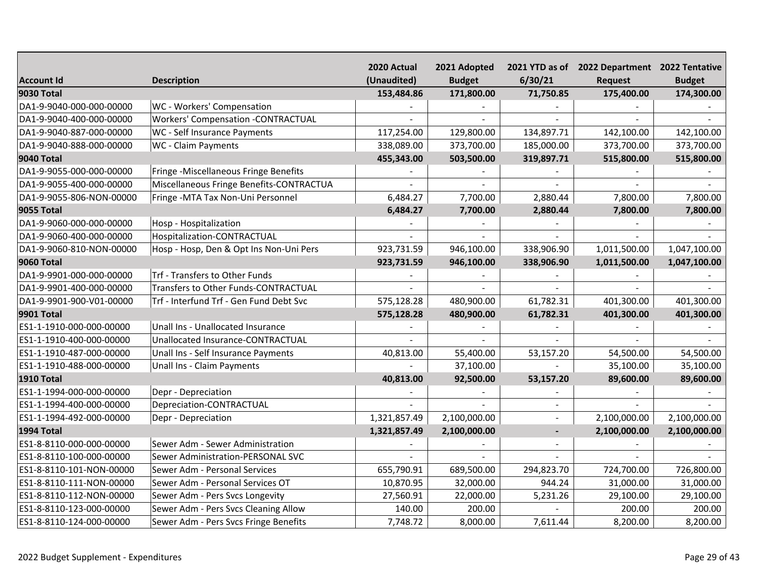|                          |                                           | 2020 Actual  | 2021 Adopted  |                | 2021 YTD as of 2022 Department 2022 Tentative |               |
|--------------------------|-------------------------------------------|--------------|---------------|----------------|-----------------------------------------------|---------------|
| <b>Account Id</b>        | <b>Description</b>                        | (Unaudited)  | <b>Budget</b> | 6/30/21        | <b>Request</b>                                | <b>Budget</b> |
| 9030 Total               |                                           | 153,484.86   | 171,800.00    | 71,750.85      | 175,400.00                                    | 174,300.00    |
| DA1-9-9040-000-000-00000 | WC - Workers' Compensation                |              |               |                |                                               |               |
| DA1-9-9040-400-000-00000 | <b>Workers' Compensation -CONTRACTUAL</b> |              |               |                |                                               |               |
| DA1-9-9040-887-000-00000 | WC - Self Insurance Payments              | 117,254.00   | 129,800.00    | 134,897.71     | 142,100.00                                    | 142,100.00    |
| DA1-9-9040-888-000-00000 | WC - Claim Payments                       | 338,089.00   | 373,700.00    | 185,000.00     | 373,700.00                                    | 373,700.00    |
| <b>9040 Total</b>        |                                           | 455,343.00   | 503,500.00    | 319,897.71     | 515,800.00                                    | 515,800.00    |
| DA1-9-9055-000-000-00000 | Fringe -Miscellaneous Fringe Benefits     |              |               |                |                                               |               |
| DA1-9-9055-400-000-00000 | Miscellaneous Fringe Benefits-CONTRACTUA  |              |               |                |                                               |               |
| DA1-9-9055-806-NON-00000 | Fringe - MTA Tax Non-Uni Personnel        | 6,484.27     | 7,700.00      | 2,880.44       | 7,800.00                                      | 7,800.00      |
| <b>9055 Total</b>        |                                           | 6,484.27     | 7,700.00      | 2,880.44       | 7,800.00                                      | 7,800.00      |
| DA1-9-9060-000-000-00000 | Hosp - Hospitalization                    |              |               |                |                                               |               |
| DA1-9-9060-400-000-00000 | Hospitalization-CONTRACTUAL               |              |               |                |                                               |               |
| DA1-9-9060-810-NON-00000 | Hosp - Hosp, Den & Opt Ins Non-Uni Pers   | 923,731.59   | 946,100.00    | 338,906.90     | 1,011,500.00                                  | 1,047,100.00  |
| <b>9060 Total</b>        |                                           | 923,731.59   | 946,100.00    | 338,906.90     | 1,011,500.00                                  | 1,047,100.00  |
| DA1-9-9901-000-000-00000 | Trf - Transfers to Other Funds            |              |               |                |                                               |               |
| DA1-9-9901-400-000-00000 | Transfers to Other Funds-CONTRACTUAL      |              |               |                |                                               |               |
| DA1-9-9901-900-V01-00000 | Trf - Interfund Trf - Gen Fund Debt Svc   | 575,128.28   | 480,900.00    | 61,782.31      | 401,300.00                                    | 401,300.00    |
| 9901 Total               |                                           | 575,128.28   | 480,900.00    | 61,782.31      | 401,300.00                                    | 401,300.00    |
| ES1-1-1910-000-000-00000 | Unall Ins - Unallocated Insurance         |              |               |                |                                               |               |
| ES1-1-1910-400-000-00000 | Unallocated Insurance-CONTRACTUAL         |              |               |                |                                               |               |
| ES1-1-1910-487-000-00000 | Unall Ins - Self Insurance Payments       | 40,813.00    | 55,400.00     | 53,157.20      | 54,500.00                                     | 54,500.00     |
| ES1-1-1910-488-000-00000 | Unall Ins - Claim Payments                |              | 37,100.00     |                | 35,100.00                                     | 35,100.00     |
| <b>1910 Total</b>        |                                           | 40,813.00    | 92,500.00     | 53,157.20      | 89,600.00                                     | 89,600.00     |
| ES1-1-1994-000-000-00000 | Depr - Depreciation                       |              |               |                |                                               |               |
| ES1-1-1994-400-000-00000 | Depreciation-CONTRACTUAL                  |              |               |                |                                               |               |
| ES1-1-1994-492-000-00000 | Depr - Depreciation                       | 1,321,857.49 | 2,100,000.00  |                | 2,100,000.00                                  | 2,100,000.00  |
| <b>1994 Total</b>        |                                           | 1,321,857.49 | 2,100,000.00  | $\blacksquare$ | 2,100,000.00                                  | 2,100,000.00  |
| ES1-8-8110-000-000-00000 | Sewer Adm - Sewer Administration          |              |               |                |                                               |               |
| ES1-8-8110-100-000-00000 | Sewer Administration-PERSONAL SVC         |              |               |                |                                               |               |
| ES1-8-8110-101-NON-00000 | Sewer Adm - Personal Services             | 655,790.91   | 689,500.00    | 294,823.70     | 724,700.00                                    | 726,800.00    |
| ES1-8-8110-111-NON-00000 | Sewer Adm - Personal Services OT          | 10,870.95    | 32,000.00     | 944.24         | 31,000.00                                     | 31,000.00     |
| ES1-8-8110-112-NON-00000 | Sewer Adm - Pers Svcs Longevity           | 27,560.91    | 22,000.00     | 5,231.26       | 29,100.00                                     | 29,100.00     |
| ES1-8-8110-123-000-00000 | Sewer Adm - Pers Svcs Cleaning Allow      | 140.00       | 200.00        |                | 200.00                                        | 200.00        |
| ES1-8-8110-124-000-00000 | Sewer Adm - Pers Svcs Fringe Benefits     | 7,748.72     | 8,000.00      | 7,611.44       | 8,200.00                                      | 8,200.00      |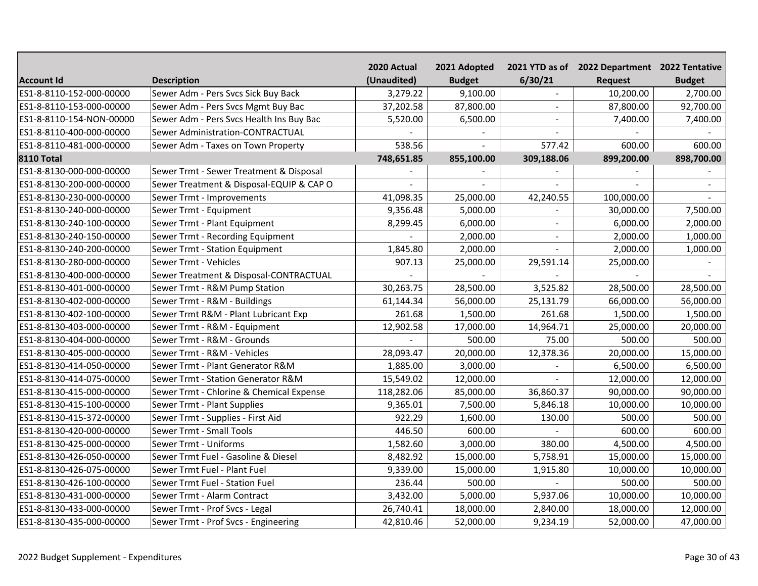|                          |                                          | 2020 Actual | 2021 Adopted  |            | 2021 YTD as of 2022 Department 2022 Tentative |               |
|--------------------------|------------------------------------------|-------------|---------------|------------|-----------------------------------------------|---------------|
| <b>Account Id</b>        | <b>Description</b>                       | (Unaudited) | <b>Budget</b> | 6/30/21    | <b>Request</b>                                | <b>Budget</b> |
| ES1-8-8110-152-000-00000 | Sewer Adm - Pers Svcs Sick Buy Back      | 3,279.22    | 9,100.00      |            | 10,200.00                                     | 2,700.00      |
| ES1-8-8110-153-000-00000 | Sewer Adm - Pers Svcs Mgmt Buy Bac       | 37,202.58   | 87,800.00     |            | 87,800.00                                     | 92,700.00     |
| ES1-8-8110-154-NON-00000 | Sewer Adm - Pers Svcs Health Ins Buy Bac | 5,520.00    | 6,500.00      |            | 7,400.00                                      | 7,400.00      |
| ES1-8-8110-400-000-00000 | Sewer Administration-CONTRACTUAL         |             |               |            |                                               |               |
| ES1-8-8110-481-000-00000 | Sewer Adm - Taxes on Town Property       | 538.56      |               | 577.42     | 600.00                                        | 600.00        |
| <b>8110 Total</b>        |                                          | 748,651.85  | 855,100.00    | 309,188.06 | 899,200.00                                    | 898,700.00    |
| ES1-8-8130-000-000-00000 | Sewer Trmt - Sewer Treatment & Disposal  |             |               |            |                                               |               |
| ES1-8-8130-200-000-00000 | Sewer Treatment & Disposal-EQUIP & CAP O |             |               |            |                                               |               |
| ES1-8-8130-230-000-00000 | Sewer Trmt - Improvements                | 41,098.35   | 25,000.00     | 42,240.55  | 100,000.00                                    |               |
| ES1-8-8130-240-000-00000 | Sewer Trmt - Equipment                   | 9,356.48    | 5,000.00      |            | 30,000.00                                     | 7,500.00      |
| ES1-8-8130-240-100-00000 | Sewer Trmt - Plant Equipment             | 8,299.45    | 6,000.00      | $\sim$     | 6,000.00                                      | 2,000.00      |
| ES1-8-8130-240-150-00000 | Sewer Trmt - Recording Equipment         |             | 2,000.00      | $\sim$     | 2,000.00                                      | 1,000.00      |
| ES1-8-8130-240-200-00000 | Sewer Trmt - Station Equipment           | 1,845.80    | 2,000.00      |            | 2,000.00                                      | 1,000.00      |
| ES1-8-8130-280-000-00000 | Sewer Trmt - Vehicles                    | 907.13      | 25,000.00     | 29,591.14  | 25,000.00                                     |               |
| ES1-8-8130-400-000-00000 | Sewer Treatment & Disposal-CONTRACTUAL   |             |               |            |                                               |               |
| ES1-8-8130-401-000-00000 | Sewer Trmt - R&M Pump Station            | 30,263.75   | 28,500.00     | 3,525.82   | 28,500.00                                     | 28,500.00     |
| ES1-8-8130-402-000-00000 | Sewer Trmt - R&M - Buildings             | 61,144.34   | 56,000.00     | 25,131.79  | 66,000.00                                     | 56,000.00     |
| ES1-8-8130-402-100-00000 | Sewer Trmt R&M - Plant Lubricant Exp     | 261.68      | 1,500.00      | 261.68     | 1,500.00                                      | 1,500.00      |
| ES1-8-8130-403-000-00000 | Sewer Trmt - R&M - Equipment             | 12,902.58   | 17,000.00     | 14,964.71  | 25,000.00                                     | 20,000.00     |
| ES1-8-8130-404-000-00000 | Sewer Trmt - R&M - Grounds               |             | 500.00        | 75.00      | 500.00                                        | 500.00        |
| ES1-8-8130-405-000-00000 | Sewer Trmt - R&M - Vehicles              | 28,093.47   | 20,000.00     | 12,378.36  | 20,000.00                                     | 15,000.00     |
| ES1-8-8130-414-050-00000 | Sewer Trmt - Plant Generator R&M         | 1,885.00    | 3,000.00      |            | 6,500.00                                      | 6,500.00      |
| ES1-8-8130-414-075-00000 | Sewer Trmt - Station Generator R&M       | 15,549.02   | 12,000.00     |            | 12,000.00                                     | 12,000.00     |
| ES1-8-8130-415-000-00000 | Sewer Trmt - Chlorine & Chemical Expense | 118,282.06  | 85,000.00     | 36,860.37  | 90,000.00                                     | 90,000.00     |
| ES1-8-8130-415-100-00000 | Sewer Trmt - Plant Supplies              | 9,365.01    | 7,500.00      | 5,846.18   | 10,000.00                                     | 10,000.00     |
| ES1-8-8130-415-372-00000 | Sewer Trmt - Supplies - First Aid        | 922.29      | 1,600.00      | 130.00     | 500.00                                        | 500.00        |
| ES1-8-8130-420-000-00000 | Sewer Trmt - Small Tools                 | 446.50      | 600.00        |            | 600.00                                        | 600.00        |
| ES1-8-8130-425-000-00000 | Sewer Trmt - Uniforms                    | 1,582.60    | 3,000.00      | 380.00     | 4,500.00                                      | 4,500.00      |
| ES1-8-8130-426-050-00000 | Sewer Trmt Fuel - Gasoline & Diesel      | 8,482.92    | 15,000.00     | 5,758.91   | 15,000.00                                     | 15,000.00     |
| ES1-8-8130-426-075-00000 | Sewer Trmt Fuel - Plant Fuel             | 9,339.00    | 15,000.00     | 1,915.80   | 10,000.00                                     | 10,000.00     |
| ES1-8-8130-426-100-00000 | Sewer Trmt Fuel - Station Fuel           | 236.44      | 500.00        |            | 500.00                                        | 500.00        |
| ES1-8-8130-431-000-00000 | Sewer Trmt - Alarm Contract              | 3,432.00    | 5,000.00      | 5,937.06   | 10,000.00                                     | 10,000.00     |
| ES1-8-8130-433-000-00000 | Sewer Trmt - Prof Svcs - Legal           | 26,740.41   | 18,000.00     | 2,840.00   | 18,000.00                                     | 12,000.00     |
| ES1-8-8130-435-000-00000 | Sewer Trmt - Prof Svcs - Engineering     | 42,810.46   | 52,000.00     | 9,234.19   | 52,000.00                                     | 47,000.00     |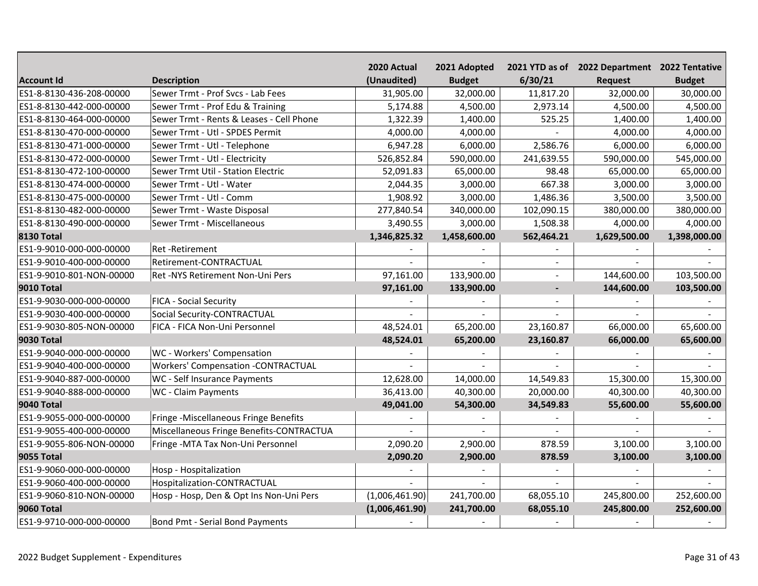|                          |                                           | 2020 Actual    | 2021 Adopted  |                | 2021 YTD as of 2022 Department 2022 Tentative |               |
|--------------------------|-------------------------------------------|----------------|---------------|----------------|-----------------------------------------------|---------------|
| <b>Account Id</b>        | <b>Description</b>                        | (Unaudited)    | <b>Budget</b> | 6/30/21        | <b>Request</b>                                | <b>Budget</b> |
| ES1-8-8130-436-208-00000 | Sewer Trmt - Prof Svcs - Lab Fees         | 31,905.00      | 32,000.00     | 11,817.20      | 32,000.00                                     | 30,000.00     |
| ES1-8-8130-442-000-00000 | Sewer Trmt - Prof Edu & Training          | 5,174.88       | 4,500.00      | 2,973.14       | 4,500.00                                      | 4,500.00      |
| ES1-8-8130-464-000-00000 | Sewer Trmt - Rents & Leases - Cell Phone  | 1,322.39       | 1,400.00      | 525.25         | 1,400.00                                      | 1,400.00      |
| ES1-8-8130-470-000-00000 | Sewer Trmt - Utl - SPDES Permit           | 4,000.00       | 4,000.00      |                | 4,000.00                                      | 4,000.00      |
| ES1-8-8130-471-000-00000 | Sewer Trmt - Utl - Telephone              | 6,947.28       | 6,000.00      | 2,586.76       | 6,000.00                                      | 6,000.00      |
| ES1-8-8130-472-000-00000 | Sewer Trmt - Utl - Electricity            | 526,852.84     | 590,000.00    | 241,639.55     | 590,000.00                                    | 545,000.00    |
| ES1-8-8130-472-100-00000 | Sewer Trmt Util - Station Electric        | 52,091.83      | 65,000.00     | 98.48          | 65,000.00                                     | 65,000.00     |
| ES1-8-8130-474-000-00000 | Sewer Trmt - Utl - Water                  | 2,044.35       | 3,000.00      | 667.38         | 3,000.00                                      | 3,000.00      |
| ES1-8-8130-475-000-00000 | Sewer Trmt - Utl - Comm                   | 1,908.92       | 3,000.00      | 1,486.36       | 3,500.00                                      | 3,500.00      |
| ES1-8-8130-482-000-00000 | Sewer Trmt - Waste Disposal               | 277,840.54     | 340,000.00    | 102,090.15     | 380,000.00                                    | 380,000.00    |
| ES1-8-8130-490-000-00000 | Sewer Trmt - Miscellaneous                | 3,490.55       | 3,000.00      | 1,508.38       | 4,000.00                                      | 4,000.00      |
| <b>8130 Total</b>        |                                           | 1,346,825.32   | 1,458,600.00  | 562,464.21     | 1,629,500.00                                  | 1,398,000.00  |
| ES1-9-9010-000-000-00000 | Ret-Retirement                            |                |               |                |                                               |               |
| ES1-9-9010-400-000-00000 | Retirement-CONTRACTUAL                    |                |               | $\overline{a}$ |                                               |               |
| ES1-9-9010-801-NON-00000 | Ret -NYS Retirement Non-Uni Pers          | 97,161.00      | 133,900.00    | $\overline{a}$ | 144,600.00                                    | 103,500.00    |
| <b>9010 Total</b>        |                                           | 97,161.00      | 133,900.00    | $\blacksquare$ | 144,600.00                                    | 103,500.00    |
| ES1-9-9030-000-000-00000 | <b>FICA - Social Security</b>             |                |               |                |                                               |               |
| ES1-9-9030-400-000-00000 | Social Security-CONTRACTUAL               |                |               |                |                                               |               |
| ES1-9-9030-805-NON-00000 | FICA - FICA Non-Uni Personnel             | 48,524.01      | 65,200.00     | 23,160.87      | 66,000.00                                     | 65,600.00     |
| <b>9030 Total</b>        |                                           | 48,524.01      | 65,200.00     | 23,160.87      | 66,000.00                                     | 65,600.00     |
| ES1-9-9040-000-000-00000 | WC - Workers' Compensation                |                |               |                |                                               |               |
| ES1-9-9040-400-000-00000 | <b>Workers' Compensation -CONTRACTUAL</b> |                |               |                |                                               |               |
| ES1-9-9040-887-000-00000 | WC - Self Insurance Payments              | 12,628.00      | 14,000.00     | 14,549.83      | 15,300.00                                     | 15,300.00     |
| ES1-9-9040-888-000-00000 | WC - Claim Payments                       | 36,413.00      | 40,300.00     | 20,000.00      | 40,300.00                                     | 40,300.00     |
| <b>9040 Total</b>        |                                           | 49,041.00      | 54,300.00     | 34,549.83      | 55,600.00                                     | 55,600.00     |
| ES1-9-9055-000-000-00000 | Fringe -Miscellaneous Fringe Benefits     |                |               |                |                                               |               |
| ES1-9-9055-400-000-00000 | Miscellaneous Fringe Benefits-CONTRACTUA  |                |               |                |                                               |               |
| ES1-9-9055-806-NON-00000 | Fringe - MTA Tax Non-Uni Personnel        | 2,090.20       | 2,900.00      | 878.59         | 3,100.00                                      | 3,100.00      |
| <b>9055 Total</b>        |                                           | 2,090.20       | 2,900.00      | 878.59         | 3,100.00                                      | 3,100.00      |
| ES1-9-9060-000-000-00000 | Hosp - Hospitalization                    |                |               |                |                                               |               |
| ES1-9-9060-400-000-00000 | Hospitalization-CONTRACTUAL               |                |               |                |                                               |               |
| ES1-9-9060-810-NON-00000 | Hosp - Hosp, Den & Opt Ins Non-Uni Pers   | (1,006,461.90) | 241,700.00    | 68,055.10      | 245,800.00                                    | 252,600.00    |
| <b>9060 Total</b>        |                                           | (1,006,461.90) | 241,700.00    | 68,055.10      | 245,800.00                                    | 252,600.00    |
| ES1-9-9710-000-000-00000 | Bond Pmt - Serial Bond Payments           |                |               |                |                                               |               |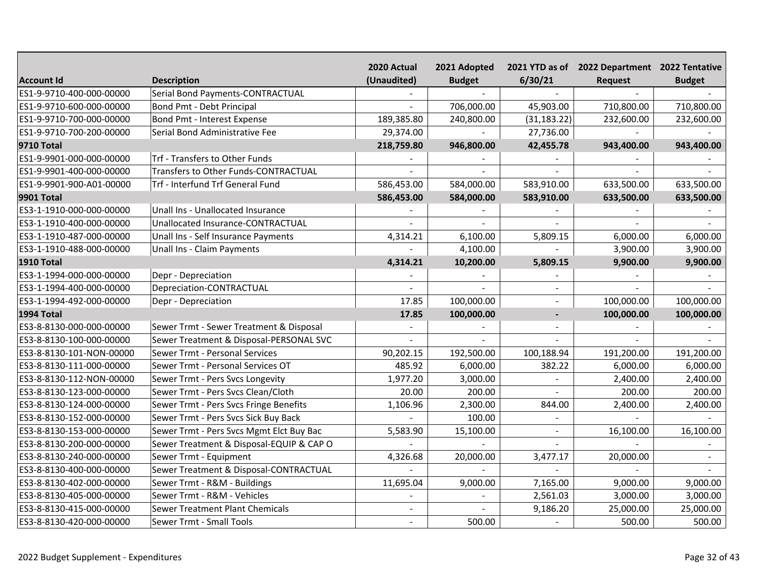|                          |                                          | 2020 Actual    | 2021 Adopted   |                | 2021 YTD as of 2022 Department 2022 Tentative |                |
|--------------------------|------------------------------------------|----------------|----------------|----------------|-----------------------------------------------|----------------|
| <b>Account Id</b>        | <b>Description</b>                       | (Unaudited)    | <b>Budget</b>  | 6/30/21        | <b>Request</b>                                | <b>Budget</b>  |
| ES1-9-9710-400-000-00000 | Serial Bond Payments-CONTRACTUAL         |                | $\sim$         |                |                                               |                |
| ES1-9-9710-600-000-00000 | Bond Pmt - Debt Principal                |                | 706,000.00     | 45,903.00      | 710,800.00                                    | 710,800.00     |
| ES1-9-9710-700-000-00000 | Bond Pmt - Interest Expense              | 189,385.80     | 240,800.00     | (31, 183.22)   | 232,600.00                                    | 232,600.00     |
| ES1-9-9710-700-200-00000 | Serial Bond Administrative Fee           | 29,374.00      |                | 27,736.00      |                                               |                |
| <b>9710 Total</b>        |                                          | 218,759.80     | 946,800.00     | 42,455.78      | 943,400.00                                    | 943,400.00     |
| ES1-9-9901-000-000-00000 | Trf - Transfers to Other Funds           |                |                |                |                                               |                |
| ES1-9-9901-400-000-00000 | Transfers to Other Funds-CONTRACTUAL     |                |                |                |                                               |                |
| ES1-9-9901-900-A01-00000 | Trf - Interfund Trf General Fund         | 586,453.00     | 584,000.00     | 583,910.00     | 633,500.00                                    | 633,500.00     |
| <b>9901 Total</b>        |                                          | 586,453.00     | 584,000.00     | 583,910.00     | 633,500.00                                    | 633,500.00     |
| ES3-1-1910-000-000-00000 | Unall Ins - Unallocated Insurance        |                |                |                |                                               |                |
| ES3-1-1910-400-000-00000 | Unallocated Insurance-CONTRACTUAL        |                | $\overline{a}$ |                |                                               |                |
| ES3-1-1910-487-000-00000 | Unall Ins - Self Insurance Payments      | 4,314.21       | 6,100.00       | 5,809.15       | 6,000.00                                      | 6,000.00       |
| ES3-1-1910-488-000-00000 | Unall Ins - Claim Payments               |                | 4,100.00       |                | 3,900.00                                      | 3,900.00       |
| <b>1910 Total</b>        |                                          | 4,314.21       | 10,200.00      | 5,809.15       | 9,900.00                                      | 9,900.00       |
| ES3-1-1994-000-000-00000 | Depr - Depreciation                      |                |                |                |                                               |                |
| ES3-1-1994-400-000-00000 | Depreciation-CONTRACTUAL                 |                |                | $\equiv$       |                                               |                |
| ES3-1-1994-492-000-00000 | Depr - Depreciation                      | 17.85          | 100,000.00     |                | 100,000.00                                    | 100,000.00     |
| <b>1994 Total</b>        |                                          | 17.85          | 100,000.00     | $\blacksquare$ | 100,000.00                                    | 100,000.00     |
| ES3-8-8130-000-000-00000 | Sewer Trmt - Sewer Treatment & Disposal  |                |                |                |                                               |                |
| ES3-8-8130-100-000-00000 | Sewer Treatment & Disposal-PERSONAL SVC  |                |                |                |                                               |                |
| ES3-8-8130-101-NON-00000 | Sewer Trmt - Personal Services           | 90,202.15      | 192,500.00     | 100,188.94     | 191,200.00                                    | 191,200.00     |
| ES3-8-8130-111-000-00000 | Sewer Trmt - Personal Services OT        | 485.92         | 6,000.00       | 382.22         | 6,000.00                                      | 6,000.00       |
| ES3-8-8130-112-NON-00000 | Sewer Trmt - Pers Svcs Longevity         | 1,977.20       | 3,000.00       |                | 2,400.00                                      | 2,400.00       |
| ES3-8-8130-123-000-00000 | Sewer Trmt - Pers Svcs Clean/Cloth       | 20.00          | 200.00         |                | 200.00                                        | 200.00         |
| ES3-8-8130-124-000-00000 | Sewer Trmt - Pers Svcs Fringe Benefits   | 1,106.96       | 2,300.00       | 844.00         | 2,400.00                                      | 2,400.00       |
| ES3-8-8130-152-000-00000 | Sewer Trmt - Pers Svcs Sick Buy Back     |                | 100.00         |                |                                               |                |
| ES3-8-8130-153-000-00000 | Sewer Trmt - Pers Svcs Mgmt Elct Buy Bac | 5,583.90       | 15,100.00      | $\blacksquare$ | 16,100.00                                     | 16,100.00      |
| ES3-8-8130-200-000-00000 | Sewer Treatment & Disposal-EQUIP & CAP O |                |                |                |                                               |                |
| ES3-8-8130-240-000-00000 | Sewer Trmt - Equipment                   | 4,326.68       | 20,000.00      | 3,477.17       | 20,000.00                                     | $\blacksquare$ |
| ES3-8-8130-400-000-00000 | Sewer Treatment & Disposal-CONTRACTUAL   |                |                |                |                                               |                |
| ES3-8-8130-402-000-00000 | Sewer Trmt - R&M - Buildings             | 11,695.04      | 9,000.00       | 7,165.00       | 9,000.00                                      | 9,000.00       |
| ES3-8-8130-405-000-00000 | Sewer Trmt - R&M - Vehicles              |                | $\overline{a}$ | 2,561.03       | 3,000.00                                      | 3,000.00       |
| ES3-8-8130-415-000-00000 | <b>Sewer Treatment Plant Chemicals</b>   | ÷.             | $\overline{a}$ | 9,186.20       | 25,000.00                                     | 25,000.00      |
| ES3-8-8130-420-000-00000 | Sewer Trmt - Small Tools                 | $\overline{a}$ | 500.00         |                | 500.00                                        | 500.00         |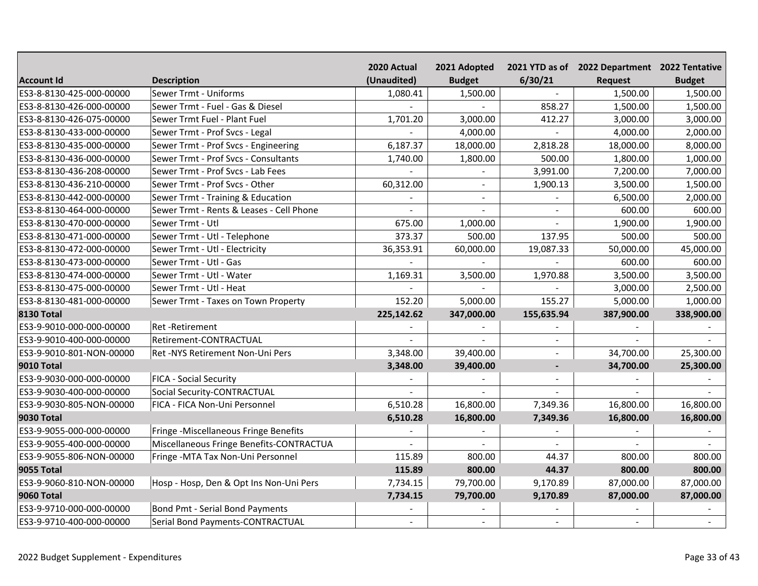|                          |                                          | 2020 Actual    | 2021 Adopted   |                | 2021 YTD as of 2022 Department 2022 Tentative |               |
|--------------------------|------------------------------------------|----------------|----------------|----------------|-----------------------------------------------|---------------|
| <b>Account Id</b>        | <b>Description</b>                       | (Unaudited)    | <b>Budget</b>  | 6/30/21        | <b>Request</b>                                | <b>Budget</b> |
| ES3-8-8130-425-000-00000 | Sewer Trmt - Uniforms                    | 1,080.41       | 1,500.00       |                | 1,500.00                                      | 1,500.00      |
| ES3-8-8130-426-000-00000 | Sewer Trmt - Fuel - Gas & Diesel         |                |                | 858.27         | 1,500.00                                      | 1,500.00      |
| ES3-8-8130-426-075-00000 | Sewer Trmt Fuel - Plant Fuel             | 1,701.20       | 3,000.00       | 412.27         | 3,000.00                                      | 3,000.00      |
| ES3-8-8130-433-000-00000 | Sewer Trmt - Prof Svcs - Legal           |                | 4,000.00       |                | 4,000.00                                      | 2,000.00      |
| ES3-8-8130-435-000-00000 | Sewer Trmt - Prof Svcs - Engineering     | 6,187.37       | 18,000.00      | 2,818.28       | 18,000.00                                     | 8,000.00      |
| ES3-8-8130-436-000-00000 | Sewer Trmt - Prof Svcs - Consultants     | 1,740.00       | 1,800.00       | 500.00         | 1,800.00                                      | 1,000.00      |
| ES3-8-8130-436-208-00000 | Sewer Trmt - Prof Svcs - Lab Fees        |                | $\blacksquare$ | 3,991.00       | 7,200.00                                      | 7,000.00      |
| ES3-8-8130-436-210-00000 | Sewer Trmt - Prof Svcs - Other           | 60,312.00      | $\sim$         | 1,900.13       | 3,500.00                                      | 1,500.00      |
| ES3-8-8130-442-000-00000 | Sewer Trmt - Training & Education        |                | $\sim$         |                | 6,500.00                                      | 2,000.00      |
| ES3-8-8130-464-000-00000 | Sewer Trmt - Rents & Leases - Cell Phone |                | $\sim$         | $\sim$         | 600.00                                        | 600.00        |
| ES3-8-8130-470-000-00000 | Sewer Trmt - Utl                         | 675.00         | 1,000.00       | $\sim$         | 1,900.00                                      | 1,900.00      |
| ES3-8-8130-471-000-00000 | Sewer Trmt - Utl - Telephone             | 373.37         | 500.00         | 137.95         | 500.00                                        | 500.00        |
| ES3-8-8130-472-000-00000 | Sewer Trmt - Utl - Electricity           | 36,353.91      | 60,000.00      | 19,087.33      | 50,000.00                                     | 45,000.00     |
| ES3-8-8130-473-000-00000 | Sewer Trmt - Utl - Gas                   |                |                |                | 600.00                                        | 600.00        |
| ES3-8-8130-474-000-00000 | Sewer Trmt - Utl - Water                 | 1,169.31       | 3,500.00       | 1,970.88       | 3,500.00                                      | 3,500.00      |
| ES3-8-8130-475-000-00000 | Sewer Trmt - Utl - Heat                  |                |                |                | 3,000.00                                      | 2,500.00      |
| ES3-8-8130-481-000-00000 | Sewer Trmt - Taxes on Town Property      | 152.20         | 5,000.00       | 155.27         | 5,000.00                                      | 1,000.00      |
| <b>8130 Total</b>        |                                          | 225,142.62     | 347,000.00     | 155,635.94     | 387,900.00                                    | 338,900.00    |
| ES3-9-9010-000-000-00000 | <b>Ret-Retirement</b>                    |                |                |                |                                               |               |
| ES3-9-9010-400-000-00000 | Retirement-CONTRACTUAL                   |                |                | $\sim$         |                                               |               |
| ES3-9-9010-801-NON-00000 | Ret -NYS Retirement Non-Uni Pers         | 3,348.00       | 39,400.00      |                | 34,700.00                                     | 25,300.00     |
| <b>9010 Total</b>        |                                          | 3,348.00       | 39,400.00      | $\overline{a}$ | 34,700.00                                     | 25,300.00     |
| ES3-9-9030-000-000-00000 | <b>FICA - Social Security</b>            |                |                |                |                                               |               |
| ES3-9-9030-400-000-00000 | Social Security-CONTRACTUAL              |                |                |                |                                               |               |
| ES3-9-9030-805-NON-00000 | FICA - FICA Non-Uni Personnel            | 6,510.28       | 16,800.00      | 7,349.36       | 16,800.00                                     | 16,800.00     |
| <b>9030 Total</b>        |                                          | 6,510.28       | 16,800.00      | 7,349.36       | 16,800.00                                     | 16,800.00     |
| ES3-9-9055-000-000-00000 | Fringe -Miscellaneous Fringe Benefits    |                |                |                |                                               |               |
| ES3-9-9055-400-000-00000 | Miscellaneous Fringe Benefits-CONTRACTUA |                |                |                |                                               |               |
| ES3-9-9055-806-NON-00000 | Fringe - MTA Tax Non-Uni Personnel       | 115.89         | 800.00         | 44.37          | 800.00                                        | 800.00        |
| <b>9055 Total</b>        |                                          | 115.89         | 800.00         | 44.37          | 800.00                                        | 800.00        |
| ES3-9-9060-810-NON-00000 | Hosp - Hosp, Den & Opt Ins Non-Uni Pers  | 7,734.15       | 79,700.00      | 9,170.89       | 87,000.00                                     | 87,000.00     |
| <b>9060 Total</b>        |                                          | 7,734.15       | 79,700.00      | 9,170.89       | 87,000.00                                     | 87,000.00     |
| ES3-9-9710-000-000-00000 | Bond Pmt - Serial Bond Payments          |                |                |                |                                               |               |
| ES3-9-9710-400-000-00000 | Serial Bond Payments-CONTRACTUAL         | $\overline{a}$ | $\sim$         |                |                                               |               |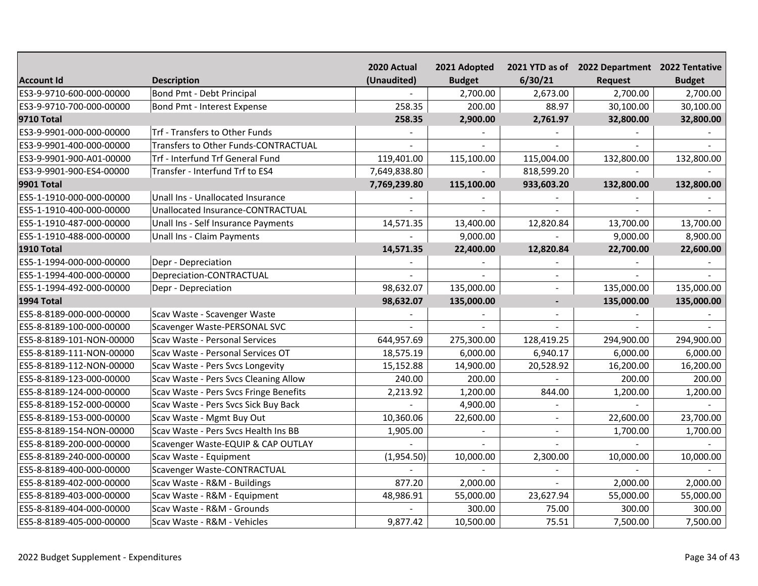|                          |                                        | 2020 Actual  | 2021 Adopted  |                | 2021 YTD as of 2022 Department 2022 Tentative |               |
|--------------------------|----------------------------------------|--------------|---------------|----------------|-----------------------------------------------|---------------|
| <b>Account Id</b>        | <b>Description</b>                     | (Unaudited)  | <b>Budget</b> | 6/30/21        | <b>Request</b>                                | <b>Budget</b> |
| ES3-9-9710-600-000-00000 | <b>Bond Pmt - Debt Principal</b>       |              | 2,700.00      | 2,673.00       | 2,700.00                                      | 2,700.00      |
| ES3-9-9710-700-000-00000 | Bond Pmt - Interest Expense            | 258.35       | 200.00        | 88.97          | 30,100.00                                     | 30,100.00     |
| <b>9710 Total</b>        |                                        | 258.35       | 2,900.00      | 2,761.97       | 32,800.00                                     | 32,800.00     |
| ES3-9-9901-000-000-00000 | Trf - Transfers to Other Funds         |              |               |                |                                               |               |
| ES3-9-9901-400-000-00000 | Transfers to Other Funds-CONTRACTUAL   |              |               |                |                                               |               |
| ES3-9-9901-900-A01-00000 | Trf - Interfund Trf General Fund       | 119,401.00   | 115,100.00    | 115,004.00     | 132,800.00                                    | 132,800.00    |
| ES3-9-9901-900-ES4-00000 | Transfer - Interfund Trf to ES4        | 7,649,838.80 |               | 818,599.20     |                                               |               |
| <b>9901 Total</b>        |                                        | 7,769,239.80 | 115,100.00    | 933,603.20     | 132,800.00                                    | 132,800.00    |
| ES5-1-1910-000-000-00000 | Unall Ins - Unallocated Insurance      |              |               |                |                                               |               |
| ES5-1-1910-400-000-00000 | Unallocated Insurance-CONTRACTUAL      |              | $\sim$        |                |                                               |               |
| ES5-1-1910-487-000-00000 | Unall Ins - Self Insurance Payments    | 14,571.35    | 13,400.00     | 12,820.84      | 13,700.00                                     | 13,700.00     |
| ES5-1-1910-488-000-00000 | Unall Ins - Claim Payments             |              | 9,000.00      |                | 9,000.00                                      | 8,900.00      |
| 1910 Total               |                                        | 14,571.35    | 22,400.00     | 12,820.84      | 22,700.00                                     | 22,600.00     |
| ES5-1-1994-000-000-00000 | Depr - Depreciation                    |              |               |                |                                               |               |
| ES5-1-1994-400-000-00000 | Depreciation-CONTRACTUAL               |              |               | $\blacksquare$ |                                               |               |
| ES5-1-1994-492-000-00000 | Depr - Depreciation                    | 98,632.07    | 135,000.00    | $\overline{a}$ | 135,000.00                                    | 135,000.00    |
| 1994 Total               |                                        | 98,632.07    | 135,000.00    | $\blacksquare$ | 135,000.00                                    | 135,000.00    |
| ES5-8-8189-000-000-00000 | Scav Waste - Scavenger Waste           |              |               |                |                                               |               |
| ES5-8-8189-100-000-00000 | Scavenger Waste-PERSONAL SVC           |              |               |                |                                               |               |
| ES5-8-8189-101-NON-00000 | Scav Waste - Personal Services         | 644,957.69   | 275,300.00    | 128,419.25     | 294,900.00                                    | 294,900.00    |
| ES5-8-8189-111-NON-00000 | Scav Waste - Personal Services OT      | 18,575.19    | 6,000.00      | 6,940.17       | 6,000.00                                      | 6,000.00      |
| ES5-8-8189-112-NON-00000 | Scav Waste - Pers Svcs Longevity       | 15,152.88    | 14,900.00     | 20,528.92      | 16,200.00                                     | 16,200.00     |
| ES5-8-8189-123-000-00000 | Scav Waste - Pers Svcs Cleaning Allow  | 240.00       | 200.00        |                | 200.00                                        | 200.00        |
| ES5-8-8189-124-000-00000 | Scav Waste - Pers Svcs Fringe Benefits | 2,213.92     | 1,200.00      | 844.00         | 1,200.00                                      | 1,200.00      |
| ES5-8-8189-152-000-00000 | Scav Waste - Pers Svcs Sick Buy Back   |              | 4,900.00      |                |                                               |               |
| ES5-8-8189-153-000-00000 | Scav Waste - Mgmt Buy Out              | 10,360.06    | 22,600.00     | $\sim$         | 22,600.00                                     | 23,700.00     |
| ES5-8-8189-154-NON-00000 | Scav Waste - Pers Svcs Health Ins BB   | 1,905.00     |               | $\sim$         | 1,700.00                                      | 1,700.00      |
| ES5-8-8189-200-000-00000 | Scavenger Waste-EQUIP & CAP OUTLAY     |              |               |                |                                               |               |
| ES5-8-8189-240-000-00000 | Scav Waste - Equipment                 | (1,954.50)   | 10,000.00     | 2,300.00       | 10,000.00                                     | 10,000.00     |
| ES5-8-8189-400-000-00000 | Scavenger Waste-CONTRACTUAL            |              |               |                |                                               |               |
| ES5-8-8189-402-000-00000 | Scav Waste - R&M - Buildings           | 877.20       | 2,000.00      |                | 2,000.00                                      | 2,000.00      |
| ES5-8-8189-403-000-00000 | Scav Waste - R&M - Equipment           | 48,986.91    | 55,000.00     | 23,627.94      | 55,000.00                                     | 55,000.00     |
| ES5-8-8189-404-000-00000 | Scav Waste - R&M - Grounds             |              | 300.00        | 75.00          | 300.00                                        | 300.00        |
| ES5-8-8189-405-000-00000 | Scav Waste - R&M - Vehicles            | 9,877.42     | 10,500.00     | 75.51          | 7,500.00                                      | 7,500.00      |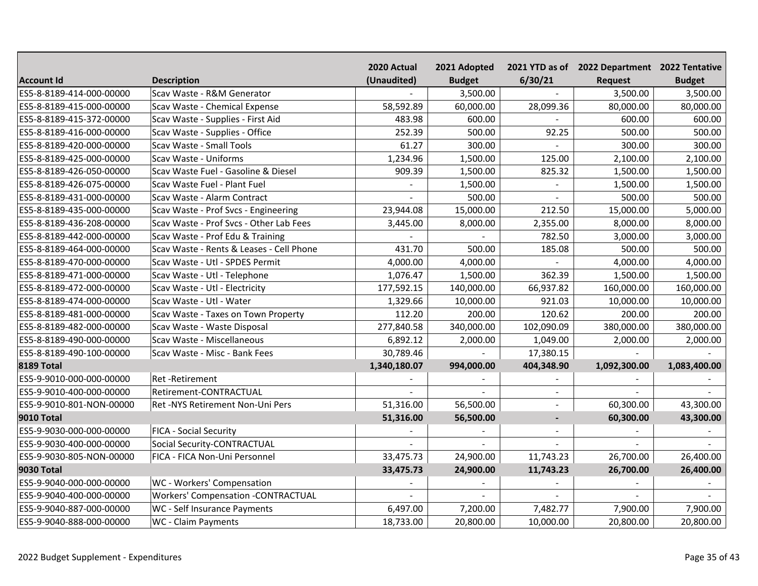|                          |                                           | 2020 Actual  | 2021 Adopted  |                | 2021 YTD as of 2022 Department 2022 Tentative |               |
|--------------------------|-------------------------------------------|--------------|---------------|----------------|-----------------------------------------------|---------------|
| <b>Account Id</b>        | <b>Description</b>                        | (Unaudited)  | <b>Budget</b> | 6/30/21        | <b>Request</b>                                | <b>Budget</b> |
| ES5-8-8189-414-000-00000 | Scav Waste - R&M Generator                |              | 3,500.00      |                | 3,500.00                                      | 3,500.00      |
| ES5-8-8189-415-000-00000 | Scav Waste - Chemical Expense             | 58,592.89    | 60,000.00     | 28,099.36      | 80,000.00                                     | 80,000.00     |
| ES5-8-8189-415-372-00000 | Scav Waste - Supplies - First Aid         | 483.98       | 600.00        |                | 600.00                                        | 600.00        |
| ES5-8-8189-416-000-00000 | Scav Waste - Supplies - Office            | 252.39       | 500.00        | 92.25          | 500.00                                        | 500.00        |
| ES5-8-8189-420-000-00000 | Scav Waste - Small Tools                  | 61.27        | 300.00        |                | 300.00                                        | 300.00        |
| ES5-8-8189-425-000-00000 | Scav Waste - Uniforms                     | 1,234.96     | 1,500.00      | 125.00         | 2,100.00                                      | 2,100.00      |
| ES5-8-8189-426-050-00000 | Scav Waste Fuel - Gasoline & Diesel       | 909.39       | 1,500.00      | 825.32         | 1,500.00                                      | 1,500.00      |
| ES5-8-8189-426-075-00000 | Scav Waste Fuel - Plant Fuel              |              | 1,500.00      | $\overline{a}$ | 1,500.00                                      | 1,500.00      |
| ES5-8-8189-431-000-00000 | Scav Waste - Alarm Contract               |              | 500.00        | $\sim$         | 500.00                                        | 500.00        |
| ES5-8-8189-435-000-00000 | Scav Waste - Prof Svcs - Engineering      | 23,944.08    | 15,000.00     | 212.50         | 15,000.00                                     | 5,000.00      |
| ES5-8-8189-436-208-00000 | Scav Waste - Prof Svcs - Other Lab Fees   | 3,445.00     | 8,000.00      | 2,355.00       | 8,000.00                                      | 8,000.00      |
| ES5-8-8189-442-000-00000 | Scav Waste - Prof Edu & Training          |              |               | 782.50         | 3,000.00                                      | 3,000.00      |
| ES5-8-8189-464-000-00000 | Scav Waste - Rents & Leases - Cell Phone  | 431.70       | 500.00        | 185.08         | 500.00                                        | 500.00        |
| ES5-8-8189-470-000-00000 | Scav Waste - Utl - SPDES Permit           | 4,000.00     | 4,000.00      |                | 4,000.00                                      | 4,000.00      |
| ES5-8-8189-471-000-00000 | Scav Waste - Utl - Telephone              | 1,076.47     | 1,500.00      | 362.39         | 1,500.00                                      | 1,500.00      |
| ES5-8-8189-472-000-00000 | Scav Waste - Utl - Electricity            | 177,592.15   | 140,000.00    | 66,937.82      | 160,000.00                                    | 160,000.00    |
| ES5-8-8189-474-000-00000 | Scav Waste - Utl - Water                  | 1,329.66     | 10,000.00     | 921.03         | 10,000.00                                     | 10,000.00     |
| ES5-8-8189-481-000-00000 | Scav Waste - Taxes on Town Property       | 112.20       | 200.00        | 120.62         | 200.00                                        | 200.00        |
| ES5-8-8189-482-000-00000 | Scav Waste - Waste Disposal               | 277,840.58   | 340,000.00    | 102,090.09     | 380,000.00                                    | 380,000.00    |
| ES5-8-8189-490-000-00000 | Scav Waste - Miscellaneous                | 6,892.12     | 2,000.00      | 1,049.00       | 2,000.00                                      | 2,000.00      |
| ES5-8-8189-490-100-00000 | Scav Waste - Misc - Bank Fees             | 30,789.46    |               | 17,380.15      |                                               |               |
| <b>8189 Total</b>        |                                           | 1,340,180.07 | 994,000.00    | 404,348.90     | 1,092,300.00                                  | 1,083,400.00  |
| ES5-9-9010-000-000-00000 | Ret-Retirement                            |              |               |                |                                               |               |
| ES5-9-9010-400-000-00000 | Retirement-CONTRACTUAL                    |              |               |                |                                               |               |
| ES5-9-9010-801-NON-00000 | Ret -NYS Retirement Non-Uni Pers          | 51,316.00    | 56,500.00     |                | 60,300.00                                     | 43,300.00     |
| <b>9010 Total</b>        |                                           | 51,316.00    | 56,500.00     | $\blacksquare$ | 60,300.00                                     | 43,300.00     |
| ES5-9-9030-000-000-00000 | <b>FICA - Social Security</b>             |              |               |                |                                               |               |
| ES5-9-9030-400-000-00000 | Social Security-CONTRACTUAL               |              |               |                |                                               |               |
| ES5-9-9030-805-NON-00000 | FICA - FICA Non-Uni Personnel             | 33,475.73    | 24,900.00     | 11,743.23      | 26,700.00                                     | 26,400.00     |
| <b>9030 Total</b>        |                                           | 33,475.73    | 24,900.00     | 11,743.23      | 26,700.00                                     | 26,400.00     |
| ES5-9-9040-000-000-00000 | WC - Workers' Compensation                |              |               |                |                                               |               |
| ES5-9-9040-400-000-00000 | <b>Workers' Compensation -CONTRACTUAL</b> |              |               |                |                                               |               |
| ES5-9-9040-887-000-00000 | WC - Self Insurance Payments              | 6,497.00     | 7,200.00      | 7,482.77       | 7,900.00                                      | 7,900.00      |
| ES5-9-9040-888-000-00000 | WC - Claim Payments                       | 18,733.00    | 20,800.00     | 10,000.00      | 20,800.00                                     | 20,800.00     |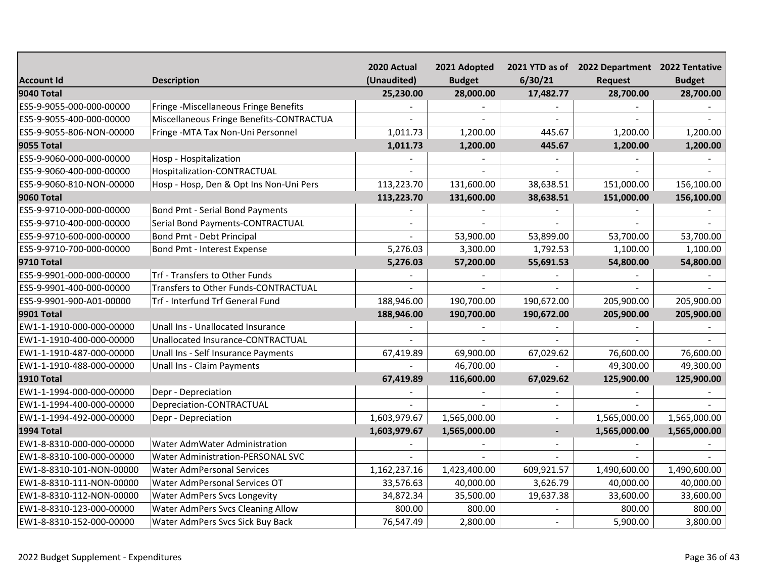|                          |                                          | 2020 Actual  | 2021 Adopted  |                          | 2021 YTD as of 2022 Department 2022 Tentative |               |
|--------------------------|------------------------------------------|--------------|---------------|--------------------------|-----------------------------------------------|---------------|
| <b>Account Id</b>        | <b>Description</b>                       | (Unaudited)  | <b>Budget</b> | 6/30/21                  | <b>Request</b>                                | <b>Budget</b> |
| <b>9040 Total</b>        |                                          | 25,230.00    | 28,000.00     | 17,482.77                | 28,700.00                                     | 28,700.00     |
| ES5-9-9055-000-000-00000 | Fringe -Miscellaneous Fringe Benefits    |              |               |                          |                                               |               |
| ES5-9-9055-400-000-00000 | Miscellaneous Fringe Benefits-CONTRACTUA |              |               |                          |                                               |               |
| ES5-9-9055-806-NON-00000 | Fringe - MTA Tax Non-Uni Personnel       | 1,011.73     | 1,200.00      | 445.67                   | 1,200.00                                      | 1,200.00      |
| <b>9055 Total</b>        |                                          | 1,011.73     | 1,200.00      | 445.67                   | 1,200.00                                      | 1,200.00      |
| ES5-9-9060-000-000-00000 | Hosp - Hospitalization                   |              |               |                          |                                               |               |
| ES5-9-9060-400-000-00000 | Hospitalization-CONTRACTUAL              |              |               |                          |                                               |               |
| ES5-9-9060-810-NON-00000 | Hosp - Hosp, Den & Opt Ins Non-Uni Pers  | 113,223.70   | 131,600.00    | 38,638.51                | 151,000.00                                    | 156,100.00    |
| <b>9060 Total</b>        |                                          | 113,223.70   | 131,600.00    | 38,638.51                | 151,000.00                                    | 156,100.00    |
| ES5-9-9710-000-000-00000 | Bond Pmt - Serial Bond Payments          |              |               |                          |                                               |               |
| ES5-9-9710-400-000-00000 | Serial Bond Payments-CONTRACTUAL         |              |               |                          |                                               |               |
| ES5-9-9710-600-000-00000 | Bond Pmt - Debt Principal                |              | 53,900.00     | 53,899.00                | 53,700.00                                     | 53,700.00     |
| ES5-9-9710-700-000-00000 | Bond Pmt - Interest Expense              | 5,276.03     | 3,300.00      | 1,792.53                 | 1,100.00                                      | 1,100.00      |
| <b>9710 Total</b>        |                                          | 5,276.03     | 57,200.00     | 55,691.53                | 54,800.00                                     | 54,800.00     |
| ES5-9-9901-000-000-00000 | Trf - Transfers to Other Funds           |              |               |                          |                                               |               |
| ES5-9-9901-400-000-00000 | Transfers to Other Funds-CONTRACTUAL     |              |               |                          |                                               |               |
| ES5-9-9901-900-A01-00000 | Trf - Interfund Trf General Fund         | 188,946.00   | 190,700.00    | 190,672.00               | 205,900.00                                    | 205,900.00    |
| <b>9901 Total</b>        |                                          | 188,946.00   | 190,700.00    | 190,672.00               | 205,900.00                                    | 205,900.00    |
| EW1-1-1910-000-000-00000 | Unall Ins - Unallocated Insurance        |              |               |                          |                                               |               |
| EW1-1-1910-400-000-00000 | Unallocated Insurance-CONTRACTUAL        |              |               |                          |                                               |               |
| EW1-1-1910-487-000-00000 | Unall Ins - Self Insurance Payments      | 67,419.89    | 69,900.00     | 67,029.62                | 76,600.00                                     | 76,600.00     |
| EW1-1-1910-488-000-00000 | Unall Ins - Claim Payments               |              | 46,700.00     |                          | 49,300.00                                     | 49,300.00     |
| <b>1910 Total</b>        |                                          | 67,419.89    | 116,600.00    | 67,029.62                | 125,900.00                                    | 125,900.00    |
| EW1-1-1994-000-000-00000 | Depr - Depreciation                      |              |               |                          |                                               |               |
| EW1-1-1994-400-000-00000 | Depreciation-CONTRACTUAL                 |              |               |                          |                                               |               |
| EW1-1-1994-492-000-00000 | Depr - Depreciation                      | 1,603,979.67 | 1,565,000.00  |                          | 1,565,000.00                                  | 1,565,000.00  |
| <b>1994 Total</b>        |                                          | 1,603,979.67 | 1,565,000.00  | $\overline{\phantom{a}}$ | 1,565,000.00                                  | 1,565,000.00  |
| EW1-8-8310-000-000-00000 | Water AdmWater Administration            |              |               | $\sim$                   |                                               |               |
| EW1-8-8310-100-000-00000 | <b>Water Administration-PERSONAL SVC</b> |              |               |                          |                                               |               |
| EW1-8-8310-101-NON-00000 | <b>Water AdmPersonal Services</b>        | 1,162,237.16 | 1,423,400.00  | 609,921.57               | 1,490,600.00                                  | 1,490,600.00  |
| EW1-8-8310-111-NON-00000 | Water AdmPersonal Services OT            | 33,576.63    | 40,000.00     | 3,626.79                 | 40,000.00                                     | 40,000.00     |
| EW1-8-8310-112-NON-00000 | <b>Water AdmPers Svcs Longevity</b>      | 34,872.34    | 35,500.00     | 19,637.38                | 33,600.00                                     | 33,600.00     |
| EW1-8-8310-123-000-00000 | <b>Water AdmPers Svcs Cleaning Allow</b> | 800.00       | 800.00        |                          | 800.00                                        | 800.00        |
| EW1-8-8310-152-000-00000 | Water AdmPers Svcs Sick Buy Back         | 76,547.49    | 2,800.00      |                          | 5,900.00                                      | 3,800.00      |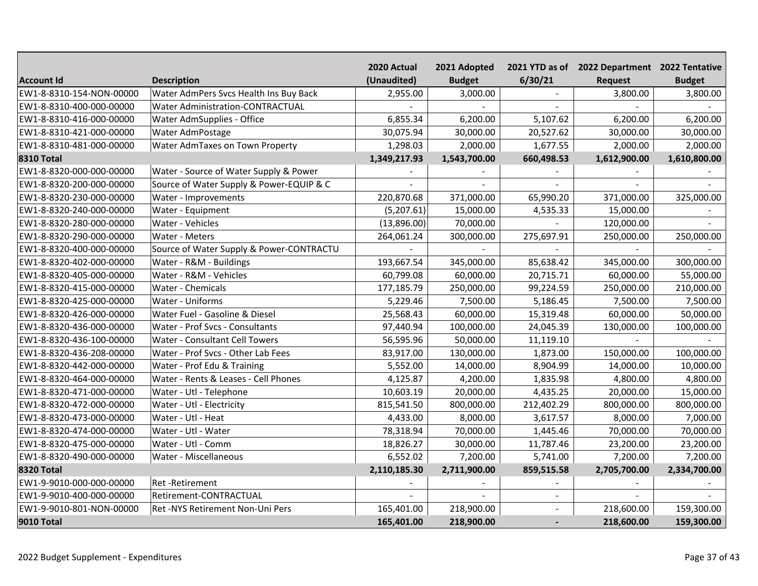|                          |                                          | 2020 Actual  | 2021 Adopted  |            | 2021 YTD as of 2022 Department 2022 Tentative |               |
|--------------------------|------------------------------------------|--------------|---------------|------------|-----------------------------------------------|---------------|
| <b>Account Id</b>        | <b>Description</b>                       | (Unaudited)  | <b>Budget</b> | 6/30/21    | Request                                       | <b>Budget</b> |
| EW1-8-8310-154-NON-00000 | Water AdmPers Svcs Health Ins Buy Back   | 2,955.00     | 3,000.00      |            | 3,800.00                                      | 3,800.00      |
| EW1-8-8310-400-000-00000 | <b>Water Administration-CONTRACTUAL</b>  |              |               |            |                                               |               |
| EW1-8-8310-416-000-00000 | Water AdmSupplies - Office               | 6,855.34     | 6,200.00      | 5,107.62   | 6,200.00                                      | 6,200.00      |
| EW1-8-8310-421-000-00000 | Water AdmPostage                         | 30,075.94    | 30,000.00     | 20,527.62  | 30,000.00                                     | 30,000.00     |
| EW1-8-8310-481-000-00000 | Water AdmTaxes on Town Property          | 1,298.03     | 2,000.00      | 1,677.55   | 2,000.00                                      | 2,000.00      |
| <b>8310 Total</b>        |                                          | 1,349,217.93 | 1,543,700.00  | 660,498.53 | 1,612,900.00                                  | 1,610,800.00  |
| EW1-8-8320-000-000-00000 | Water - Source of Water Supply & Power   |              |               |            |                                               |               |
| EW1-8-8320-200-000-00000 | Source of Water Supply & Power-EQUIP & C |              |               |            |                                               |               |
| EW1-8-8320-230-000-00000 | Water - Improvements                     | 220,870.68   | 371,000.00    | 65,990.20  | 371,000.00                                    | 325,000.00    |
| EW1-8-8320-240-000-00000 | Water - Equipment                        | (5,207.61)   | 15,000.00     | 4,535.33   | 15,000.00                                     |               |
| EW1-8-8320-280-000-00000 | Water - Vehicles                         | (13,896.00)  | 70,000.00     |            | 120,000.00                                    |               |
| EW1-8-8320-290-000-00000 | Water - Meters                           | 264,061.24   | 300,000.00    | 275,697.91 | 250,000.00                                    | 250,000.00    |
| EW1-8-8320-400-000-00000 | Source of Water Supply & Power-CONTRACTU |              |               |            |                                               |               |
| EW1-8-8320-402-000-00000 | Water - R&M - Buildings                  | 193,667.54   | 345,000.00    | 85,638.42  | 345,000.00                                    | 300,000.00    |
| EW1-8-8320-405-000-00000 | Water - R&M - Vehicles                   | 60,799.08    | 60,000.00     | 20,715.71  | 60,000.00                                     | 55,000.00     |
| EW1-8-8320-415-000-00000 | Water - Chemicals                        | 177,185.79   | 250,000.00    | 99,224.59  | 250,000.00                                    | 210,000.00    |
| EW1-8-8320-425-000-00000 | Water - Uniforms                         | 5,229.46     | 7,500.00      | 5,186.45   | 7,500.00                                      | 7,500.00      |
| EW1-8-8320-426-000-00000 | Water Fuel - Gasoline & Diesel           | 25,568.43    | 60,000.00     | 15,319.48  | 60,000.00                                     | 50,000.00     |
| EW1-8-8320-436-000-00000 | Water - Prof Svcs - Consultants          | 97,440.94    | 100,000.00    | 24,045.39  | 130,000.00                                    | 100,000.00    |
| EW1-8-8320-436-100-00000 | Water - Consultant Cell Towers           | 56,595.96    | 50,000.00     | 11,119.10  |                                               |               |
| EW1-8-8320-436-208-00000 | Water - Prof Svcs - Other Lab Fees       | 83,917.00    | 130,000.00    | 1,873.00   | 150,000.00                                    | 100,000.00    |
| EW1-8-8320-442-000-00000 | Water - Prof Edu & Training              | 5,552.00     | 14,000.00     | 8,904.99   | 14,000.00                                     | 10,000.00     |
| EW1-8-8320-464-000-00000 | Water - Rents & Leases - Cell Phones     | 4,125.87     | 4,200.00      | 1,835.98   | 4,800.00                                      | 4,800.00      |
| EW1-8-8320-471-000-00000 | Water - Utl - Telephone                  | 10,603.19    | 20,000.00     | 4,435.25   | 20,000.00                                     | 15,000.00     |
| EW1-8-8320-472-000-00000 | Water - Utl - Electricity                | 815,541.50   | 800,000.00    | 212,402.29 | 800,000.00                                    | 800,000.00    |
| EW1-8-8320-473-000-00000 | Water - Utl - Heat                       | 4,433.00     | 8,000.00      | 3,617.57   | 8,000.00                                      | 7,000.00      |
| EW1-8-8320-474-000-00000 | Water - Utl - Water                      | 78,318.94    | 70,000.00     | 1,445.46   | 70,000.00                                     | 70,000.00     |
| EW1-8-8320-475-000-00000 | Water - Utl - Comm                       | 18,826.27    | 30,000.00     | 11,787.46  | 23,200.00                                     | 23,200.00     |
| EW1-8-8320-490-000-00000 | Water - Miscellaneous                    | 6,552.02     | 7,200.00      | 5,741.00   | 7,200.00                                      | 7,200.00      |
| <b>8320 Total</b>        |                                          | 2,110,185.30 | 2,711,900.00  | 859,515.58 | 2,705,700.00                                  | 2,334,700.00  |
| EW1-9-9010-000-000-00000 | <b>Ret-Retirement</b>                    |              |               |            |                                               |               |
| EW1-9-9010-400-000-00000 | Retirement-CONTRACTUAL                   |              |               | $\sim$     |                                               |               |
| EW1-9-9010-801-NON-00000 | Ret -NYS Retirement Non-Uni Pers         | 165,401.00   | 218,900.00    |            | 218,600.00                                    | 159,300.00    |
| 9010 Total               |                                          | 165,401.00   | 218,900.00    |            | 218,600.00                                    | 159,300.00    |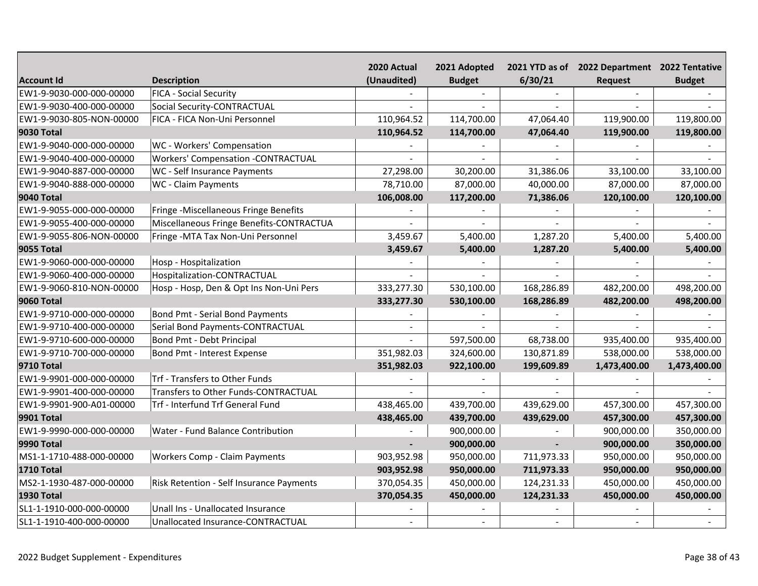|                          |                                           | 2020 Actual | 2021 Adopted  |            | 2021 YTD as of 2022 Department 2022 Tentative |               |
|--------------------------|-------------------------------------------|-------------|---------------|------------|-----------------------------------------------|---------------|
| <b>Account Id</b>        | <b>Description</b>                        | (Unaudited) | <b>Budget</b> | 6/30/21    | Request                                       | <b>Budget</b> |
| EW1-9-9030-000-000-00000 | <b>FICA - Social Security</b>             |             |               |            |                                               |               |
| EW1-9-9030-400-000-00000 | Social Security-CONTRACTUAL               |             |               |            |                                               |               |
| EW1-9-9030-805-NON-00000 | FICA - FICA Non-Uni Personnel             | 110,964.52  | 114,700.00    | 47,064.40  | 119,900.00                                    | 119,800.00    |
| <b>9030 Total</b>        |                                           | 110,964.52  | 114,700.00    | 47,064.40  | 119,900.00                                    | 119,800.00    |
| EW1-9-9040-000-000-00000 | WC - Workers' Compensation                |             |               |            |                                               |               |
| EW1-9-9040-400-000-00000 | <b>Workers' Compensation -CONTRACTUAL</b> |             |               |            |                                               |               |
| EW1-9-9040-887-000-00000 | WC - Self Insurance Payments              | 27,298.00   | 30,200.00     | 31,386.06  | 33,100.00                                     | 33,100.00     |
| EW1-9-9040-888-000-00000 | WC - Claim Payments                       | 78,710.00   | 87,000.00     | 40,000.00  | 87,000.00                                     | 87,000.00     |
| <b>9040 Total</b>        |                                           | 106,008.00  | 117,200.00    | 71,386.06  | 120,100.00                                    | 120,100.00    |
| EW1-9-9055-000-000-00000 | Fringe -Miscellaneous Fringe Benefits     |             |               |            |                                               |               |
| EW1-9-9055-400-000-00000 | Miscellaneous Fringe Benefits-CONTRACTUA  |             |               |            |                                               |               |
| EW1-9-9055-806-NON-00000 | Fringe - MTA Tax Non-Uni Personnel        | 3,459.67    | 5,400.00      | 1,287.20   | 5,400.00                                      | 5,400.00      |
| <b>9055 Total</b>        |                                           | 3,459.67    | 5,400.00      | 1,287.20   | 5,400.00                                      | 5,400.00      |
| EW1-9-9060-000-000-00000 | Hosp - Hospitalization                    |             |               |            |                                               |               |
| EW1-9-9060-400-000-00000 | Hospitalization-CONTRACTUAL               |             | $\sim$        |            |                                               |               |
| EW1-9-9060-810-NON-00000 | Hosp - Hosp, Den & Opt Ins Non-Uni Pers   | 333,277.30  | 530,100.00    | 168,286.89 | 482,200.00                                    | 498,200.00    |
| <b>9060 Total</b>        |                                           | 333,277.30  | 530,100.00    | 168,286.89 | 482,200.00                                    | 498,200.00    |
| EW1-9-9710-000-000-00000 | Bond Pmt - Serial Bond Payments           |             |               |            |                                               |               |
| EW1-9-9710-400-000-00000 | Serial Bond Payments-CONTRACTUAL          |             |               |            |                                               |               |
| EW1-9-9710-600-000-00000 | Bond Pmt - Debt Principal                 |             | 597,500.00    | 68,738.00  | 935,400.00                                    | 935,400.00    |
| EW1-9-9710-700-000-00000 | Bond Pmt - Interest Expense               | 351,982.03  | 324,600.00    | 130,871.89 | 538,000.00                                    | 538,000.00    |
| <b>9710 Total</b>        |                                           | 351,982.03  | 922,100.00    | 199,609.89 | 1,473,400.00                                  | 1,473,400.00  |
| EW1-9-9901-000-000-00000 | Trf - Transfers to Other Funds            |             |               |            |                                               |               |
| EW1-9-9901-400-000-00000 | Transfers to Other Funds-CONTRACTUAL      |             |               |            |                                               |               |
| EW1-9-9901-900-A01-00000 | Trf - Interfund Trf General Fund          | 438,465.00  | 439,700.00    | 439,629.00 | 457,300.00                                    | 457,300.00    |
| <b>9901 Total</b>        |                                           | 438,465.00  | 439,700.00    | 439,629.00 | 457,300.00                                    | 457,300.00    |
| EW1-9-9990-000-000-00000 | Water - Fund Balance Contribution         |             | 900,000.00    |            | 900,000.00                                    | 350,000.00    |
| <b>9990 Total</b>        |                                           |             | 900,000.00    |            | 900,000.00                                    | 350,000.00    |
| MS1-1-1710-488-000-00000 | Workers Comp - Claim Payments             | 903,952.98  | 950,000.00    | 711,973.33 | 950,000.00                                    | 950,000.00    |
| <b>1710 Total</b>        |                                           | 903,952.98  | 950,000.00    | 711,973.33 | 950,000.00                                    | 950,000.00    |
| MS2-1-1930-487-000-00000 | Risk Retention - Self Insurance Payments  | 370,054.35  | 450,000.00    | 124,231.33 | 450,000.00                                    | 450,000.00    |
| <b>1930 Total</b>        |                                           | 370,054.35  | 450,000.00    | 124,231.33 | 450,000.00                                    | 450,000.00    |
| SL1-1-1910-000-000-00000 | Unall Ins - Unallocated Insurance         |             |               |            |                                               |               |
| SL1-1-1910-400-000-00000 | Unallocated Insurance-CONTRACTUAL         |             |               |            |                                               |               |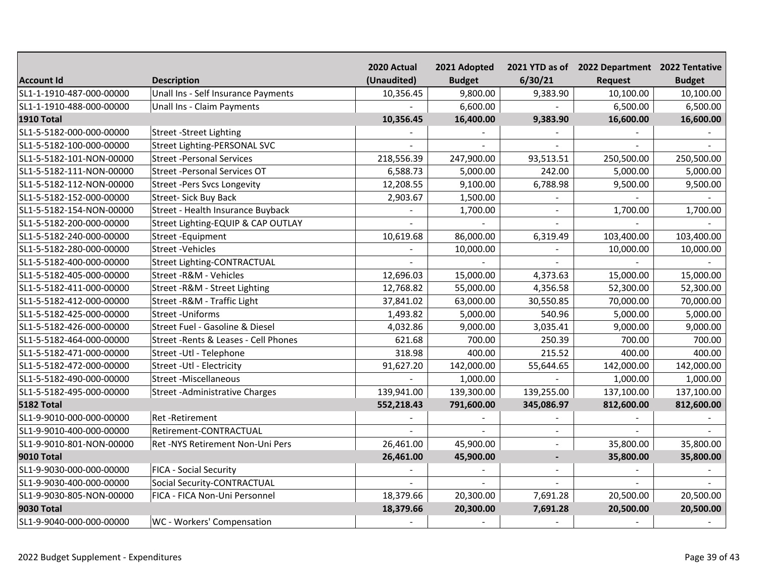|                          |                                       | 2020 Actual | 2021 Adopted  |                          | 2021 YTD as of 2022 Department 2022 Tentative |               |
|--------------------------|---------------------------------------|-------------|---------------|--------------------------|-----------------------------------------------|---------------|
| <b>Account Id</b>        | <b>Description</b>                    | (Unaudited) | <b>Budget</b> | 6/30/21                  | Request                                       | <b>Budget</b> |
| SL1-1-1910-487-000-00000 | Unall Ins - Self Insurance Payments   | 10,356.45   | 9,800.00      | 9,383.90                 | 10,100.00                                     | 10,100.00     |
| SL1-1-1910-488-000-00000 | Unall Ins - Claim Payments            |             | 6,600.00      |                          | 6,500.00                                      | 6,500.00      |
| <b>1910 Total</b>        |                                       | 10,356.45   | 16,400.00     | 9,383.90                 | 16,600.00                                     | 16,600.00     |
| SL1-5-5182-000-000-00000 | <b>Street -Street Lighting</b>        |             |               |                          |                                               |               |
| SL1-5-5182-100-000-00000 | <b>Street Lighting-PERSONAL SVC</b>   |             |               |                          |                                               |               |
| SL1-5-5182-101-NON-00000 | <b>Street -Personal Services</b>      | 218,556.39  | 247,900.00    | 93,513.51                | 250,500.00                                    | 250,500.00    |
| SL1-5-5182-111-NON-00000 | <b>Street -Personal Services OT</b>   | 6,588.73    | 5,000.00      | 242.00                   | 5,000.00                                      | 5,000.00      |
| SL1-5-5182-112-NON-00000 | <b>Street -Pers Svcs Longevity</b>    | 12,208.55   | 9,100.00      | 6,788.98                 | 9,500.00                                      | 9,500.00      |
| SL1-5-5182-152-000-00000 | <b>Street- Sick Buy Back</b>          | 2,903.67    | 1,500.00      |                          |                                               |               |
| SL1-5-5182-154-NON-00000 | Street - Health Insurance Buyback     |             | 1,700.00      | $\sim$                   | 1,700.00                                      | 1,700.00      |
| SL1-5-5182-200-000-00000 | Street Lighting-EQUIP & CAP OUTLAY    |             |               |                          |                                               |               |
| SL1-5-5182-240-000-00000 | Street - Equipment                    | 10,619.68   | 86,000.00     | 6,319.49                 | 103,400.00                                    | 103,400.00    |
| SL1-5-5182-280-000-00000 | <b>Street -Vehicles</b>               |             | 10,000.00     |                          | 10,000.00                                     | 10,000.00     |
| SL1-5-5182-400-000-00000 | <b>Street Lighting-CONTRACTUAL</b>    |             |               |                          |                                               |               |
| SL1-5-5182-405-000-00000 | Street - R&M - Vehicles               | 12,696.03   | 15,000.00     | 4,373.63                 | 15,000.00                                     | 15,000.00     |
| SL1-5-5182-411-000-00000 | Street - R&M - Street Lighting        | 12,768.82   | 55,000.00     | 4,356.58                 | 52,300.00                                     | 52,300.00     |
| SL1-5-5182-412-000-00000 | Street - R&M - Traffic Light          | 37,841.02   | 63,000.00     | 30,550.85                | 70,000.00                                     | 70,000.00     |
| SL1-5-5182-425-000-00000 | <b>Street - Uniforms</b>              | 1,493.82    | 5,000.00      | 540.96                   | 5,000.00                                      | 5,000.00      |
| SL1-5-5182-426-000-00000 | Street Fuel - Gasoline & Diesel       | 4,032.86    | 9,000.00      | 3,035.41                 | 9,000.00                                      | 9,000.00      |
| SL1-5-5182-464-000-00000 | Street - Rents & Leases - Cell Phones | 621.68      | 700.00        | 250.39                   | 700.00                                        | 700.00        |
| SL1-5-5182-471-000-00000 | Street - Utl - Telephone              | 318.98      | 400.00        | 215.52                   | 400.00                                        | 400.00        |
| SL1-5-5182-472-000-00000 | Street - Utl - Electricity            | 91,627.20   | 142,000.00    | 55,644.65                | 142,000.00                                    | 142,000.00    |
| SL1-5-5182-490-000-00000 | <b>Street -Miscellaneous</b>          |             | 1,000.00      |                          | 1,000.00                                      | 1,000.00      |
| SL1-5-5182-495-000-00000 | <b>Street -Administrative Charges</b> | 139,941.00  | 139,300.00    | 139,255.00               | 137,100.00                                    | 137,100.00    |
| <b>5182 Total</b>        |                                       | 552,218.43  | 791,600.00    | 345,086.97               | 812,600.00                                    | 812,600.00    |
| SL1-9-9010-000-000-00000 | Ret-Retirement                        |             |               |                          |                                               |               |
| SL1-9-9010-400-000-00000 | Retirement-CONTRACTUAL                |             |               |                          |                                               |               |
| SL1-9-9010-801-NON-00000 | Ret -NYS Retirement Non-Uni Pers      | 26,461.00   | 45,900.00     |                          | 35,800.00                                     | 35,800.00     |
| <b>9010 Total</b>        |                                       | 26,461.00   | 45,900.00     | $\overline{\phantom{a}}$ | 35,800.00                                     | 35,800.00     |
| SL1-9-9030-000-000-00000 | FICA - Social Security                |             |               | $\sim$                   |                                               |               |
| SL1-9-9030-400-000-00000 | Social Security-CONTRACTUAL           |             |               |                          |                                               |               |
| SL1-9-9030-805-NON-00000 | FICA - FICA Non-Uni Personnel         | 18,379.66   | 20,300.00     | 7,691.28                 | 20,500.00                                     | 20,500.00     |
| <b>9030 Total</b>        |                                       | 18,379.66   | 20,300.00     | 7,691.28                 | 20,500.00                                     | 20,500.00     |
| SL1-9-9040-000-000-00000 | WC - Workers' Compensation            |             |               |                          |                                               |               |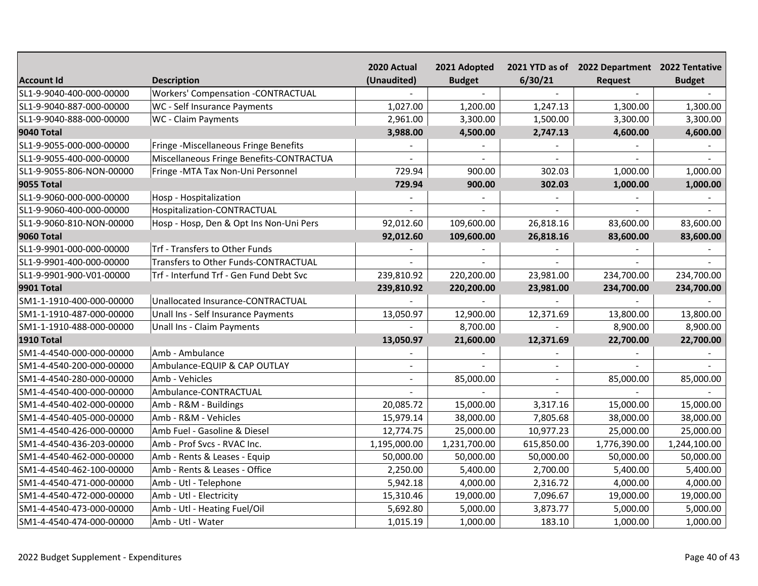|                          |                                           | 2020 Actual  | 2021 Adopted   |            | 2021 YTD as of 2022 Department 2022 Tentative |               |
|--------------------------|-------------------------------------------|--------------|----------------|------------|-----------------------------------------------|---------------|
| <b>Account Id</b>        | <b>Description</b>                        | (Unaudited)  | <b>Budget</b>  | 6/30/21    | Request                                       | <b>Budget</b> |
| SL1-9-9040-400-000-00000 | <b>Workers' Compensation -CONTRACTUAL</b> |              | $\overline{a}$ |            |                                               |               |
| SL1-9-9040-887-000-00000 | WC - Self Insurance Payments              | 1,027.00     | 1,200.00       | 1,247.13   | 1,300.00                                      | 1,300.00      |
| SL1-9-9040-888-000-00000 | WC - Claim Payments                       | 2,961.00     | 3,300.00       | 1,500.00   | 3,300.00                                      | 3,300.00      |
| <b>9040 Total</b>        |                                           | 3,988.00     | 4,500.00       | 2,747.13   | 4,600.00                                      | 4,600.00      |
| SL1-9-9055-000-000-00000 | Fringe -Miscellaneous Fringe Benefits     |              |                |            |                                               |               |
| SL1-9-9055-400-000-00000 | Miscellaneous Fringe Benefits-CONTRACTUA  |              | $\sim$         |            |                                               |               |
| SL1-9-9055-806-NON-00000 | Fringe - MTA Tax Non-Uni Personnel        | 729.94       | 900.00         | 302.03     | 1,000.00                                      | 1,000.00      |
| <b>9055 Total</b>        |                                           | 729.94       | 900.00         | 302.03     | 1,000.00                                      | 1,000.00      |
| SL1-9-9060-000-000-00000 | Hosp - Hospitalization                    |              |                |            |                                               |               |
| SL1-9-9060-400-000-00000 | Hospitalization-CONTRACTUAL               |              |                |            |                                               |               |
| SL1-9-9060-810-NON-00000 | Hosp - Hosp, Den & Opt Ins Non-Uni Pers   | 92,012.60    | 109,600.00     | 26,818.16  | 83,600.00                                     | 83,600.00     |
| <b>9060 Total</b>        |                                           | 92,012.60    | 109,600.00     | 26,818.16  | 83,600.00                                     | 83,600.00     |
| SL1-9-9901-000-000-00000 | Trf - Transfers to Other Funds            |              |                |            |                                               |               |
| SL1-9-9901-400-000-00000 | Transfers to Other Funds-CONTRACTUAL      |              |                |            |                                               |               |
| SL1-9-9901-900-V01-00000 | Trf - Interfund Trf - Gen Fund Debt Svc   | 239,810.92   | 220,200.00     | 23,981.00  | 234,700.00                                    | 234,700.00    |
| <b>9901 Total</b>        |                                           | 239,810.92   | 220,200.00     | 23,981.00  | 234,700.00                                    | 234,700.00    |
| SM1-1-1910-400-000-00000 | Unallocated Insurance-CONTRACTUAL         |              |                |            |                                               |               |
| SM1-1-1910-487-000-00000 | Unall Ins - Self Insurance Payments       | 13,050.97    | 12,900.00      | 12,371.69  | 13,800.00                                     | 13,800.00     |
| SM1-1-1910-488-000-00000 | Unall Ins - Claim Payments                |              | 8,700.00       |            | 8,900.00                                      | 8,900.00      |
| <b>1910 Total</b>        |                                           | 13,050.97    | 21,600.00      | 12,371.69  | 22,700.00                                     | 22,700.00     |
| SM1-4-4540-000-000-00000 | Amb - Ambulance                           |              |                |            |                                               |               |
| SM1-4-4540-200-000-00000 | Ambulance-EQUIP & CAP OUTLAY              |              |                |            |                                               |               |
| SM1-4-4540-280-000-00000 | Amb - Vehicles                            |              | 85,000.00      |            | 85,000.00                                     | 85,000.00     |
| SM1-4-4540-400-000-00000 | Ambulance-CONTRACTUAL                     |              |                |            |                                               |               |
| SM1-4-4540-402-000-00000 | Amb - R&M - Buildings                     | 20,085.72    | 15,000.00      | 3,317.16   | 15,000.00                                     | 15,000.00     |
| SM1-4-4540-405-000-00000 | Amb - R&M - Vehicles                      | 15,979.14    | 38,000.00      | 7,805.68   | 38,000.00                                     | 38,000.00     |
| SM1-4-4540-426-000-00000 | Amb Fuel - Gasoline & Diesel              | 12,774.75    | 25,000.00      | 10,977.23  | 25,000.00                                     | 25,000.00     |
| SM1-4-4540-436-203-00000 | Amb - Prof Svcs - RVAC Inc.               | 1,195,000.00 | 1,231,700.00   | 615,850.00 | 1,776,390.00                                  | 1,244,100.00  |
| SM1-4-4540-462-000-00000 | Amb - Rents & Leases - Equip              | 50,000.00    | 50,000.00      | 50,000.00  | 50,000.00                                     | 50,000.00     |
| SM1-4-4540-462-100-00000 | Amb - Rents & Leases - Office             | 2,250.00     | 5,400.00       | 2,700.00   | 5,400.00                                      | 5,400.00      |
| SM1-4-4540-471-000-00000 | Amb - Utl - Telephone                     | 5,942.18     | 4,000.00       | 2,316.72   | 4,000.00                                      | 4,000.00      |
| SM1-4-4540-472-000-00000 | Amb - Utl - Electricity                   | 15,310.46    | 19,000.00      | 7,096.67   | 19,000.00                                     | 19,000.00     |
| SM1-4-4540-473-000-00000 | Amb - Utl - Heating Fuel/Oil              | 5,692.80     | 5,000.00       | 3,873.77   | 5,000.00                                      | 5,000.00      |
| SM1-4-4540-474-000-00000 | Amb - Utl - Water                         | 1,015.19     | 1,000.00       | 183.10     | 1,000.00                                      | 1,000.00      |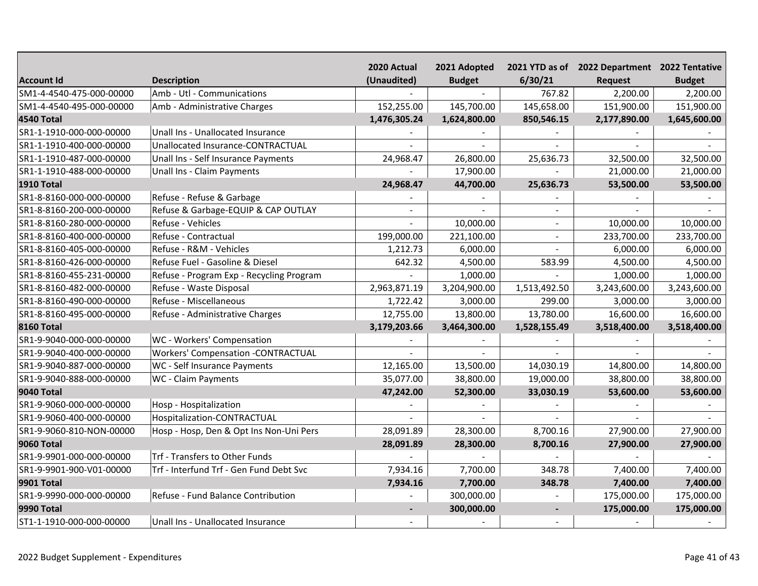|                          |                                           | 2020 Actual    | 2021 Adopted  |                | 2021 YTD as of 2022 Department 2022 Tentative |               |
|--------------------------|-------------------------------------------|----------------|---------------|----------------|-----------------------------------------------|---------------|
| <b>Account Id</b>        | <b>Description</b>                        | (Unaudited)    | <b>Budget</b> | 6/30/21        | <b>Request</b>                                | <b>Budget</b> |
| SM1-4-4540-475-000-00000 | Amb - Utl - Communications                |                |               | 767.82         | 2,200.00                                      | 2,200.00      |
| SM1-4-4540-495-000-00000 | Amb - Administrative Charges              | 152,255.00     | 145,700.00    | 145,658.00     | 151,900.00                                    | 151,900.00    |
| <b>4540 Total</b>        |                                           | 1,476,305.24   | 1,624,800.00  | 850,546.15     | 2,177,890.00                                  | 1,645,600.00  |
| SR1-1-1910-000-000-00000 | Unall Ins - Unallocated Insurance         |                |               |                |                                               |               |
| SR1-1-1910-400-000-00000 | Unallocated Insurance-CONTRACTUAL         |                |               |                |                                               |               |
| SR1-1-1910-487-000-00000 | Unall Ins - Self Insurance Payments       | 24,968.47      | 26,800.00     | 25,636.73      | 32,500.00                                     | 32,500.00     |
| SR1-1-1910-488-000-00000 | Unall Ins - Claim Payments                |                | 17,900.00     |                | 21,000.00                                     | 21,000.00     |
| <b>1910 Total</b>        |                                           | 24,968.47      | 44,700.00     | 25,636.73      | 53,500.00                                     | 53,500.00     |
| SR1-8-8160-000-000-00000 | Refuse - Refuse & Garbage                 |                |               |                |                                               |               |
| SR1-8-8160-200-000-00000 | Refuse & Garbage-EQUIP & CAP OUTLAY       | $\overline{a}$ |               | $\sim$         |                                               |               |
| SR1-8-8160-280-000-00000 | Refuse - Vehicles                         |                | 10,000.00     | $\overline{a}$ | 10,000.00                                     | 10,000.00     |
| SR1-8-8160-400-000-00000 | Refuse - Contractual                      | 199,000.00     | 221,100.00    | $\sim$         | 233,700.00                                    | 233,700.00    |
| SR1-8-8160-405-000-00000 | Refuse - R&M - Vehicles                   | 1,212.73       | 6,000.00      |                | 6,000.00                                      | 6,000.00      |
| SR1-8-8160-426-000-00000 | Refuse Fuel - Gasoline & Diesel           | 642.32         | 4,500.00      | 583.99         | 4,500.00                                      | 4,500.00      |
| SR1-8-8160-455-231-00000 | Refuse - Program Exp - Recycling Program  |                | 1,000.00      |                | 1,000.00                                      | 1,000.00      |
| SR1-8-8160-482-000-00000 | Refuse - Waste Disposal                   | 2,963,871.19   | 3,204,900.00  | 1,513,492.50   | 3,243,600.00                                  | 3,243,600.00  |
| SR1-8-8160-490-000-00000 | Refuse - Miscellaneous                    | 1,722.42       | 3,000.00      | 299.00         | 3,000.00                                      | 3,000.00      |
| SR1-8-8160-495-000-00000 | Refuse - Administrative Charges           | 12,755.00      | 13,800.00     | 13,780.00      | 16,600.00                                     | 16,600.00     |
| <b>8160 Total</b>        |                                           | 3,179,203.66   | 3,464,300.00  | 1,528,155.49   | 3,518,400.00                                  | 3,518,400.00  |
| SR1-9-9040-000-000-00000 | WC - Workers' Compensation                |                |               |                |                                               |               |
| SR1-9-9040-400-000-00000 | <b>Workers' Compensation -CONTRACTUAL</b> |                |               |                |                                               |               |
| SR1-9-9040-887-000-00000 | WC - Self Insurance Payments              | 12,165.00      | 13,500.00     | 14,030.19      | 14,800.00                                     | 14,800.00     |
| SR1-9-9040-888-000-00000 | WC - Claim Payments                       | 35,077.00      | 38,800.00     | 19,000.00      | 38,800.00                                     | 38,800.00     |
| <b>9040 Total</b>        |                                           | 47,242.00      | 52,300.00     | 33,030.19      | 53,600.00                                     | 53,600.00     |
| SR1-9-9060-000-000-00000 | Hosp - Hospitalization                    |                |               |                |                                               |               |
| SR1-9-9060-400-000-00000 | Hospitalization-CONTRACTUAL               |                |               |                |                                               |               |
| SR1-9-9060-810-NON-00000 | Hosp - Hosp, Den & Opt Ins Non-Uni Pers   | 28,091.89      | 28,300.00     | 8,700.16       | 27,900.00                                     | 27,900.00     |
| <b>9060 Total</b>        |                                           | 28,091.89      | 28,300.00     | 8,700.16       | 27,900.00                                     | 27,900.00     |
| SR1-9-9901-000-000-00000 | Trf - Transfers to Other Funds            |                |               |                |                                               |               |
| SR1-9-9901-900-V01-00000 | Trf - Interfund Trf - Gen Fund Debt Svc   | 7,934.16       | 7,700.00      | 348.78         | 7,400.00                                      | 7,400.00      |
| <b>9901 Total</b>        |                                           | 7,934.16       | 7,700.00      | 348.78         | 7,400.00                                      | 7,400.00      |
| SR1-9-9990-000-000-00000 | Refuse - Fund Balance Contribution        |                | 300,000.00    |                | 175,000.00                                    | 175,000.00    |
| <b>9990 Total</b>        |                                           | $\blacksquare$ | 300,000.00    | $\blacksquare$ | 175,000.00                                    | 175,000.00    |
| ST1-1-1910-000-000-00000 | Unall Ins - Unallocated Insurance         |                |               |                |                                               |               |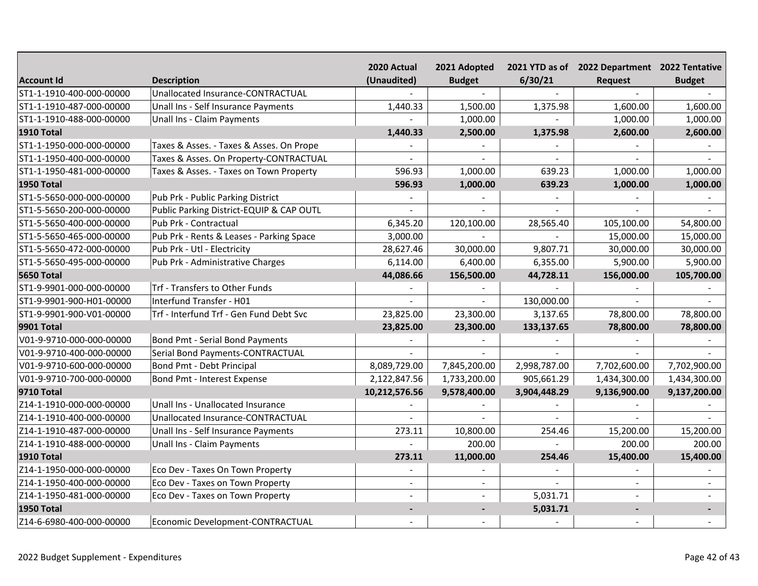|                          |                                          | 2020 Actual    | 2021 Adopted   |              | 2021 YTD as of 2022 Department 2022 Tentative |               |
|--------------------------|------------------------------------------|----------------|----------------|--------------|-----------------------------------------------|---------------|
| <b>Account Id</b>        | <b>Description</b>                       | (Unaudited)    | <b>Budget</b>  | 6/30/21      | Request                                       | <b>Budget</b> |
| ST1-1-1910-400-000-00000 | Unallocated Insurance-CONTRACTUAL        |                |                |              |                                               |               |
| ST1-1-1910-487-000-00000 | Unall Ins - Self Insurance Payments      | 1,440.33       | 1,500.00       | 1,375.98     | 1,600.00                                      | 1,600.00      |
| ST1-1-1910-488-000-00000 | Unall Ins - Claim Payments               |                | 1,000.00       |              | 1,000.00                                      | 1,000.00      |
| <b>1910 Total</b>        |                                          | 1,440.33       | 2,500.00       | 1,375.98     | 2,600.00                                      | 2,600.00      |
| ST1-1-1950-000-000-00000 | Taxes & Asses. - Taxes & Asses. On Prope |                |                |              |                                               |               |
| ST1-1-1950-400-000-00000 | Taxes & Asses. On Property-CONTRACTUAL   |                |                |              |                                               |               |
| ST1-1-1950-481-000-00000 | Taxes & Asses. - Taxes on Town Property  | 596.93         | 1,000.00       | 639.23       | 1,000.00                                      | 1,000.00      |
| <b>1950 Total</b>        |                                          | 596.93         | 1,000.00       | 639.23       | 1,000.00                                      | 1,000.00      |
| ST1-5-5650-000-000-00000 | Pub Prk - Public Parking District        |                |                |              |                                               |               |
| ST1-5-5650-200-000-00000 | Public Parking District-EQUIP & CAP OUTL |                |                |              |                                               |               |
| ST1-5-5650-400-000-00000 | Pub Prk - Contractual                    | 6,345.20       | 120,100.00     | 28,565.40    | 105,100.00                                    | 54,800.00     |
| ST1-5-5650-465-000-00000 | Pub Prk - Rents & Leases - Parking Space | 3,000.00       |                |              | 15,000.00                                     | 15,000.00     |
| ST1-5-5650-472-000-00000 | Pub Prk - Utl - Electricity              | 28,627.46      | 30,000.00      | 9,807.71     | 30,000.00                                     | 30,000.00     |
| ST1-5-5650-495-000-00000 | Pub Prk - Administrative Charges         | 6,114.00       | 6,400.00       | 6,355.00     | 5,900.00                                      | 5,900.00      |
| <b>5650 Total</b>        |                                          | 44,086.66      | 156,500.00     | 44,728.11    | 156,000.00                                    | 105,700.00    |
| ST1-9-9901-000-000-00000 | Trf - Transfers to Other Funds           |                |                |              |                                               |               |
| ST1-9-9901-900-H01-00000 | Interfund Transfer - H01                 |                |                | 130,000.00   |                                               |               |
| ST1-9-9901-900-V01-00000 | Trf - Interfund Trf - Gen Fund Debt Svc  | 23,825.00      | 23,300.00      | 3,137.65     | 78,800.00                                     | 78,800.00     |
| <b>9901 Total</b>        |                                          | 23,825.00      | 23,300.00      | 133,137.65   | 78,800.00                                     | 78,800.00     |
| V01-9-9710-000-000-00000 | Bond Pmt - Serial Bond Payments          |                |                |              |                                               |               |
| V01-9-9710-400-000-00000 | Serial Bond Payments-CONTRACTUAL         |                |                |              |                                               |               |
| V01-9-9710-600-000-00000 | Bond Pmt - Debt Principal                | 8,089,729.00   | 7,845,200.00   | 2,998,787.00 | 7,702,600.00                                  | 7,702,900.00  |
| V01-9-9710-700-000-00000 | Bond Pmt - Interest Expense              | 2,122,847.56   | 1,733,200.00   | 905,661.29   | 1,434,300.00                                  | 1,434,300.00  |
| <b>9710 Total</b>        |                                          | 10,212,576.56  | 9,578,400.00   | 3,904,448.29 | 9,136,900.00                                  | 9,137,200.00  |
| Z14-1-1910-000-000-00000 | Unall Ins - Unallocated Insurance        |                |                |              |                                               |               |
| Z14-1-1910-400-000-00000 | Unallocated Insurance-CONTRACTUAL        |                |                |              |                                               |               |
| Z14-1-1910-487-000-00000 | Unall Ins - Self Insurance Payments      | 273.11         | 10,800.00      | 254.46       | 15,200.00                                     | 15,200.00     |
| Z14-1-1910-488-000-00000 | Unall Ins - Claim Payments               |                | 200.00         |              | 200.00                                        | 200.00        |
| <b>1910 Total</b>        |                                          | 273.11         | 11,000.00      | 254.46       | 15,400.00                                     | 15,400.00     |
| Z14-1-1950-000-000-00000 | Eco Dev - Taxes On Town Property         |                |                |              |                                               |               |
| Z14-1-1950-400-000-00000 | Eco Dev - Taxes on Town Property         | $\overline{a}$ | $\blacksquare$ |              |                                               | $\sim$        |
| Z14-1-1950-481-000-00000 | Eco Dev - Taxes on Town Property         | $\overline{a}$ | $\sim$         | 5,031.71     |                                               |               |
| <b>1950 Total</b>        |                                          | ٠              | $\blacksquare$ | 5,031.71     | $\blacksquare$                                |               |
| Z14-6-6980-400-000-00000 | Economic Development-CONTRACTUAL         |                |                |              |                                               |               |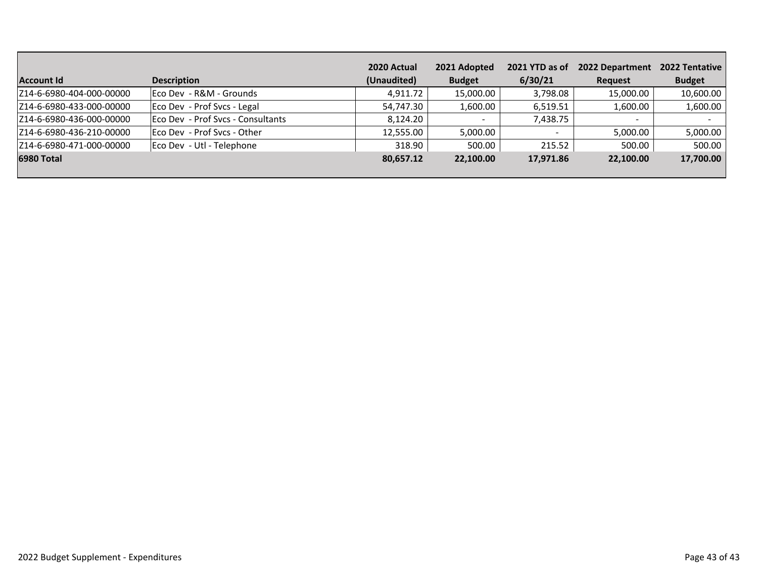|                          |                                   | 2020 Actual | 2021 Adopted  | 2021 YTD as of | 2022 Department | 2022 Tentative |
|--------------------------|-----------------------------------|-------------|---------------|----------------|-----------------|----------------|
| <b>Account Id</b>        | <b>Description</b>                | (Unaudited) | <b>Budget</b> | 6/30/21        | Request         | <b>Budget</b>  |
| Z14-6-6980-404-000-00000 | Eco Dev - R&M - Grounds           | 4,911.72    | 15,000.00     | 3,798.08       | 15,000.00       | 10,600.00      |
| Z14-6-6980-433-000-00000 | Eco Dev - Prof Svcs - Legal       | 54,747.30   | 1,600.00      | 6,519.51       | 1,600.00        | 1,600.00       |
| Z14-6-6980-436-000-00000 | Eco Dev - Prof Svcs - Consultants | 8,124.20    |               | 7,438.75       |                 |                |
| Z14-6-6980-436-210-00000 | Eco Dev - Prof Svcs - Other       | 12,555.00   | 5,000.00      |                | 5,000.00        | 5,000.00       |
| Z14-6-6980-471-000-00000 | Eco Dev - Utl - Telephone         | 318.90      | 500.00        | 215.52         | 500.00          | 500.00         |
| 6980 Total               |                                   | 80,657.12   | 22,100.00     | 17,971.86      | 22,100.00       | 17,700.00      |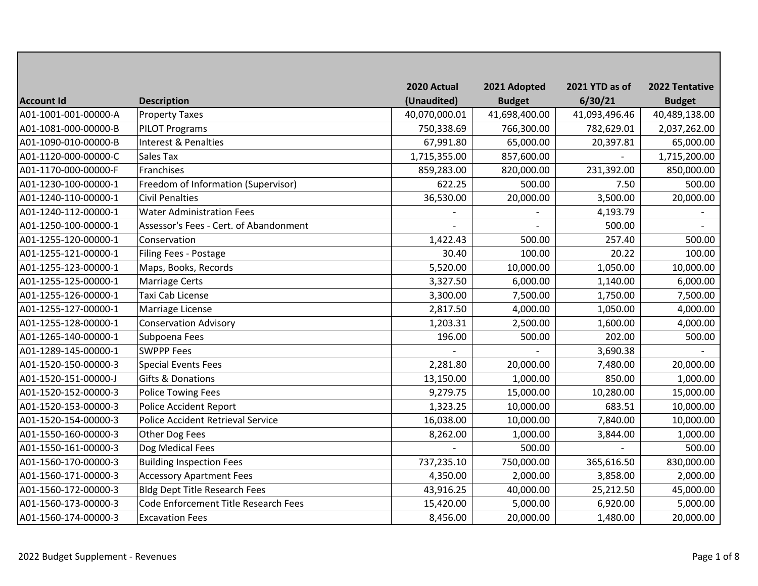| <b>Account Id</b>    | <b>Description</b>                     | 2020 Actual<br>(Unaudited) | 2021 Adopted<br><b>Budget</b> | 2021 YTD as of<br>6/30/21 | 2022 Tentative<br><b>Budget</b> |
|----------------------|----------------------------------------|----------------------------|-------------------------------|---------------------------|---------------------------------|
| A01-1001-001-00000-A | <b>Property Taxes</b>                  | 40,070,000.01              | 41,698,400.00                 | 41,093,496.46             | 40,489,138.00                   |
| A01-1081-000-00000-B | <b>PILOT Programs</b>                  | 750,338.69                 | 766,300.00                    | 782,629.01                | 2,037,262.00                    |
| A01-1090-010-00000-B | Interest & Penalties                   | 67,991.80                  | 65,000.00                     | 20,397.81                 | 65,000.00                       |
| A01-1120-000-00000-C | Sales Tax                              | 1,715,355.00               | 857,600.00                    |                           | 1,715,200.00                    |
| A01-1170-000-00000-F | Franchises                             | 859,283.00                 | 820,000.00                    | 231,392.00                | 850,000.00                      |
| A01-1230-100-00000-1 | Freedom of Information (Supervisor)    | 622.25                     | 500.00                        | 7.50                      | 500.00                          |
| A01-1240-110-00000-1 | <b>Civil Penalties</b>                 | 36,530.00                  | 20,000.00                     | 3,500.00                  | 20,000.00                       |
| A01-1240-112-00000-1 | <b>Water Administration Fees</b>       |                            |                               | 4,193.79                  |                                 |
| A01-1250-100-00000-1 | Assessor's Fees - Cert. of Abandonment |                            |                               | 500.00                    |                                 |
| A01-1255-120-00000-1 | Conservation                           | 1,422.43                   | 500.00                        | 257.40                    | 500.00                          |
| A01-1255-121-00000-1 | Filing Fees - Postage                  | 30.40                      | 100.00                        | 20.22                     | 100.00                          |
| A01-1255-123-00000-1 | Maps, Books, Records                   | 5,520.00                   | 10,000.00                     | 1,050.00                  | 10,000.00                       |
| A01-1255-125-00000-1 | <b>Marriage Certs</b>                  | 3,327.50                   | 6,000.00                      | 1,140.00                  | 6,000.00                        |
| A01-1255-126-00000-1 | Taxi Cab License                       | 3,300.00                   | 7,500.00                      | 1,750.00                  | 7,500.00                        |
| A01-1255-127-00000-1 | Marriage License                       | 2,817.50                   | 4,000.00                      | 1,050.00                  | 4,000.00                        |
| A01-1255-128-00000-1 | <b>Conservation Advisory</b>           | 1,203.31                   | 2,500.00                      | 1,600.00                  | 4,000.00                        |
| A01-1265-140-00000-1 | Subpoena Fees                          | 196.00                     | 500.00                        | 202.00                    | 500.00                          |
| A01-1289-145-00000-1 | <b>SWPPP Fees</b>                      |                            |                               | 3,690.38                  |                                 |
| A01-1520-150-00000-3 | <b>Special Events Fees</b>             | 2,281.80                   | 20,000.00                     | 7,480.00                  | 20,000.00                       |
| A01-1520-151-00000-J | <b>Gifts &amp; Donations</b>           | 13,150.00                  | 1,000.00                      | 850.00                    | 1,000.00                        |
| A01-1520-152-00000-3 | <b>Police Towing Fees</b>              | 9,279.75                   | 15,000.00                     | 10,280.00                 | 15,000.00                       |
| A01-1520-153-00000-3 | <b>Police Accident Report</b>          | 1,323.25                   | 10,000.00                     | 683.51                    | 10,000.00                       |
| A01-1520-154-00000-3 | Police Accident Retrieval Service      | 16,038.00                  | 10,000.00                     | 7,840.00                  | 10,000.00                       |
| A01-1550-160-00000-3 | Other Dog Fees                         | 8,262.00                   | 1,000.00                      | 3,844.00                  | 1,000.00                        |
| A01-1550-161-00000-3 | Dog Medical Fees                       |                            | 500.00                        |                           | 500.00                          |
| A01-1560-170-00000-3 | <b>Building Inspection Fees</b>        | 737,235.10                 | 750,000.00                    | 365,616.50                | 830,000.00                      |
| A01-1560-171-00000-3 | <b>Accessory Apartment Fees</b>        | 4,350.00                   | 2,000.00                      | 3,858.00                  | 2,000.00                        |
| A01-1560-172-00000-3 | <b>Bldg Dept Title Research Fees</b>   | 43,916.25                  | 40,000.00                     | 25,212.50                 | 45,000.00                       |
| A01-1560-173-00000-3 | Code Enforcement Title Research Fees   | 15,420.00                  | 5,000.00                      | 6,920.00                  | 5,000.00                        |
| A01-1560-174-00000-3 | <b>Excavation Fees</b>                 | 8,456.00                   | 20,000.00                     | 1,480.00                  | 20,000.00                       |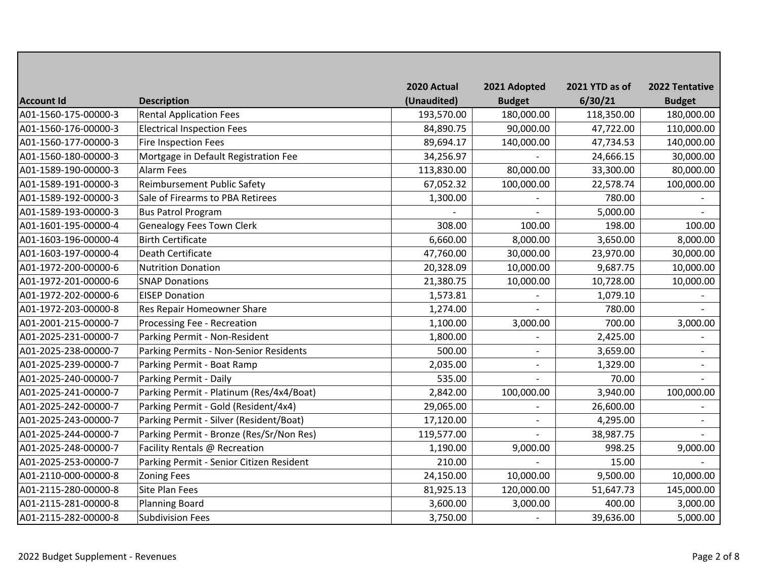| <b>Account Id</b>    | <b>Description</b>                       | 2020 Actual<br>(Unaudited) | 2021 Adopted<br><b>Budget</b> | 2021 YTD as of<br>6/30/21 | 2022 Tentative<br><b>Budget</b> |
|----------------------|------------------------------------------|----------------------------|-------------------------------|---------------------------|---------------------------------|
| A01-1560-175-00000-3 | <b>Rental Application Fees</b>           | 193,570.00                 | 180,000.00                    | 118,350.00                | 180,000.00                      |
| A01-1560-176-00000-3 | <b>Electrical Inspection Fees</b>        | 84,890.75                  | 90,000.00                     | 47,722.00                 | 110,000.00                      |
| A01-1560-177-00000-3 | <b>Fire Inspection Fees</b>              | 89,694.17                  | 140,000.00                    | 47,734.53                 | 140,000.00                      |
| A01-1560-180-00000-3 | Mortgage in Default Registration Fee     | 34,256.97                  |                               | 24,666.15                 | 30,000.00                       |
| A01-1589-190-00000-3 | <b>Alarm Fees</b>                        | 113,830.00                 | 80,000.00                     | 33,300.00                 | 80,000.00                       |
| A01-1589-191-00000-3 | Reimbursement Public Safety              | 67,052.32                  | 100,000.00                    | 22,578.74                 | 100,000.00                      |
| A01-1589-192-00000-3 | Sale of Firearms to PBA Retirees         | 1,300.00                   |                               | 780.00                    |                                 |
| A01-1589-193-00000-3 | <b>Bus Patrol Program</b>                |                            |                               | 5,000.00                  |                                 |
| A01-1601-195-00000-4 | <b>Genealogy Fees Town Clerk</b>         | 308.00                     | 100.00                        | 198.00                    | 100.00                          |
| A01-1603-196-00000-4 | <b>Birth Certificate</b>                 | 6,660.00                   | 8,000.00                      | 3,650.00                  | 8,000.00                        |
| A01-1603-197-00000-4 | Death Certificate                        | 47,760.00                  | 30,000.00                     | 23,970.00                 | 30,000.00                       |
| A01-1972-200-00000-6 | <b>Nutrition Donation</b>                | 20,328.09                  | 10,000.00                     | 9,687.75                  | 10,000.00                       |
| A01-1972-201-00000-6 | <b>SNAP Donations</b>                    | 21,380.75                  | 10,000.00                     | 10,728.00                 | 10,000.00                       |
| A01-1972-202-00000-6 | <b>EISEP Donation</b>                    | 1,573.81                   |                               | 1,079.10                  |                                 |
| A01-1972-203-00000-8 | Res Repair Homeowner Share               | 1,274.00                   |                               | 780.00                    |                                 |
| A01-2001-215-00000-7 | Processing Fee - Recreation              | 1,100.00                   | 3,000.00                      | 700.00                    | 3,000.00                        |
| A01-2025-231-00000-7 | Parking Permit - Non-Resident            | 1,800.00                   |                               | 2,425.00                  |                                 |
| A01-2025-238-00000-7 | Parking Permits - Non-Senior Residents   | 500.00                     |                               | 3,659.00                  |                                 |
| A01-2025-239-00000-7 | Parking Permit - Boat Ramp               | 2,035.00                   |                               | 1,329.00                  |                                 |
| A01-2025-240-00000-7 | Parking Permit - Daily                   | 535.00                     |                               | 70.00                     |                                 |
| A01-2025-241-00000-7 | Parking Permit - Platinum (Res/4x4/Boat) | 2,842.00                   | 100,000.00                    | 3,940.00                  | 100,000.00                      |
| A01-2025-242-00000-7 | Parking Permit - Gold (Resident/4x4)     | 29,065.00                  |                               | 26,600.00                 |                                 |
| A01-2025-243-00000-7 | Parking Permit - Silver (Resident/Boat)  | 17,120.00                  |                               | 4,295.00                  |                                 |
| A01-2025-244-00000-7 | Parking Permit - Bronze (Res/Sr/Non Res) | 119,577.00                 |                               | 38,987.75                 |                                 |
| A01-2025-248-00000-7 | Facility Rentals @ Recreation            | 1,190.00                   | 9,000.00                      | 998.25                    | 9,000.00                        |
| A01-2025-253-00000-7 | Parking Permit - Senior Citizen Resident | 210.00                     |                               | 15.00                     |                                 |
| A01-2110-000-00000-8 | <b>Zoning Fees</b>                       | 24,150.00                  | 10,000.00                     | 9,500.00                  | 10,000.00                       |
| A01-2115-280-00000-8 | <b>Site Plan Fees</b>                    | 81,925.13                  | 120,000.00                    | 51,647.73                 | 145,000.00                      |
| A01-2115-281-00000-8 | <b>Planning Board</b>                    | 3,600.00                   | 3,000.00                      | 400.00                    | 3,000.00                        |
| A01-2115-282-00000-8 | <b>Subdivision Fees</b>                  | 3,750.00                   |                               | 39,636.00                 | 5,000.00                        |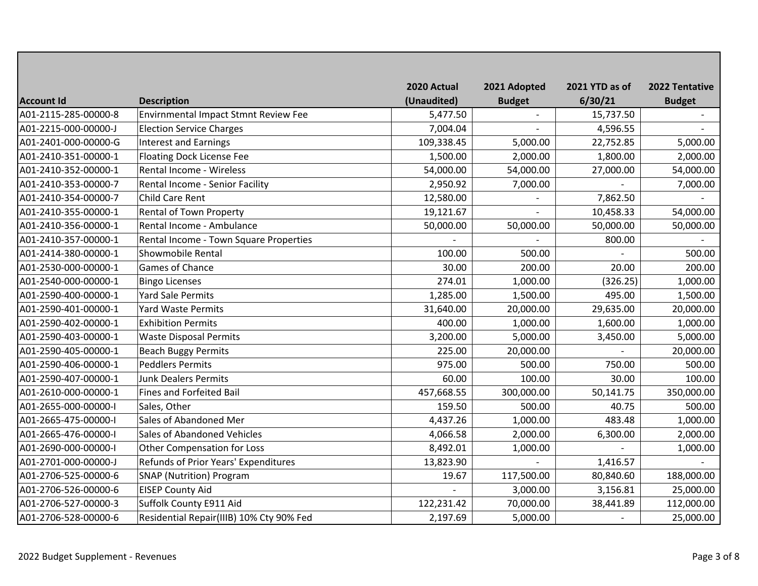|                      |                                          | 2020 Actual | 2021 Adopted  | 2021 YTD as of | 2022 Tentative |
|----------------------|------------------------------------------|-------------|---------------|----------------|----------------|
| <b>Account Id</b>    | <b>Description</b>                       | (Unaudited) | <b>Budget</b> | 6/30/21        | <b>Budget</b>  |
| A01-2115-285-00000-8 | Envirnmental Impact Stmnt Review Fee     | 5,477.50    |               | 15,737.50      |                |
| A01-2215-000-00000-J | <b>Election Service Charges</b>          | 7,004.04    |               | 4,596.55       |                |
| A01-2401-000-00000-G | <b>Interest and Earnings</b>             | 109,338.45  | 5,000.00      | 22,752.85      | 5,000.00       |
| A01-2410-351-00000-1 | <b>Floating Dock License Fee</b>         | 1,500.00    | 2,000.00      | 1,800.00       | 2,000.00       |
| A01-2410-352-00000-1 | <b>Rental Income - Wireless</b>          | 54,000.00   | 54,000.00     | 27,000.00      | 54,000.00      |
| A01-2410-353-00000-7 | Rental Income - Senior Facility          | 2,950.92    | 7,000.00      |                | 7,000.00       |
| A01-2410-354-00000-7 | <b>Child Care Rent</b>                   | 12,580.00   |               | 7,862.50       |                |
| A01-2410-355-00000-1 | <b>Rental of Town Property</b>           | 19,121.67   |               | 10,458.33      | 54,000.00      |
| A01-2410-356-00000-1 | Rental Income - Ambulance                | 50,000.00   | 50,000.00     | 50,000.00      | 50,000.00      |
| A01-2410-357-00000-1 | Rental Income - Town Square Properties   |             |               | 800.00         |                |
| A01-2414-380-00000-1 | <b>Showmobile Rental</b>                 | 100.00      | 500.00        |                | 500.00         |
| A01-2530-000-00000-1 | <b>Games of Chance</b>                   | 30.00       | 200.00        | 20.00          | 200.00         |
| A01-2540-000-00000-1 | <b>Bingo Licenses</b>                    | 274.01      | 1,000.00      | (326.25)       | 1,000.00       |
| A01-2590-400-00000-1 | <b>Yard Sale Permits</b>                 | 1,285.00    | 1,500.00      | 495.00         | 1,500.00       |
| A01-2590-401-00000-1 | <b>Yard Waste Permits</b>                | 31,640.00   | 20,000.00     | 29,635.00      | 20,000.00      |
| A01-2590-402-00000-1 | <b>Exhibition Permits</b>                | 400.00      | 1,000.00      | 1,600.00       | 1,000.00       |
| A01-2590-403-00000-1 | <b>Waste Disposal Permits</b>            | 3,200.00    | 5,000.00      | 3,450.00       | 5,000.00       |
| A01-2590-405-00000-1 | <b>Beach Buggy Permits</b>               | 225.00      | 20,000.00     |                | 20,000.00      |
| A01-2590-406-00000-1 | <b>Peddlers Permits</b>                  | 975.00      | 500.00        | 750.00         | 500.00         |
| A01-2590-407-00000-1 | <b>Junk Dealers Permits</b>              | 60.00       | 100.00        | 30.00          | 100.00         |
| A01-2610-000-00000-1 | <b>Fines and Forfeited Bail</b>          | 457,668.55  | 300,000.00    | 50,141.75      | 350,000.00     |
| A01-2655-000-00000-I | Sales, Other                             | 159.50      | 500.00        | 40.75          | 500.00         |
| A01-2665-475-00000-I | Sales of Abandoned Mer                   | 4,437.26    | 1,000.00      | 483.48         | 1,000.00       |
| A01-2665-476-00000-I | Sales of Abandoned Vehicles              | 4,066.58    | 2,000.00      | 6,300.00       | 2,000.00       |
| A01-2690-000-00000-I | <b>Other Compensation for Loss</b>       | 8,492.01    | 1,000.00      |                | 1,000.00       |
| A01-2701-000-00000-J | Refunds of Prior Years' Expenditures     | 13,823.90   |               | 1,416.57       |                |
| A01-2706-525-00000-6 | <b>SNAP (Nutrition) Program</b>          | 19.67       | 117,500.00    | 80,840.60      | 188,000.00     |
| A01-2706-526-00000-6 | <b>EISEP County Aid</b>                  |             | 3,000.00      | 3,156.81       | 25,000.00      |
| A01-2706-527-00000-3 | Suffolk County E911 Aid                  | 122,231.42  | 70,000.00     | 38,441.89      | 112,000.00     |
| A01-2706-528-00000-6 | Residential Repair(IIIB) 10% Cty 90% Fed | 2,197.69    | 5,000.00      |                | 25,000.00      |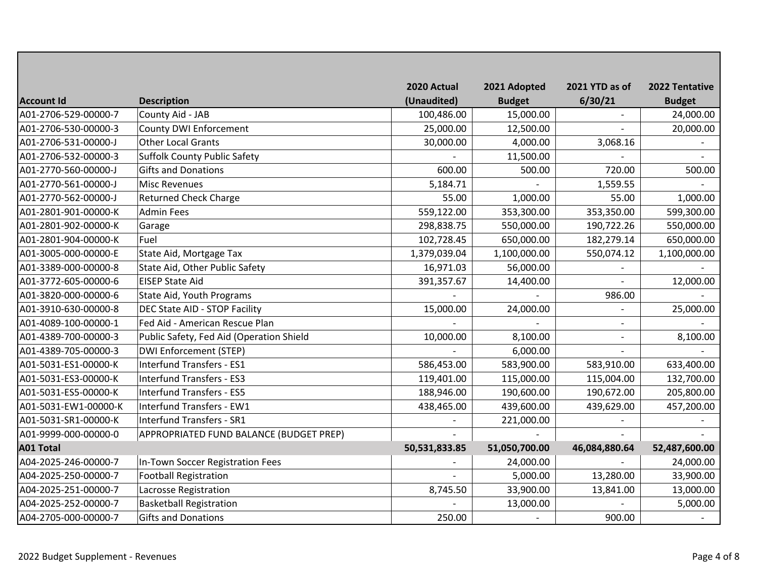|                      |                                          | 2020 Actual   | 2021 Adopted  | 2021 YTD as of           | 2022 Tentative |
|----------------------|------------------------------------------|---------------|---------------|--------------------------|----------------|
| <b>Account Id</b>    | <b>Description</b>                       | (Unaudited)   | <b>Budget</b> | 6/30/21                  | <b>Budget</b>  |
| A01-2706-529-00000-7 | County Aid - JAB                         | 100,486.00    | 15,000.00     |                          | 24,000.00      |
| A01-2706-530-00000-3 | <b>County DWI Enforcement</b>            | 25,000.00     | 12,500.00     |                          | 20,000.00      |
| A01-2706-531-00000-J | <b>Other Local Grants</b>                | 30,000.00     | 4,000.00      | 3,068.16                 |                |
| A01-2706-532-00000-3 | <b>Suffolk County Public Safety</b>      |               | 11,500.00     |                          |                |
| A01-2770-560-00000-J | <b>Gifts and Donations</b>               | 600.00        | 500.00        | 720.00                   | 500.00         |
| A01-2770-561-00000-J | <b>Misc Revenues</b>                     | 5,184.71      |               | 1,559.55                 |                |
| A01-2770-562-00000-J | <b>Returned Check Charge</b>             | 55.00         | 1,000.00      | 55.00                    | 1,000.00       |
| A01-2801-901-00000-K | <b>Admin Fees</b>                        | 559,122.00    | 353,300.00    | 353,350.00               | 599,300.00     |
| A01-2801-902-00000-K | Garage                                   | 298,838.75    | 550,000.00    | 190,722.26               | 550,000.00     |
| A01-2801-904-00000-K | Fuel                                     | 102,728.45    | 650,000.00    | 182,279.14               | 650,000.00     |
| A01-3005-000-00000-E | State Aid, Mortgage Tax                  | 1,379,039.04  | 1,100,000.00  | 550,074.12               | 1,100,000.00   |
| A01-3389-000-00000-8 | State Aid, Other Public Safety           | 16,971.03     | 56,000.00     | $\overline{\phantom{a}}$ |                |
| A01-3772-605-00000-6 | <b>EISEP State Aid</b>                   | 391,357.67    | 14,400.00     | $\overline{a}$           | 12,000.00      |
| A01-3820-000-00000-6 | State Aid, Youth Programs                |               |               | 986.00                   |                |
| A01-3910-630-00000-8 | DEC State AID - STOP Facility            | 15,000.00     | 24,000.00     |                          | 25,000.00      |
| A01-4089-100-00000-1 | Fed Aid - American Rescue Plan           |               |               | $\overline{\phantom{a}}$ |                |
| A01-4389-700-00000-3 | Public Safety, Fed Aid (Operation Shield | 10,000.00     | 8,100.00      | $\overline{a}$           | 8,100.00       |
| A01-4389-705-00000-3 | <b>DWI Enforcement (STEP)</b>            |               | 6,000.00      |                          |                |
| A01-5031-ES1-00000-K | <b>Interfund Transfers - ES1</b>         | 586,453.00    | 583,900.00    | 583,910.00               | 633,400.00     |
| A01-5031-ES3-00000-K | <b>Interfund Transfers - ES3</b>         | 119,401.00    | 115,000.00    | 115,004.00               | 132,700.00     |
| A01-5031-ES5-00000-K | <b>Interfund Transfers - ES5</b>         | 188,946.00    | 190,600.00    | 190,672.00               | 205,800.00     |
| A01-5031-EW1-00000-K | <b>Interfund Transfers - EW1</b>         | 438,465.00    | 439,600.00    | 439,629.00               | 457,200.00     |
| A01-5031-SR1-00000-K | <b>Interfund Transfers - SR1</b>         |               | 221,000.00    |                          |                |
| A01-9999-000-00000-0 | APPROPRIATED FUND BALANCE (BUDGET PREP)  |               |               |                          |                |
| <b>A01 Total</b>     |                                          | 50,531,833.85 | 51,050,700.00 | 46,084,880.64            | 52,487,600.00  |
| A04-2025-246-00000-7 | In-Town Soccer Registration Fees         |               | 24,000.00     |                          | 24,000.00      |
| A04-2025-250-00000-7 | <b>Football Registration</b>             |               | 5,000.00      | 13,280.00                | 33,900.00      |
| A04-2025-251-00000-7 | Lacrosse Registration                    | 8,745.50      | 33,900.00     | 13,841.00                | 13,000.00      |
| A04-2025-252-00000-7 | <b>Basketball Registration</b>           |               | 13,000.00     |                          | 5,000.00       |
| A04-2705-000-00000-7 | <b>Gifts and Donations</b>               | 250.00        |               | 900.00                   |                |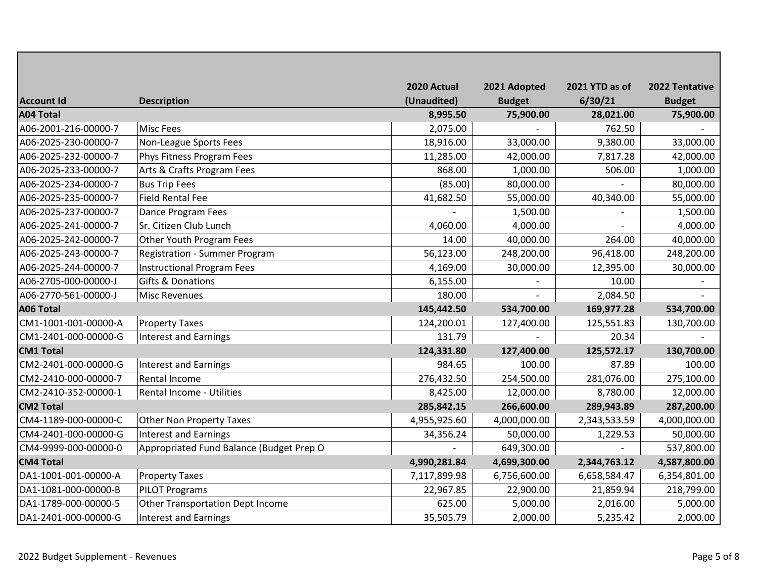|                      |                                          | 2020 Actual  | 2021 Adopted  | 2021 YTD as of | 2022 Tentative |
|----------------------|------------------------------------------|--------------|---------------|----------------|----------------|
| <b>Account Id</b>    | <b>Description</b>                       | (Unaudited)  | <b>Budget</b> | 6/30/21        | <b>Budget</b>  |
| <b>A04 Total</b>     |                                          | 8,995.50     | 75,900.00     | 28,021.00      | 75,900.00      |
| A06-2001-216-00000-7 | <b>Misc Fees</b>                         | 2,075.00     |               | 762.50         |                |
| A06-2025-230-00000-7 | Non-League Sports Fees                   | 18,916.00    | 33,000.00     | 9,380.00       | 33,000.00      |
| A06-2025-232-00000-7 | Phys Fitness Program Fees                | 11,285.00    | 42,000.00     | 7,817.28       | 42,000.00      |
| A06-2025-233-00000-7 | Arts & Crafts Program Fees               | 868.00       | 1,000.00      | 506.00         | 1,000.00       |
| A06-2025-234-00000-7 | <b>Bus Trip Fees</b>                     | (85.00)      | 80,000.00     |                | 80,000.00      |
| A06-2025-235-00000-7 | <b>Field Rental Fee</b>                  | 41,682.50    | 55,000.00     | 40,340.00      | 55,000.00      |
| A06-2025-237-00000-7 | Dance Program Fees                       |              | 1,500.00      |                | 1,500.00       |
| A06-2025-241-00000-7 | Sr. Citizen Club Lunch                   | 4,060.00     | 4,000.00      |                | 4,000.00       |
| A06-2025-242-00000-7 | Other Youth Program Fees                 | 14.00        | 40,000.00     | 264.00         | 40,000.00      |
| A06-2025-243-00000-7 | <b>Registration - Summer Program</b>     | 56,123.00    | 248,200.00    | 96,418.00      | 248,200.00     |
| A06-2025-244-00000-7 | <b>Instructional Program Fees</b>        | 4,169.00     | 30,000.00     | 12,395.00      | 30,000.00      |
| A06-2705-000-00000-J | Gifts & Donations                        | 6,155.00     |               | 10.00          |                |
| A06-2770-561-00000-J | <b>Misc Revenues</b>                     | 180.00       |               | 2,084.50       |                |
| <b>A06 Total</b>     |                                          | 145,442.50   | 534,700.00    | 169,977.28     | 534,700.00     |
| CM1-1001-001-00000-A | <b>Property Taxes</b>                    | 124,200.01   | 127,400.00    | 125,551.83     | 130,700.00     |
| CM1-2401-000-00000-G | <b>Interest and Earnings</b>             | 131.79       |               | 20.34          |                |
| <b>CM1 Total</b>     |                                          | 124,331.80   | 127,400.00    | 125,572.17     | 130,700.00     |
| CM2-2401-000-00000-G | <b>Interest and Earnings</b>             | 984.65       | 100.00        | 87.89          | 100.00         |
| CM2-2410-000-00000-7 | Rental Income                            | 276,432.50   | 254,500.00    | 281,076.00     | 275,100.00     |
| CM2-2410-352-00000-1 | Rental Income - Utilities                | 8,425.00     | 12,000.00     | 8,780.00       | 12,000.00      |
| <b>CM2 Total</b>     |                                          | 285,842.15   | 266,600.00    | 289,943.89     | 287,200.00     |
| CM4-1189-000-00000-C | <b>Other Non Property Taxes</b>          | 4,955,925.60 | 4,000,000.00  | 2,343,533.59   | 4,000,000.00   |
| CM4-2401-000-00000-G | <b>Interest and Earnings</b>             | 34,356.24    | 50,000.00     | 1,229.53       | 50,000.00      |
| CM4-9999-000-00000-0 | Appropriated Fund Balance (Budget Prep O |              | 649,300.00    |                | 537,800.00     |
| <b>CM4 Total</b>     |                                          | 4,990,281.84 | 4,699,300.00  | 2,344,763.12   | 4,587,800.00   |
| DA1-1001-001-00000-A | <b>Property Taxes</b>                    | 7,117,899.98 | 6,756,600.00  | 6,658,584.47   | 6,354,801.00   |
| DA1-1081-000-00000-B | <b>PILOT Programs</b>                    | 22,967.85    | 22,900.00     | 21,859.94      | 218,799.00     |
| DA1-1789-000-00000-5 | <b>Other Transportation Dept Income</b>  | 625.00       | 5,000.00      | 2,016.00       | 5,000.00       |
| DA1-2401-000-00000-G | <b>Interest and Earnings</b>             | 35,505.79    | 2,000.00      | 5,235.42       | 2,000.00       |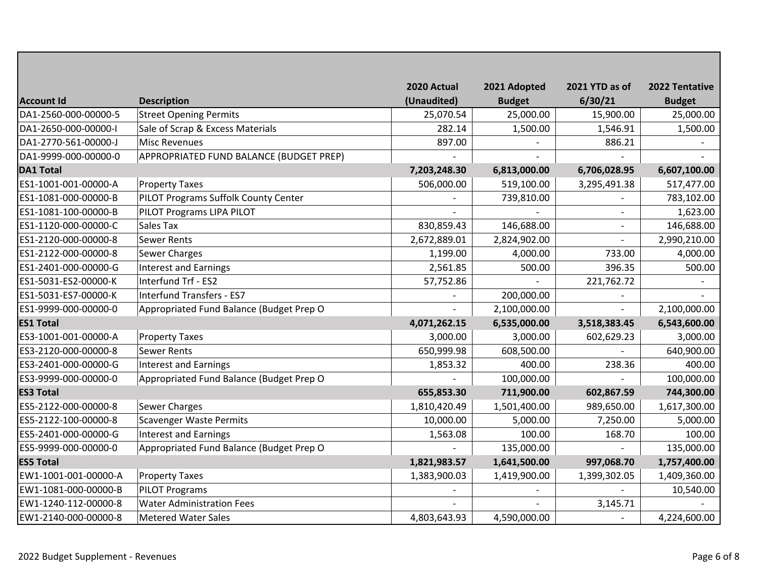|                      |                                          | 2020 Actual  | 2021 Adopted  | 2021 YTD as of           | 2022 Tentative |
|----------------------|------------------------------------------|--------------|---------------|--------------------------|----------------|
| <b>Account Id</b>    | <b>Description</b>                       | (Unaudited)  | <b>Budget</b> | 6/30/21                  | <b>Budget</b>  |
| DA1-2560-000-00000-5 | <b>Street Opening Permits</b>            | 25,070.54    | 25,000.00     | 15,900.00                | 25,000.00      |
| DA1-2650-000-00000-I | Sale of Scrap & Excess Materials         | 282.14       | 1,500.00      | 1,546.91                 | 1,500.00       |
| DA1-2770-561-00000-J | <b>Misc Revenues</b>                     | 897.00       |               | 886.21                   |                |
| DA1-9999-000-00000-0 | APPROPRIATED FUND BALANCE (BUDGET PREP)  |              |               |                          |                |
| <b>DA1 Total</b>     |                                          | 7,203,248.30 | 6,813,000.00  | 6,706,028.95             | 6,607,100.00   |
| ES1-1001-001-00000-A | <b>Property Taxes</b>                    | 506,000.00   | 519,100.00    | 3,295,491.38             | 517,477.00     |
| ES1-1081-000-00000-B | PILOT Programs Suffolk County Center     |              | 739,810.00    |                          | 783,102.00     |
| ES1-1081-100-00000-B | PILOT Programs LIPA PILOT                |              |               | $\overline{\phantom{a}}$ | 1,623.00       |
| ES1-1120-000-00000-C | Sales Tax                                | 830,859.43   | 146,688.00    |                          | 146,688.00     |
| ES1-2120-000-00000-8 | <b>Sewer Rents</b>                       | 2,672,889.01 | 2,824,902.00  | $\overline{a}$           | 2,990,210.00   |
| ES1-2122-000-00000-8 | <b>Sewer Charges</b>                     | 1,199.00     | 4,000.00      | 733.00                   | 4,000.00       |
| ES1-2401-000-00000-G | <b>Interest and Earnings</b>             | 2,561.85     | 500.00        | 396.35                   | 500.00         |
| ES1-5031-ES2-00000-K | Interfund Trf - ES2                      | 57,752.86    |               | 221,762.72               |                |
| ES1-5031-ES7-00000-K | <b>Interfund Transfers - ES7</b>         |              | 200,000.00    |                          |                |
| ES1-9999-000-00000-0 | Appropriated Fund Balance (Budget Prep O |              | 2,100,000.00  |                          | 2,100,000.00   |
| <b>ES1 Total</b>     |                                          | 4,071,262.15 | 6,535,000.00  | 3,518,383.45             | 6,543,600.00   |
| ES3-1001-001-00000-A | <b>Property Taxes</b>                    | 3,000.00     | 3,000.00      | 602,629.23               | 3,000.00       |
| ES3-2120-000-00000-8 | <b>Sewer Rents</b>                       | 650,999.98   | 608,500.00    |                          | 640,900.00     |
| ES3-2401-000-00000-G | <b>Interest and Earnings</b>             | 1,853.32     | 400.00        | 238.36                   | 400.00         |
| ES3-9999-000-00000-0 | Appropriated Fund Balance (Budget Prep O |              | 100,000.00    |                          | 100,000.00     |
| <b>ES3 Total</b>     |                                          | 655,853.30   | 711,900.00    | 602,867.59               | 744,300.00     |
| ES5-2122-000-00000-8 | <b>Sewer Charges</b>                     | 1,810,420.49 | 1,501,400.00  | 989,650.00               | 1,617,300.00   |
| ES5-2122-100-00000-8 | Scavenger Waste Permits                  | 10,000.00    | 5,000.00      | 7,250.00                 | 5,000.00       |
| ES5-2401-000-00000-G | <b>Interest and Earnings</b>             | 1,563.08     | 100.00        | 168.70                   | 100.00         |
| ES5-9999-000-00000-0 | Appropriated Fund Balance (Budget Prep O |              | 135,000.00    |                          | 135,000.00     |
| <b>ES5 Total</b>     |                                          | 1,821,983.57 | 1,641,500.00  | 997,068.70               | 1,757,400.00   |
| EW1-1001-001-00000-A | <b>Property Taxes</b>                    | 1,383,900.03 | 1,419,900.00  | 1,399,302.05             | 1,409,360.00   |
| EW1-1081-000-00000-B | <b>PILOT Programs</b>                    |              |               |                          | 10,540.00      |
| EW1-1240-112-00000-8 | <b>Water Administration Fees</b>         |              |               | 3,145.71                 |                |
| EW1-2140-000-00000-8 | <b>Metered Water Sales</b>               | 4,803,643.93 | 4,590,000.00  |                          | 4,224,600.00   |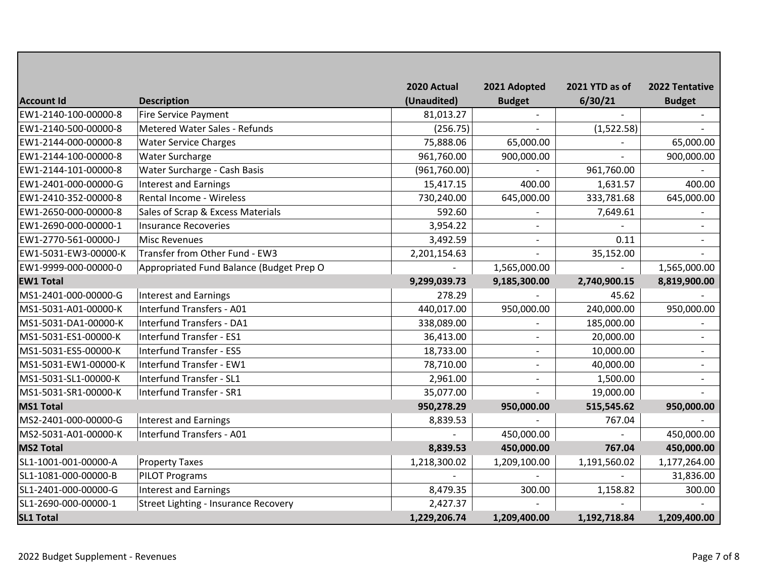|                      |                                          | 2020 Actual  | 2021 Adopted             | 2021 YTD as of | 2022 Tentative           |
|----------------------|------------------------------------------|--------------|--------------------------|----------------|--------------------------|
| <b>Account Id</b>    | <b>Description</b>                       | (Unaudited)  | <b>Budget</b>            | 6/30/21        | <b>Budget</b>            |
| EW1-2140-100-00000-8 | <b>Fire Service Payment</b>              | 81,013.27    |                          |                |                          |
| EW1-2140-500-00000-8 | Metered Water Sales - Refunds            | (256.75)     |                          | (1,522.58)     |                          |
| EW1-2144-000-00000-8 | <b>Water Service Charges</b>             | 75,888.06    | 65,000.00                |                | 65,000.00                |
| EW1-2144-100-00000-8 | Water Surcharge                          | 961,760.00   | 900,000.00               |                | 900,000.00               |
| EW1-2144-101-00000-8 | Water Surcharge - Cash Basis             | (961,760.00) |                          | 961,760.00     |                          |
| EW1-2401-000-00000-G | <b>Interest and Earnings</b>             | 15,417.15    | 400.00                   | 1,631.57       | 400.00                   |
| EW1-2410-352-00000-8 | <b>Rental Income - Wireless</b>          | 730,240.00   | 645,000.00               | 333,781.68     | 645,000.00               |
| EW1-2650-000-00000-8 | Sales of Scrap & Excess Materials        | 592.60       | $\overline{a}$           | 7,649.61       |                          |
| EW1-2690-000-00000-1 | <b>Insurance Recoveries</b>              | 3,954.22     | $\overline{a}$           |                |                          |
| EW1-2770-561-00000-J | <b>Misc Revenues</b>                     | 3,492.59     |                          | 0.11           |                          |
| EW1-5031-EW3-00000-K | Transfer from Other Fund - EW3           | 2,201,154.63 |                          | 35,152.00      |                          |
| EW1-9999-000-00000-0 | Appropriated Fund Balance (Budget Prep O |              | 1,565,000.00             |                | 1,565,000.00             |
| <b>EW1 Total</b>     |                                          | 9,299,039.73 | 9,185,300.00             | 2,740,900.15   | 8,819,900.00             |
| MS1-2401-000-00000-G | <b>Interest and Earnings</b>             | 278.29       |                          | 45.62          |                          |
| MS1-5031-A01-00000-K | Interfund Transfers - A01                | 440,017.00   | 950,000.00               | 240,000.00     | 950,000.00               |
| MS1-5031-DA1-00000-K | <b>Interfund Transfers - DA1</b>         | 338,089.00   |                          | 185,000.00     |                          |
| MS1-5031-ES1-00000-K | Interfund Transfer - ES1                 | 36,413.00    | $\overline{a}$           | 20,000.00      |                          |
| MS1-5031-ES5-00000-K | <b>Interfund Transfer - ES5</b>          | 18,733.00    | $\overline{\phantom{a}}$ | 10,000.00      | $\overline{\phantom{a}}$ |
| MS1-5031-EW1-00000-K | Interfund Transfer - EW1                 | 78,710.00    |                          | 40,000.00      |                          |
| MS1-5031-SL1-00000-K | Interfund Transfer - SL1                 | 2,961.00     | $\overline{\phantom{a}}$ | 1,500.00       |                          |
| MS1-5031-SR1-00000-K | Interfund Transfer - SR1                 | 35,077.00    |                          | 19,000.00      |                          |
| <b>MS1 Total</b>     |                                          | 950,278.29   | 950,000.00               | 515,545.62     | 950,000.00               |
| MS2-2401-000-00000-G | Interest and Earnings                    | 8,839.53     |                          | 767.04         |                          |
| MS2-5031-A01-00000-K | Interfund Transfers - A01                |              | 450,000.00               |                | 450,000.00               |
| <b>MS2 Total</b>     |                                          | 8,839.53     | 450,000.00               | 767.04         | 450,000.00               |
| SL1-1001-001-00000-A | <b>Property Taxes</b>                    | 1,218,300.02 | 1,209,100.00             | 1,191,560.02   | 1,177,264.00             |
| SL1-1081-000-00000-B | <b>PILOT Programs</b>                    |              |                          |                | 31,836.00                |
| SL1-2401-000-00000-G | <b>Interest and Earnings</b>             | 8,479.35     | 300.00                   | 1,158.82       | 300.00                   |
| SL1-2690-000-00000-1 | Street Lighting - Insurance Recovery     | 2,427.37     |                          |                |                          |
| <b>SL1 Total</b>     |                                          | 1,229,206.74 | 1,209,400.00             | 1,192,718.84   | 1,209,400.00             |